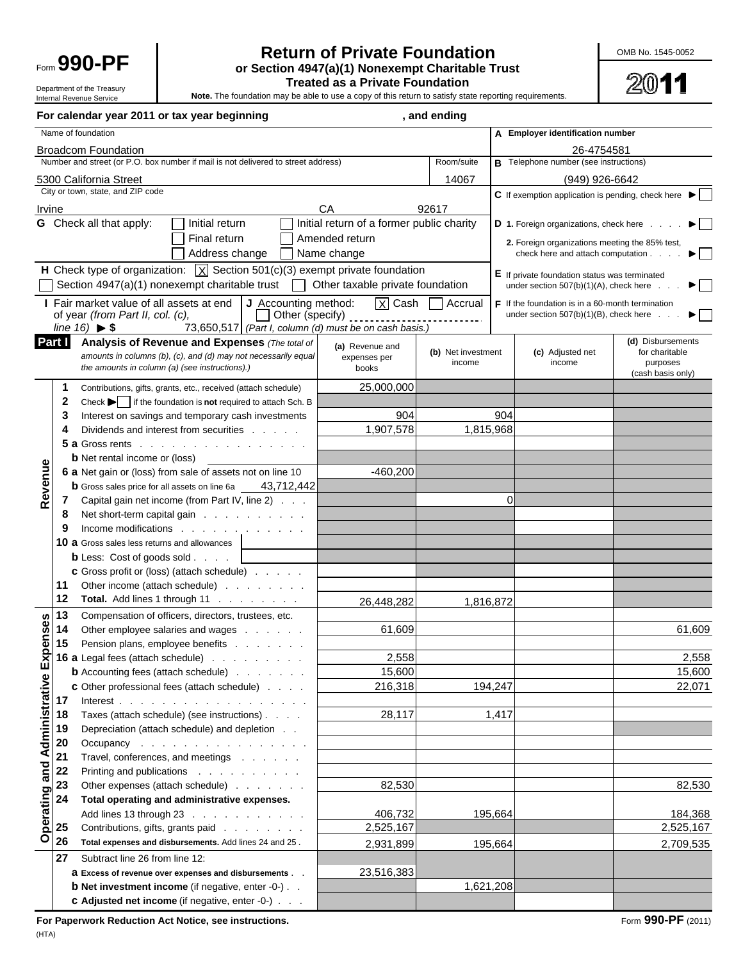

#### **Return of Private Foundation Manual COMB No. 1545-0052** Form **990-PF or Section 4947(a)(1) Nonexempt Charitable Trust**

2011

**Treated as a Private Foundation**<br>Internal Revenue Service<br>Internal Revenue Service<br>Internal Revenue Service Note. The foundation may be able to use a copy of this return to satisfy state reporting requirements.

**For calendar year 2011 or tax year beginning the calending calending**, and ending Name of foundation **A** Employer identification number Broadcom Foundation 26-4754581 Number and street (or P.O. box number if mail is not delivered to street address) **Room/suite B** Telephone number (see instructions) 5300 California Street 14067 (949) 926-6642 City or town, state, and ZIP code **C** If exemption application is pending, check here Irvine CA 92617 **G** Check all that apply: **I**nitial return **Initial return of a former public charity <b>D** 1. Foreign organizations, check here . . . Final return **1986** Amended return **2.** Foreign organizations meeting the 85% test,<br>Address change **Amended return 2.** Address change and attach computation. Address change Name change check here and attach computation . . . . **H** Check type of organization:  $\overline{X}$  Section 501(c)(3) exempt private foundation **E** If private foundation status was terminated Section 4947(a)(1) nonexempt charitable trust  $\Box$  Other taxable private foundation under section  $507(b)(1)(A)$ , check here . . **I** Fair market value of all assets at end  $\begin{bmatrix} \textbf{J} \end{bmatrix}$  Accounting method:  $\boxed{\textbf{X}}$  Cash  $\boxed{\phantom{0}}$  Accrual of year *(from Part II, col. (c),*  $F$  If the foundation is in a 60-month termination of year *(from Part II, col. (c),* under section  $507(b)(1)(B)$ , check here . . *line 16)* **\$** 73,650,517 *(Part I, column (d) must be on cash basis.)* **(d)** Disbursements **Part I Analysis of Revenue and Expenses** *(The total of* **(a)** Revenue and **(b)** Net investment **(c)** Adjusted net for charitable *amounts in columns (b), (c), and (d) may not necessarily equal* expenses per income income purposes *the amounts in column (a) (see instructions).)* books (cash basis only) **1** Contributions, gifts, grants, etc., received (attach schedule) 25,000,000 **2** Check  $\blacktriangleright$  if the foundation is **not** required to attach Sch. B **3** Interest on savings and temporary cash investments  $\vert$  904 904 904 **4** Dividends and interest from securities . . . . . . 1,907,578 1,815,968 **5 a** Gross rents . . . . . . . . . . . . . **b** Net rental income or (loss)  $\frac{1}{2}$   $\frac{1}{2}$   $\frac{1}{2}$  **Operating and Administrative Expenses Revenue** Revenue **6 a** Net gain or (loss) from sale of assets not on line 10 -460,200 **b** Gross sales price for all assets on line 6a 43,712,442 **7** Capital gain net income (from Part IV, line 2) . . . 0 **8** Net short-term capital gain . . . . . . . . . . **9** Income modifications . . . . . . . **10 a** Gross sales less returns and allowances **b** Less: Cost of goods sold . . . . **c** Gross profit or (loss) (attach schedule) . . . . . **11** Other income (attach schedule) . . . . . . . . **12 Total.** Add lines 1 through 11 . . . . . . . . | 26,448,282 1,816,872 **13** Compensation of officers, directors, trustees, etc. **Operating and Administrative Expenses 14** Other employee salaries and wages . . . . . . 61,609 **61,609 61,609 61,609 15** Pension plans, employee benefits . . . . . . . **16 a** Legal fees (attach schedule) . . . . . . . . . 2,558 2,558 **b** Accounting fees (attach schedule) . . . . . . . | 15,600 | 15,600 | 15,600 | 15,600 **c** Other professional fees (attach schedule)  $\ldots$  .  $\qquad$  216,318 194,247 **17** Interest . . . . . . . . . . . . . . . . . . **18** Taxes (attach schedule) (see instructions) . . . . . . . 28,117 28,117 **19** Depreciation (attach schedule) and depletion . . **20** Occupancy . . . . . . . . . . . . . . . 21 Travel, conferences, and meetings . . . . . . **22** Printing and publications . . . . . . . . . . **23** Other expenses (attach schedule) . . . . . . . | 82,530 82,530 82,530 **24 Total operating and administrative expenses.** Add lines 13 through 23 . . . . . . . . . . . <u>| 406,732 | 195,664 | | | | | | 184,368</u> **25** Contributions, gifts, grants paid . . . . . . . . | 2,525,167 | 2,525,167 | 2,525,167 **26 Total expenses and disbursements.** Add lines 24 and 25 .  $\qquad$  2,931,899 195,664 195,664 2,709,535 **27** Subtract line 26 from line 12: **a** Excess of revenue over expenses and disbursements . . . 23,516,383 **b** Net investment income (if negative, enter -0-) . . 1,621,208 **c Adjusted net income** (if negative, enter -0-) . . .

**For Paperwork Reduction Act Notice, see instructions.** Form **990-PF** (2011)  $(HTA)$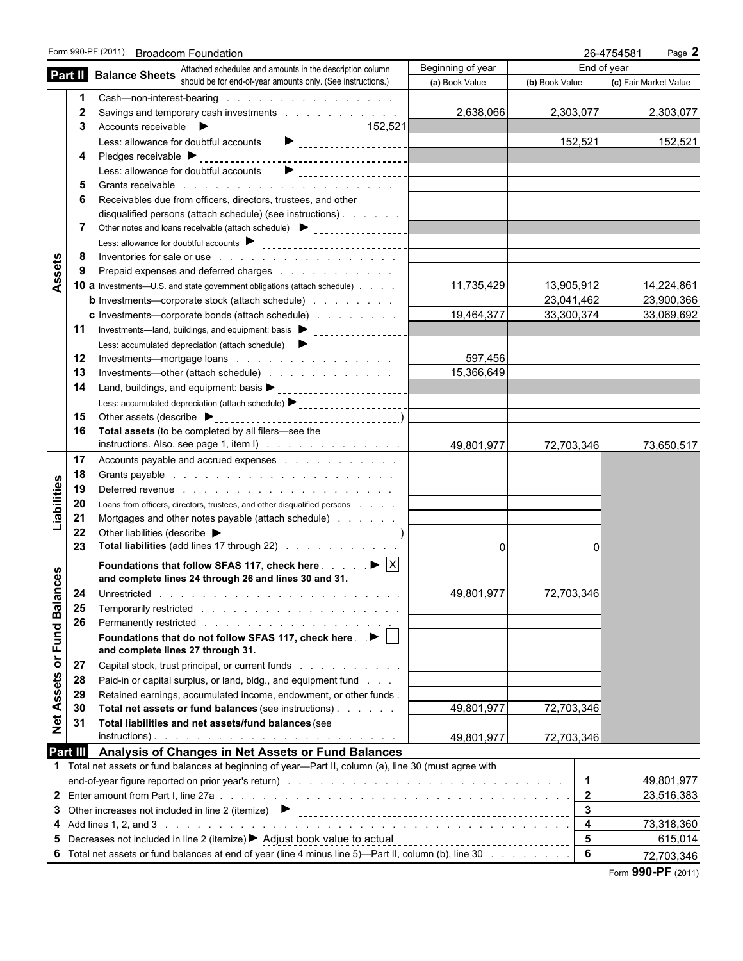|                            | Form 990-PF (2011) Broadcom Foundation                                                                                                                                                                                               |                                 | 26-4754581<br>Page 2    |                       |  |
|----------------------------|--------------------------------------------------------------------------------------------------------------------------------------------------------------------------------------------------------------------------------------|---------------------------------|-------------------------|-----------------------|--|
|                            | Attached schedules and amounts in the description column                                                                                                                                                                             | Beginning of year               |                         | End of year           |  |
| Part II                    | <b>Balance Sheets</b> should be for end-of-year amounts only. (See instructions.)                                                                                                                                                    | (a) Book Value                  | (b) Book Value          | (c) Fair Market Value |  |
|                            | Cash-non-interest-bearing                                                                                                                                                                                                            |                                 |                         |                       |  |
| 2                          | Savings and temporary cash investments                                                                                                                                                                                               | 2,638,066                       | 2,303,077               | 2,303,077             |  |
| 3                          |                                                                                                                                                                                                                                      |                                 |                         |                       |  |
|                            | Less: allowance for doubtful accounts <b>D</b><br><br><br><br><br><br><br><br><br><br><br><br><br><br><br><br><br><br><br><br><br><br><br><br><br><br><br>                                                                           |                                 | 152,521                 | 152,521               |  |
| 4                          |                                                                                                                                                                                                                                      |                                 |                         |                       |  |
|                            | Less: allowance for doubtful accounts                                                                                                                                                                                                |                                 |                         |                       |  |
| 5                          |                                                                                                                                                                                                                                      |                                 |                         |                       |  |
| 6                          | Receivables due from officers, directors, trustees, and other                                                                                                                                                                        |                                 |                         |                       |  |
| 7                          | disqualified persons (attach schedule) (see instructions)<br>Other notes and loans receivable (attach schedule) > statement contract and loans receivable (attach schedule)                                                          |                                 |                         |                       |  |
|                            |                                                                                                                                                                                                                                      |                                 |                         |                       |  |
| 8                          | Inventories for sale or use the contract of the contract of the contract of the contract of the contract of the contract of the contract of the contract of the contract of the contract of the contract of the contract of th       |                                 |                         |                       |  |
| 9                          |                                                                                                                                                                                                                                      |                                 |                         |                       |  |
| Assets                     | 10 a Investments-U.S. and state government obligations (attach schedule)                                                                                                                                                             | 11,735,429                      | 13,905,912              | 14,224,861            |  |
|                            | <b>b</b> Investments—corporate stock (attach schedule)                                                                                                                                                                               |                                 | 23,041,462              | 23,900,366            |  |
|                            | <b>c</b> Investments—corporate bonds (attach schedule)                                                                                                                                                                               | 19,464,377                      | 33,300,374              | 33,069,692            |  |
| 11                         | Investments—land, buildings, and equipment: basis > _____________________________                                                                                                                                                    |                                 |                         |                       |  |
|                            |                                                                                                                                                                                                                                      |                                 |                         |                       |  |
| 12                         | Investments—mortgage loans                                                                                                                                                                                                           | 597,456                         |                         |                       |  |
| 13                         | Investments—other (attach schedule)                                                                                                                                                                                                  | 15,366,649                      |                         |                       |  |
| 14                         |                                                                                                                                                                                                                                      |                                 |                         |                       |  |
|                            | Less: accumulated depreciation (attach schedule) > _____________________________                                                                                                                                                     |                                 |                         |                       |  |
| 15                         |                                                                                                                                                                                                                                      |                                 |                         |                       |  |
| 16                         | Total assets (to be completed by all filers-see the                                                                                                                                                                                  |                                 |                         |                       |  |
|                            | instructions. Also, see page 1, item $I)$                                                                                                                                                                                            | 49,801,977                      | 72,703,346              | 73,650,517            |  |
| 17                         | Accounts payable and accrued expenses                                                                                                                                                                                                |                                 |                         |                       |  |
| 18                         | Grants payable in the state of the state of the state of the state of the state of the state of the state of the state of the state of the state of the state of the state of the state of the state of the state of the state       |                                 |                         |                       |  |
| 19                         | Deferred revenue entering and a series of the series of the series of the series of the series of the series of the series of the series of the series of the series of the series of the series of the series of the series o       |                                 |                         |                       |  |
| Liabilities<br>20          | Loans from officers, directors, trustees, and other disqualified persons                                                                                                                                                             |                                 |                         |                       |  |
| 21                         | Mortgages and other notes payable (attach schedule)                                                                                                                                                                                  |                                 |                         |                       |  |
| 22                         | Other liabilities (describe $\blacktriangleright$                                                                                                                                                                                    |                                 |                         |                       |  |
| 23                         | Total liabilities (add lines 17 through 22)                                                                                                                                                                                          | $\Omega$                        |                         |                       |  |
|                            | Foundations that follow SFAS 117, check here $\ldots$ $\blacktriangleright \lceil \overline{X} \rceil$                                                                                                                               |                                 |                         |                       |  |
|                            | and complete lines 24 through 26 and lines 30 and 31.                                                                                                                                                                                |                                 |                         |                       |  |
| <b>Fund Balances</b><br>24 | Unrestricted <u>the contract of the contract of the contract of the contract of the contract of the contract of the contract of the contract of the contract of the contract of the contract of the contract of the contract of </u> | 49,801,977                      | <u>72,703,346</u>       |                       |  |
| 25                         | Temporarily restricted results and research and restricted research and restricted response to the set of the                                                                                                                        |                                 |                         |                       |  |
| 26                         |                                                                                                                                                                                                                                      |                                 |                         |                       |  |
|                            | Foundations that do not follow SFAS 117, check here. $\Box \blacktriangleright \Box$                                                                                                                                                 |                                 |                         |                       |  |
| ŏ                          | and complete lines 27 through 31.                                                                                                                                                                                                    |                                 |                         |                       |  |
| 27                         | Capital stock, trust principal, or current funds                                                                                                                                                                                     |                                 |                         |                       |  |
| ssets<br>28                | Paid-in or capital surplus, or land, bldg., and equipment fund                                                                                                                                                                       |                                 |                         |                       |  |
| 29                         | Retained earnings, accumulated income, endowment, or other funds.                                                                                                                                                                    |                                 |                         |                       |  |
| ⋖<br>30                    | Total net assets or fund balances (see instructions)                                                                                                                                                                                 | 49,801,977                      | 72,703,346              |                       |  |
| $\breve{\mathbf{z}}$<br>31 | Total liabilities and net assets/fund balances (see                                                                                                                                                                                  |                                 |                         |                       |  |
| Part III                   | Analysis of Changes in Net Assets or Fund Balances                                                                                                                                                                                   | 49,801,977                      | 72,703,346              |                       |  |
|                            | 1 Total net assets or fund balances at beginning of year-Part II, column (a), line 30 (must agree with                                                                                                                               |                                 |                         |                       |  |
|                            |                                                                                                                                                                                                                                      |                                 | $\mathbf 1$             | 49,801,977            |  |
|                            |                                                                                                                                                                                                                                      |                                 | $\overline{2}$          | 23,516,383            |  |
|                            | 3 Other increases not included in line 2 (itemize) $\blacktriangleright$                                                                                                                                                             |                                 | $\mathbf{3}$            |                       |  |
|                            |                                                                                                                                                                                                                                      |                                 | $\overline{\mathbf{4}}$ | 73,318,360            |  |
| 5                          | Decreases not included in line 2 (itemize) ▶ Adjust book value to actual                                                                                                                                                             | ------------------------------- | 5                       | 615,014               |  |
|                            |                                                                                                                                                                                                                                      |                                 |                         |                       |  |
|                            | 6 Total net assets or fund balances at end of year (line 4 minus line 5)—Part II, column (b), line 30                                                                                                                                |                                 | 6                       | 72,703,346            |  |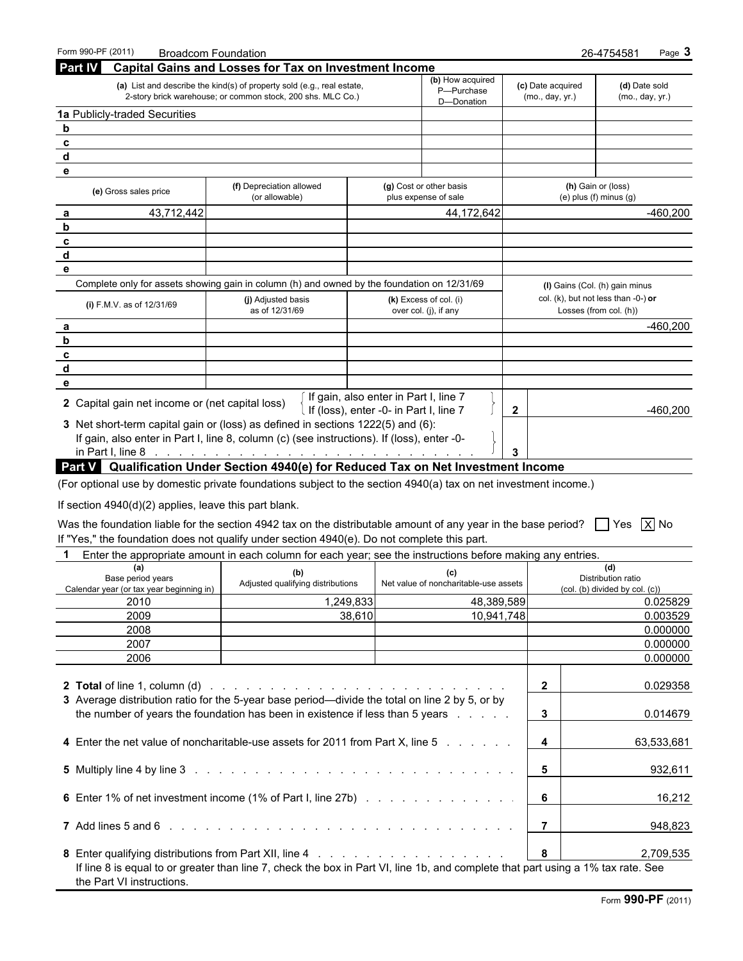| Form 990-PF (2011)                                    | <b>Broadcom Foundation</b>                                                                                                            |                                                                                 |                                      | 26-4754581                                                    | Page 3     |
|-------------------------------------------------------|---------------------------------------------------------------------------------------------------------------------------------------|---------------------------------------------------------------------------------|--------------------------------------|---------------------------------------------------------------|------------|
| <b>Part IV</b>                                        | <b>Capital Gains and Losses for Tax on Investment Income</b>                                                                          |                                                                                 |                                      |                                                               |            |
|                                                       | (a) List and describe the kind(s) of property sold (e.g., real estate,<br>2-story brick warehouse; or common stock, 200 shs. MLC Co.) | (b) How acquired<br>P-Purchase                                                  | (c) Date acquired<br>(mo., day, yr.) | (d) Date sold<br>(mo., day, yr.)                              |            |
| 1a Publicly-traded Securities                         |                                                                                                                                       | D-Donation                                                                      |                                      |                                                               |            |
| $\mathbf b$                                           |                                                                                                                                       |                                                                                 |                                      |                                                               |            |
| c                                                     |                                                                                                                                       |                                                                                 |                                      |                                                               |            |
| d                                                     |                                                                                                                                       |                                                                                 |                                      |                                                               |            |
| е                                                     |                                                                                                                                       |                                                                                 |                                      |                                                               |            |
| (e) Gross sales price                                 | (f) Depreciation allowed<br>(or allowable)                                                                                            | (g) Cost or other basis<br>plus expense of sale                                 |                                      | (h) Gain or (loss)<br>$(e)$ plus $(f)$ minus $(g)$            |            |
| 43,712,442<br>a                                       |                                                                                                                                       | 44,172,642                                                                      |                                      |                                                               | $-460,200$ |
| b                                                     |                                                                                                                                       |                                                                                 |                                      |                                                               |            |
| c                                                     |                                                                                                                                       |                                                                                 |                                      |                                                               |            |
| d                                                     |                                                                                                                                       |                                                                                 |                                      |                                                               |            |
| е                                                     |                                                                                                                                       |                                                                                 |                                      |                                                               |            |
|                                                       | Complete only for assets showing gain in column (h) and owned by the foundation on 12/31/69                                           |                                                                                 |                                      | (I) Gains (Col. (h) gain minus                                |            |
| (i) F.M.V. as of 12/31/69                             | (j) Adjusted basis<br>as of 12/31/69                                                                                                  | (k) Excess of col. (i)<br>over col. (j), if any                                 |                                      | col. (k), but not less than -0-) or<br>Losses (from col. (h)) |            |
| а                                                     |                                                                                                                                       |                                                                                 |                                      |                                                               | $-460,200$ |
| b                                                     |                                                                                                                                       |                                                                                 |                                      |                                                               |            |
| c                                                     |                                                                                                                                       |                                                                                 |                                      |                                                               |            |
| d                                                     |                                                                                                                                       |                                                                                 |                                      |                                                               |            |
| е                                                     |                                                                                                                                       |                                                                                 |                                      |                                                               |            |
| 2 Capital gain net income or (net capital loss)       |                                                                                                                                       | If gain, also enter in Part I, line 7<br>If (loss), enter -0- in Part I, line 7 | $\mathbf{2}$                         |                                                               | $-460,200$ |
|                                                       | 3 Net short-term capital gain or (loss) as defined in sections 1222(5) and (6):                                                       |                                                                                 |                                      |                                                               |            |
|                                                       | If gain, also enter in Part I, line 8, column (c) (see instructions). If (loss), enter -0-                                            |                                                                                 |                                      |                                                               |            |
|                                                       |                                                                                                                                       |                                                                                 | 3                                    |                                                               |            |
|                                                       |                                                                                                                                       |                                                                                 |                                      |                                                               |            |
|                                                       | <b>Part V</b> Qualification Under Section 4940(e) for Reduced Tax on Net Investment Income                                            |                                                                                 |                                      |                                                               |            |
|                                                       | (For optional use by domestic private foundations subject to the section 4940(a) tax on net investment income.)                       |                                                                                 |                                      |                                                               |            |
| If section 4940(d)(2) applies, leave this part blank. |                                                                                                                                       |                                                                                 |                                      |                                                               |            |
|                                                       |                                                                                                                                       |                                                                                 |                                      |                                                               |            |
|                                                       | Was the foundation liable for the section 4942 tax on the distributable amount of any year in the base period?                        |                                                                                 |                                      | l Yes                                                         | $X$ No     |
|                                                       | If "Yes," the foundation does not qualify under section 4940(e). Do not complete this part.                                           |                                                                                 |                                      |                                                               |            |
| 1                                                     | Enter the appropriate amount in each column for each year; see the instructions before making any entries.                            |                                                                                 |                                      |                                                               |            |
| (a)<br>Base period years                              | (b)                                                                                                                                   | (c)                                                                             |                                      | (d)<br>Distribution ratio                                     |            |
| Calendar year (or tax year beginning in)              | Adjusted qualifying distributions                                                                                                     | Net value of noncharitable-use assets                                           |                                      | (col. (b) divided by col. (c))                                |            |
| 2010                                                  | 1,249,833                                                                                                                             | 48,389,589                                                                      |                                      |                                                               | 0.025829   |
| 2009                                                  | 38,610                                                                                                                                | 10,941,748                                                                      |                                      |                                                               | 0.003529   |
| 2008                                                  |                                                                                                                                       |                                                                                 |                                      |                                                               | 0.000000   |
| 2007                                                  |                                                                                                                                       |                                                                                 |                                      |                                                               | 0.000000   |
| 2006                                                  |                                                                                                                                       |                                                                                 |                                      |                                                               | 0.000000   |
|                                                       |                                                                                                                                       |                                                                                 |                                      |                                                               |            |
|                                                       |                                                                                                                                       |                                                                                 | $\overline{2}$                       |                                                               | 0.029358   |
|                                                       | 3 Average distribution ratio for the 5-year base period—divide the total on line 2 by 5, or by                                        |                                                                                 |                                      |                                                               |            |
|                                                       | the number of years the foundation has been in existence if less than 5 years                                                         |                                                                                 | 3                                    |                                                               | 0.014679   |
|                                                       |                                                                                                                                       |                                                                                 |                                      |                                                               |            |
|                                                       | 4 Enter the net value of noncharitable-use assets for 2011 from Part X, line 5                                                        |                                                                                 | 4                                    |                                                               | 63,533,681 |
|                                                       |                                                                                                                                       |                                                                                 | 5                                    |                                                               | 932,611    |
|                                                       | 6 Enter 1% of net investment income (1% of Part I, line 27b)                                                                          |                                                                                 | 6                                    |                                                               | 16,212     |
|                                                       |                                                                                                                                       |                                                                                 | 7                                    |                                                               | 948,823    |
|                                                       |                                                                                                                                       |                                                                                 | 8                                    |                                                               | 2,709,535  |
| the Part VI instructions.                             | If line 8 is equal to or greater than line 7, check the box in Part VI, line 1b, and complete that part using a 1% tax rate. See      |                                                                                 |                                      |                                                               |            |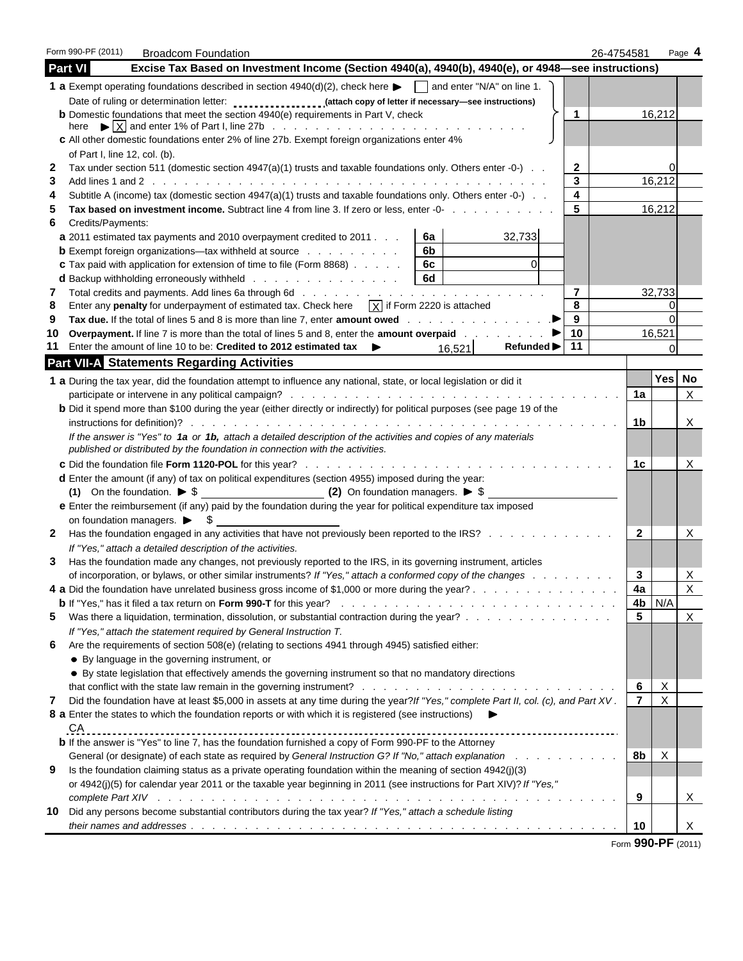|        | Form 990-PF (2011)<br><b>Broadcom Foundation</b>                                                                                                                                                                         |        | 26-4754581 |                |             | Page 4       |
|--------|--------------------------------------------------------------------------------------------------------------------------------------------------------------------------------------------------------------------------|--------|------------|----------------|-------------|--------------|
|        | <b>Part VI</b><br>Excise Tax Based on Investment Income (Section 4940(a), 4940(b), 4940(e), or 4948-see instructions)                                                                                                    |        |            |                |             |              |
|        | <b>1 a</b> Exempt operating foundations described in section $4940(d)(2)$ , check here $\blacktriangleright \Box$ and enter "N/A" on line 1.                                                                             |        |            |                |             |              |
|        |                                                                                                                                                                                                                          |        |            |                |             |              |
|        | <b>b</b> Domestic foundations that meet the section 4940(e) requirements in Part V, check                                                                                                                                | 1      |            |                | 16,212      |              |
|        |                                                                                                                                                                                                                          |        |            |                |             |              |
|        | c All other domestic foundations enter 2% of line 27b. Exempt foreign organizations enter 4%<br>of Part I, line 12, col. (b).                                                                                            |        |            |                |             |              |
| 2      | Tax under section 511 (domestic section 4947(a)(1) trusts and taxable foundations only. Others enter -0-) $\ldots$                                                                                                       | 2      |            |                | 0           |              |
| 3      |                                                                                                                                                                                                                          | 3      |            |                | 16,212      |              |
| 4      | Subtitle A (income) tax (domestic section $4947(a)(1)$ trusts and taxable foundations only. Others enter -0-).                                                                                                           | 4      |            |                |             |              |
| 5      | Tax based on investment income. Subtract line 4 from line 3. If zero or less, enter -0-                                                                                                                                  | 5      |            |                | 16,212      |              |
| 6      | Credits/Payments:                                                                                                                                                                                                        |        |            |                |             |              |
|        | 32,733<br>a 2011 estimated tax payments and 2010 overpayment credited to 2011.<br>6a                                                                                                                                     |        |            |                |             |              |
|        | 6 <sub>b</sub><br><b>b</b> Exempt foreign organizations—tax withheld at source $\ldots$                                                                                                                                  |        |            |                |             |              |
|        | $\overline{0}$<br><b>c</b> Tax paid with application for extension of time to file (Form 8868)<br>6c                                                                                                                     |        |            |                |             |              |
|        | 6d<br><b>d</b> Backup withholding erroneously withheld                                                                                                                                                                   |        |            |                |             |              |
| 7<br>8 | Enter any penalty for underpayment of estimated tax. Check here $\overline{X}$ if Form 2220 is attached                                                                                                                  | 7<br>8 |            |                | 32,733<br>0 |              |
| 9      | Tax due. If the total of lines 5 and 8 is more than line 7, enter amount owed                                                                                                                                            | 9      |            |                | $\Omega$    |              |
| 10     | Overpayment. If line 7 is more than the total of lines 5 and 8, enter the amount overpaid                                                                                                                                | 10     |            |                | 16,521      |              |
| 11     | Enter the amount of line 10 to be: Credited to 2012 estimated tax<br><b>Refunded</b> ▶<br>▶<br>16,521                                                                                                                    | 11     |            |                | $\mathbf 0$ |              |
|        | <b>Part VII-A Statements Regarding Activities</b>                                                                                                                                                                        |        |            |                |             |              |
|        | 1 a During the tax year, did the foundation attempt to influence any national, state, or local legislation or did it                                                                                                     |        |            |                | Yes         | No           |
|        |                                                                                                                                                                                                                          |        |            | 1a             |             | $\mathsf{X}$ |
|        | <b>b</b> Did it spend more than \$100 during the year (either directly or indirectly) for political purposes (see page 19 of the                                                                                         |        |            |                |             |              |
|        |                                                                                                                                                                                                                          |        |            | 1b             |             | X            |
|        | If the answer is "Yes" to 1a or 1b, attach a detailed description of the activities and copies of any materials                                                                                                          |        |            |                |             |              |
|        | published or distributed by the foundation in connection with the activities.                                                                                                                                            |        |            |                |             |              |
|        |                                                                                                                                                                                                                          |        |            | 1c             |             | X            |
|        | d Enter the amount (if any) of tax on political expenditures (section 4955) imposed during the year:                                                                                                                     |        |            |                |             |              |
|        | e Enter the reimbursement (if any) paid by the foundation during the year for political expenditure tax imposed                                                                                                          |        |            |                |             |              |
|        | on foundation managers. $\triangleright$ \$                                                                                                                                                                              |        |            |                |             |              |
| 2      | Has the foundation engaged in any activities that have not previously been reported to the IRS?                                                                                                                          |        |            | 2              |             | X            |
|        | If "Yes," attach a detailed description of the activities.                                                                                                                                                               |        |            |                |             |              |
| 3      | Has the foundation made any changes, not previously reported to the IRS, in its governing instrument, articles                                                                                                           |        |            |                |             |              |
|        | of incorporation, or bylaws, or other similar instruments? If "Yes," attach a conformed copy of the changes                                                                                                              |        |            | 3              |             | X            |
|        | 4 a Did the foundation have unrelated business gross income of \$1,000 or more during the year?                                                                                                                          |        |            | 4a             |             | x            |
|        |                                                                                                                                                                                                                          |        |            | 4b<br>5        | N/A         |              |
| 5      | Was there a liquidation, termination, dissolution, or substantial contraction during the year?<br>If "Yes," attach the statement required by General Instruction T.                                                      |        |            |                |             | X            |
| 6      | Are the requirements of section 508(e) (relating to sections 4941 through 4945) satisfied either:                                                                                                                        |        |            |                |             |              |
|        | • By language in the governing instrument, or                                                                                                                                                                            |        |            |                |             |              |
|        | • By state legislation that effectively amends the governing instrument so that no mandatory directions                                                                                                                  |        |            |                |             |              |
|        |                                                                                                                                                                                                                          |        |            | 6              | X           |              |
| 7      | Did the foundation have at least \$5,000 in assets at any time during the year? If "Yes," complete Part II, col. (c), and Part XV.                                                                                       |        |            | $\overline{7}$ | $\sf X$     |              |
|        | 8 a Enter the states to which the foundation reports or with which it is registered (see instructions)                                                                                                                   |        |            |                |             |              |
|        | CA                                                                                                                                                                                                                       |        |            |                |             |              |
|        | <b>b</b> If the answer is "Yes" to line 7, has the foundation furnished a copy of Form 990-PF to the Attorney                                                                                                            |        |            |                |             |              |
| 9      | General (or designate) of each state as required by General Instruction G? If "No," attach explanation<br>Is the foundation claiming status as a private operating foundation within the meaning of section $4942(j)(3)$ |        |            | 8b             | X           |              |
|        | or 4942(j)(5) for calendar year 2011 or the taxable year beginning in 2011 (see instructions for Part XIV)? If "Yes,"                                                                                                    |        |            |                |             |              |
|        |                                                                                                                                                                                                                          |        |            | 9              |             | Χ            |
| 10     | Did any persons become substantial contributors during the tax year? If "Yes," attach a schedule listing                                                                                                                 |        |            |                |             |              |
|        |                                                                                                                                                                                                                          |        |            | 10             |             | X            |
|        |                                                                                                                                                                                                                          |        |            |                |             |              |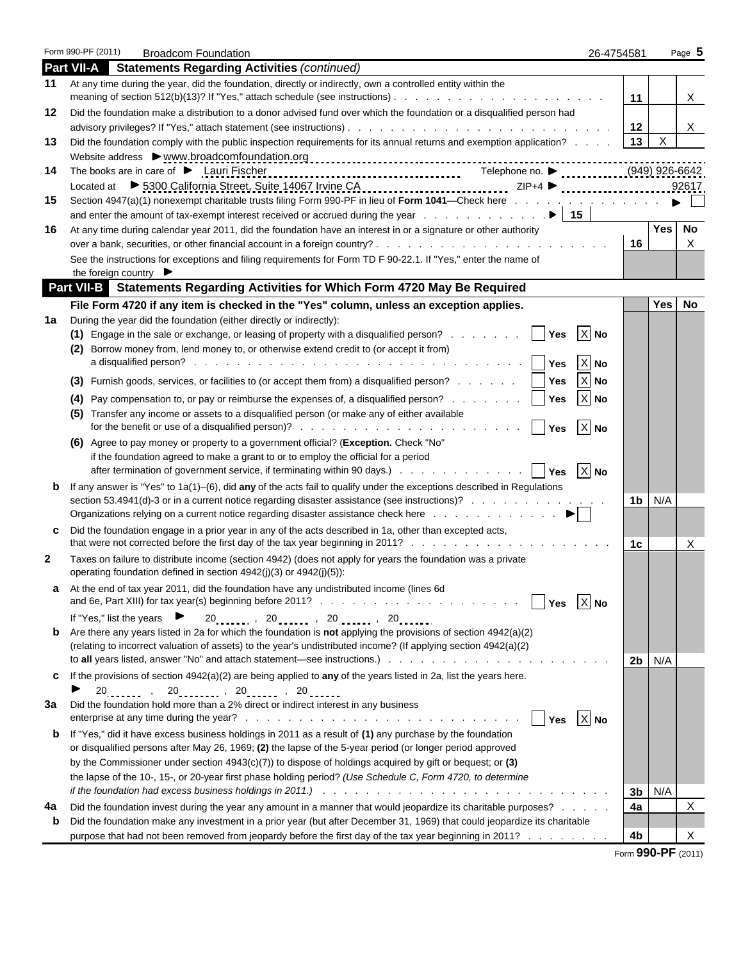| Form 990-PF (2011)<br><b>Broadcom Foundation</b>                                                                                                                                                                                                               | 26-4754581 |                    | Page $5$ |
|----------------------------------------------------------------------------------------------------------------------------------------------------------------------------------------------------------------------------------------------------------------|------------|--------------------|----------|
| <b>Part VII-A</b><br><b>Statements Regarding Activities (continued)</b>                                                                                                                                                                                        |            |                    |          |
| At any time during the year, did the foundation, directly or indirectly, own a controlled entity within the<br>11                                                                                                                                              | 11         |                    | X        |
| Did the foundation make a distribution to a donor advised fund over which the foundation or a disqualified person had<br>12                                                                                                                                    |            |                    |          |
|                                                                                                                                                                                                                                                                | 12         |                    | X        |
| Did the foundation comply with the public inspection requirements for its annual returns and exemption application?<br>13                                                                                                                                      | 13         | X                  |          |
|                                                                                                                                                                                                                                                                |            |                    |          |
| The books are in care of $\blacktriangleright$ Lauri Fischer<br>14                                                                                                                                                                                             |            |                    |          |
|                                                                                                                                                                                                                                                                |            |                    | 92617    |
| Section 4947(a)(1) nonexempt charitable trusts filing Form 990-PF in lieu of Form 1041—Check here<br>15                                                                                                                                                        |            |                    |          |
|                                                                                                                                                                                                                                                                |            |                    |          |
| 16<br>At any time during calendar year 2011, did the foundation have an interest in or a signature or other authority                                                                                                                                          |            | <b>Yes</b>         | No       |
|                                                                                                                                                                                                                                                                | 16         |                    | X        |
| See the instructions for exceptions and filing requirements for Form TD F 90-22.1. If "Yes," enter the name of                                                                                                                                                 |            |                    |          |
| the foreign country $\blacktriangleright$                                                                                                                                                                                                                      |            |                    |          |
| <b>Part VII-B</b> Statements Regarding Activities for Which Form 4720 May Be Required                                                                                                                                                                          |            |                    |          |
| File Form 4720 if any item is checked in the "Yes" column, unless an exception applies.                                                                                                                                                                        |            | Yes                | No       |
| During the year did the foundation (either directly or indirectly):<br>1a<br>$X$ No<br>(1) Engage in the sale or exchange, or leasing of property with a disqualified person?<br><b>Yes</b>                                                                    |            |                    |          |
| (2) Borrow money from, lend money to, or otherwise extend credit to (or accept it from)                                                                                                                                                                        |            |                    |          |
| $X$ No<br><b>Yes</b>                                                                                                                                                                                                                                           |            |                    |          |
| $X$ No<br><b>Yes</b>                                                                                                                                                                                                                                           |            |                    |          |
| (3) Furnish goods, services, or facilities to (or accept them from) a disqualified person?                                                                                                                                                                     |            |                    |          |
| $X$ No<br>(4) Pay compensation to, or pay or reimburse the expenses of, a disqualified person?<br>Yes                                                                                                                                                          |            |                    |          |
| (5) Transfer any income or assets to a disqualified person (or make any of either available<br>$X$ No                                                                                                                                                          |            |                    |          |
| Yes<br>(6) Agree to pay money or property to a government official? (Exception. Check "No"                                                                                                                                                                     |            |                    |          |
| if the foundation agreed to make a grant to or to employ the official for a period                                                                                                                                                                             |            |                    |          |
| $ X $ No<br>after termination of government service, if terminating within 90 days.)     Yes                                                                                                                                                                   |            |                    |          |
| If any answer is "Yes" to $1a(1)$ –(6), did any of the acts fail to qualify under the exceptions described in Regulations<br>b                                                                                                                                 |            |                    |          |
| section 53.4941(d)-3 or in a current notice regarding disaster assistance (see instructions)?                                                                                                                                                                  | 1b         | N/A                |          |
| Organizations relying on a current notice regarding disaster assistance check here $\ldots$ , $\ldots$ , $\ldots$ , $\ldots$                                                                                                                                   |            |                    |          |
| Did the foundation engage in a prior year in any of the acts described in 1a, other than excepted acts,<br>c                                                                                                                                                   |            |                    |          |
|                                                                                                                                                                                                                                                                | 1c         |                    | X        |
| 2<br>Taxes on failure to distribute income (section 4942) (does not apply for years the foundation was a private                                                                                                                                               |            |                    |          |
| operating foundation defined in section $4942(j)(3)$ or $4942(j)(5)$ :                                                                                                                                                                                         |            |                    |          |
| At the end of tax year 2011, did the foundation have any undistributed income (lines 6d                                                                                                                                                                        |            |                    |          |
| $X$ No<br>Yes                                                                                                                                                                                                                                                  |            |                    |          |
| $20$ <sub>11111</sub> , $20$ <sub>11111</sub> , $20$ <sub>11111</sub> , $20$ <sub>11111</sub><br>If "Yes," list the years<br>►<br>Are there any years listed in 2a for which the foundation is <b>not</b> applying the provisions of section $4942(a)(2)$<br>b |            |                    |          |
| (relating to incorrect valuation of assets) to the year's undistributed income? (If applying section 4942(a)(2)                                                                                                                                                |            |                    |          |
|                                                                                                                                                                                                                                                                | 2b         | N/A                |          |
| If the provisions of section $4942(a)(2)$ are being applied to any of the years listed in 2a, list the years here.<br>c                                                                                                                                        |            |                    |          |
| $20_{\ldots}$ , $20_{\ldots}$ , $20_{\ldots}$ , $20_{\ldots}$ , $20_{\ldots}$                                                                                                                                                                                  |            |                    |          |
| Did the foundation hold more than a 2% direct or indirect interest in any business<br>3a                                                                                                                                                                       |            |                    |          |
| $ X $ No<br>Yes                                                                                                                                                                                                                                                |            |                    |          |
| If "Yes," did it have excess business holdings in 2011 as a result of (1) any purchase by the foundation<br>b                                                                                                                                                  |            |                    |          |
| or disqualified persons after May 26, 1969; (2) the lapse of the 5-year period (or longer period approved                                                                                                                                                      |            |                    |          |
| by the Commissioner under section $4943(c)(7)$ to dispose of holdings acquired by gift or bequest; or (3)                                                                                                                                                      |            |                    |          |
| the lapse of the 10-, 15-, or 20-year first phase holding period? (Use Schedule C, Form 4720, to determine                                                                                                                                                     |            |                    |          |
|                                                                                                                                                                                                                                                                | 3b<br>4a   | N/A                | X        |
| Did the foundation invest during the year any amount in a manner that would jeopardize its charitable purposes?<br>4a<br>Did the foundation make any investment in a prior year (but after December 31, 1969) that could jeopardize its charitable<br>b        |            |                    |          |
| purpose that had not been removed from jeopardy before the first day of the tax year beginning in 2011?                                                                                                                                                        | 4b         |                    | X        |
|                                                                                                                                                                                                                                                                |            | Form 990-PF (2011) |          |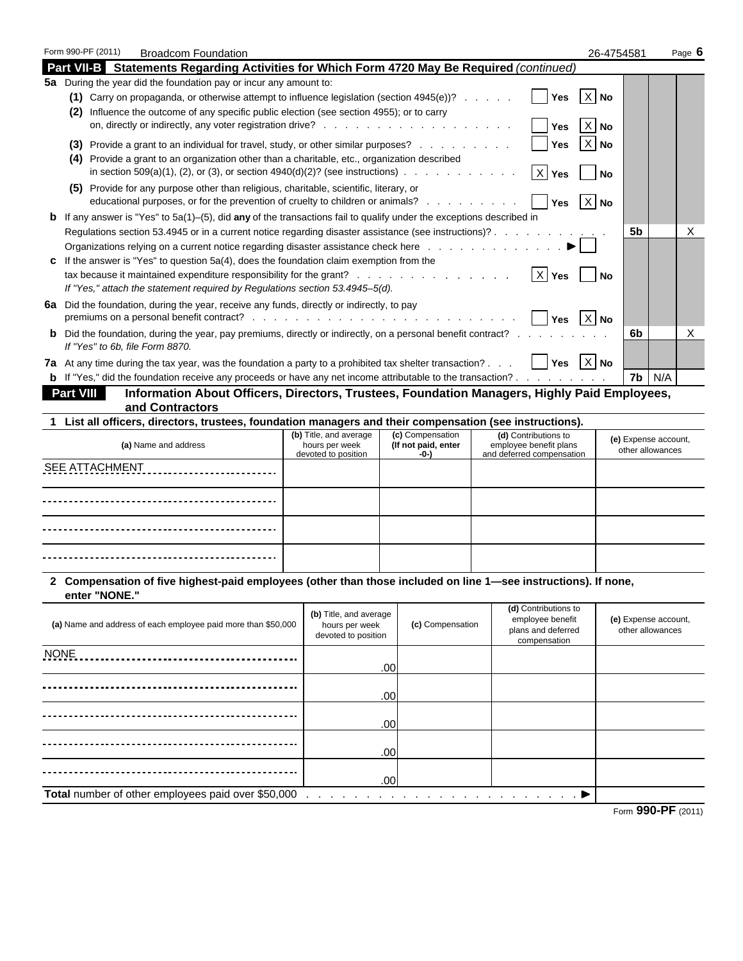|                      | Form 990-PF (2011)<br><b>Broadcom Foundation</b>                                                                                                                                                                                                                     |                                       |                                                                 |     |                  |                                                                             |  |                                                                                | 26-4754581       |                                          | Page 6                                   |  |
|----------------------|----------------------------------------------------------------------------------------------------------------------------------------------------------------------------------------------------------------------------------------------------------------------|---------------------------------------|-----------------------------------------------------------------|-----|------------------|-----------------------------------------------------------------------------|--|--------------------------------------------------------------------------------|------------------|------------------------------------------|------------------------------------------|--|
|                      | Part VII-B Statements Regarding Activities for Which Form 4720 May Be Required (continued)                                                                                                                                                                           |                                       |                                                                 |     |                  |                                                                             |  |                                                                                |                  |                                          |                                          |  |
|                      | 5a During the year did the foundation pay or incur any amount to:<br>(1) Carry on propaganda, or otherwise attempt to influence legislation (section $4945(e)$ )?<br>(2) Influence the outcome of any specific public election (see section 4955); or to carry       |                                       |                                                                 |     |                  |                                                                             |  | Yes<br>Yes                                                                     | $X$ No<br>$X$ No |                                          |                                          |  |
|                      | (3) Provide a grant to an individual for travel, study, or other similar purposes?<br>(4) Provide a grant to an organization other than a charitable, etc., organization described<br>in section 509(a)(1), (2), or (3), or section $4940(d)(2)?$ (see instructions) |                                       |                                                                 |     |                  |                                                                             |  | Yes<br>Yes                                                                     | $X$ No<br>No     |                                          |                                          |  |
|                      | (5) Provide for any purpose other than religious, charitable, scientific, literary, or<br>educational purposes, or for the prevention of cruelty to children or animals?                                                                                             |                                       |                                                                 |     |                  |                                                                             |  | <b>Yes</b>                                                                     | $X$ No           |                                          |                                          |  |
|                      | <b>b</b> If any answer is "Yes" to 5a(1)-(5), did any of the transactions fail to qualify under the exceptions described in                                                                                                                                          |                                       |                                                                 |     |                  |                                                                             |  |                                                                                |                  |                                          |                                          |  |
|                      | Regulations section 53.4945 or in a current notice regarding disaster assistance (see instructions)?                                                                                                                                                                 |                                       |                                                                 |     |                  |                                                                             |  |                                                                                |                  | 5b                                       | Χ                                        |  |
|                      | c If the answer is "Yes" to question $5a(4)$ , does the foundation claim exemption from the<br>If "Yes," attach the statement required by Regulations section 53.4945-5(d).                                                                                          |                                       |                                                                 |     |                  |                                                                             |  | $ X $ Yes                                                                      | <b>No</b>        |                                          |                                          |  |
|                      | 6a Did the foundation, during the year, receive any funds, directly or indirectly, to pay                                                                                                                                                                            |                                       |                                                                 |     |                  |                                                                             |  | <b>Yes</b>                                                                     | $X$ No           |                                          |                                          |  |
|                      | <b>b</b> Did the foundation, during the year, pay premiums, directly or indirectly, on a personal benefit contract?<br>If "Yes" to 6b, file Form 8870.                                                                                                               |                                       |                                                                 |     |                  |                                                                             |  |                                                                                |                  | 6b                                       | X                                        |  |
|                      | 7a At any time during the tax year, was the foundation a party to a prohibited tax shelter transaction?                                                                                                                                                              |                                       |                                                                 |     |                  |                                                                             |  | <b>Yes</b>                                                                     | $X$ No           |                                          |                                          |  |
|                      | <b>b</b> If "Yes," did the foundation receive any proceeds or have any net income attributable to the transaction?                                                                                                                                                   |                                       |                                                                 |     |                  |                                                                             |  |                                                                                |                  | 7b                                       | N/A                                      |  |
|                      | Information About Officers, Directors, Trustees, Foundation Managers, Highly Paid Employees,<br><b>Part VIII</b>                                                                                                                                                     |                                       |                                                                 |     |                  |                                                                             |  |                                                                                |                  |                                          |                                          |  |
|                      | and Contractors                                                                                                                                                                                                                                                      |                                       |                                                                 |     |                  |                                                                             |  |                                                                                |                  |                                          |                                          |  |
|                      | 1 List all officers, directors, trustees, foundation managers and their compensation (see instructions).                                                                                                                                                             |                                       | (b) Title, and average                                          |     | (c) Compensation |                                                                             |  |                                                                                |                  |                                          |                                          |  |
| (a) Name and address |                                                                                                                                                                                                                                                                      | hours per week<br>devoted to position | (If not paid, enter<br>-0-)                                     |     |                  | (d) Contributions to<br>employee benefit plans<br>and deferred compensation |  |                                                                                |                  | (e) Expense account,<br>other allowances |                                          |  |
|                      | <b>SEE ATTACHMENT</b><br>.                                                                                                                                                                                                                                           |                                       |                                                                 |     |                  |                                                                             |  |                                                                                |                  |                                          |                                          |  |
|                      |                                                                                                                                                                                                                                                                      |                                       |                                                                 |     |                  |                                                                             |  |                                                                                |                  |                                          |                                          |  |
|                      |                                                                                                                                                                                                                                                                      |                                       |                                                                 |     |                  |                                                                             |  |                                                                                |                  |                                          |                                          |  |
|                      |                                                                                                                                                                                                                                                                      |                                       |                                                                 |     |                  |                                                                             |  |                                                                                |                  |                                          |                                          |  |
|                      | 2 Compensation of five highest-paid employees (other than those included on line 1—see instructions). If none,<br>enter "NONE."                                                                                                                                      |                                       |                                                                 |     |                  |                                                                             |  |                                                                                |                  |                                          |                                          |  |
|                      | (a) Name and address of each employee paid more than \$50,000                                                                                                                                                                                                        |                                       | (b) Title, and average<br>hours per week<br>devoted to position |     | (c) Compensation |                                                                             |  | (d) Contributions to<br>employee benefit<br>plans and deferred<br>compensation |                  |                                          | (e) Expense account,<br>other allowances |  |
| <b>NONE</b>          |                                                                                                                                                                                                                                                                      |                                       |                                                                 | .00 |                  |                                                                             |  |                                                                                |                  |                                          |                                          |  |
|                      |                                                                                                                                                                                                                                                                      |                                       |                                                                 | .00 |                  |                                                                             |  |                                                                                |                  |                                          |                                          |  |
|                      |                                                                                                                                                                                                                                                                      |                                       |                                                                 | .00 |                  |                                                                             |  |                                                                                |                  |                                          |                                          |  |
|                      |                                                                                                                                                                                                                                                                      |                                       |                                                                 | .00 |                  |                                                                             |  |                                                                                |                  |                                          |                                          |  |
|                      |                                                                                                                                                                                                                                                                      |                                       |                                                                 | .00 |                  |                                                                             |  |                                                                                |                  |                                          |                                          |  |
|                      | Total number of other employees paid over \$50,000                                                                                                                                                                                                                   |                                       |                                                                 |     |                  |                                                                             |  |                                                                                |                  |                                          | --                                       |  |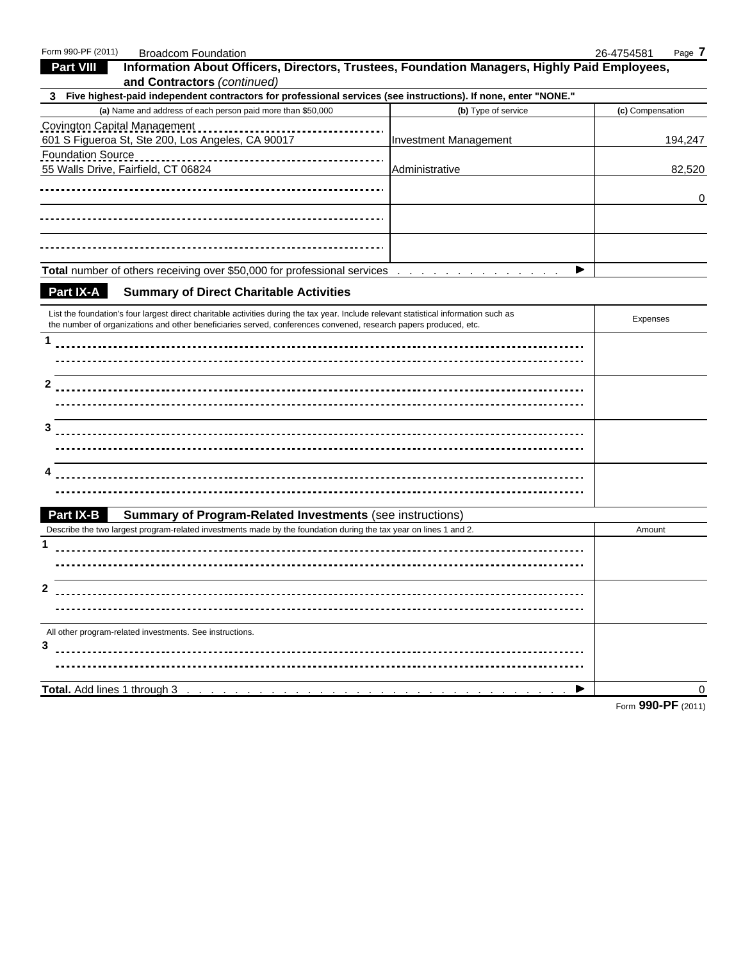| Form 990-PF (2011)           | <b>Broadcom Foundation</b>                                                                                                                                                                                                                                |                              | 26-4754581<br>Page 7 |
|------------------------------|-----------------------------------------------------------------------------------------------------------------------------------------------------------------------------------------------------------------------------------------------------------|------------------------------|----------------------|
| <b>Part VIII</b>             | Information About Officers, Directors, Trustees, Foundation Managers, Highly Paid Employees,                                                                                                                                                              |                              |                      |
|                              | and Contractors (continued)                                                                                                                                                                                                                               |                              |                      |
| 3.                           | Five highest-paid independent contractors for professional services (see instructions). If none, enter "NONE."                                                                                                                                            |                              |                      |
|                              | (a) Name and address of each person paid more than \$50,000                                                                                                                                                                                               | (b) Type of service          | (c) Compensation     |
| Covington Capital Management | 601 S Figueroa St, Ste 200, Los Angeles, CA 90017                                                                                                                                                                                                         | <b>Investment Management</b> | 194,247              |
| <b>Foundation Source</b>     | 55 Walls Drive, Fairfield, CT 06824                                                                                                                                                                                                                       | Administrative               | 82,520               |
|                              |                                                                                                                                                                                                                                                           |                              | 0                    |
|                              |                                                                                                                                                                                                                                                           |                              |                      |
|                              |                                                                                                                                                                                                                                                           |                              |                      |
|                              | <b>Total number of others receiving over \$50,000 for professional services</b>                                                                                                                                                                           | ▶                            |                      |
| Part IX-A                    | <b>Summary of Direct Charitable Activities</b>                                                                                                                                                                                                            |                              |                      |
|                              | List the foundation's four largest direct charitable activities during the tax year. Include relevant statistical information such as<br>the number of organizations and other beneficiaries served, conferences convened, research papers produced, etc. |                              | <b>Expenses</b>      |
|                              |                                                                                                                                                                                                                                                           |                              |                      |
|                              |                                                                                                                                                                                                                                                           |                              |                      |
|                              |                                                                                                                                                                                                                                                           |                              |                      |
| 2                            |                                                                                                                                                                                                                                                           |                              |                      |
|                              |                                                                                                                                                                                                                                                           |                              |                      |
| 3                            |                                                                                                                                                                                                                                                           |                              |                      |
|                              |                                                                                                                                                                                                                                                           |                              |                      |
|                              |                                                                                                                                                                                                                                                           |                              |                      |
|                              |                                                                                                                                                                                                                                                           |                              |                      |
|                              |                                                                                                                                                                                                                                                           |                              |                      |
|                              |                                                                                                                                                                                                                                                           |                              |                      |
| <b>Part IX-B</b>             | <b>Summary of Program-Related Investments (see instructions)</b>                                                                                                                                                                                          |                              |                      |
|                              | Describe the two largest program-related investments made by the foundation during the tax year on lines 1 and 2.                                                                                                                                         |                              | Amount               |
| 1                            |                                                                                                                                                                                                                                                           |                              |                      |
|                              |                                                                                                                                                                                                                                                           |                              |                      |
|                              |                                                                                                                                                                                                                                                           |                              |                      |
| 2                            |                                                                                                                                                                                                                                                           |                              |                      |
|                              |                                                                                                                                                                                                                                                           |                              |                      |
|                              | All other program-related investments. See instructions.                                                                                                                                                                                                  |                              |                      |
| 3                            |                                                                                                                                                                                                                                                           |                              |                      |
|                              |                                                                                                                                                                                                                                                           |                              |                      |
|                              | Total. Add lines 1 through 3                                                                                                                                                                                                                              |                              | 0                    |
|                              |                                                                                                                                                                                                                                                           |                              |                      |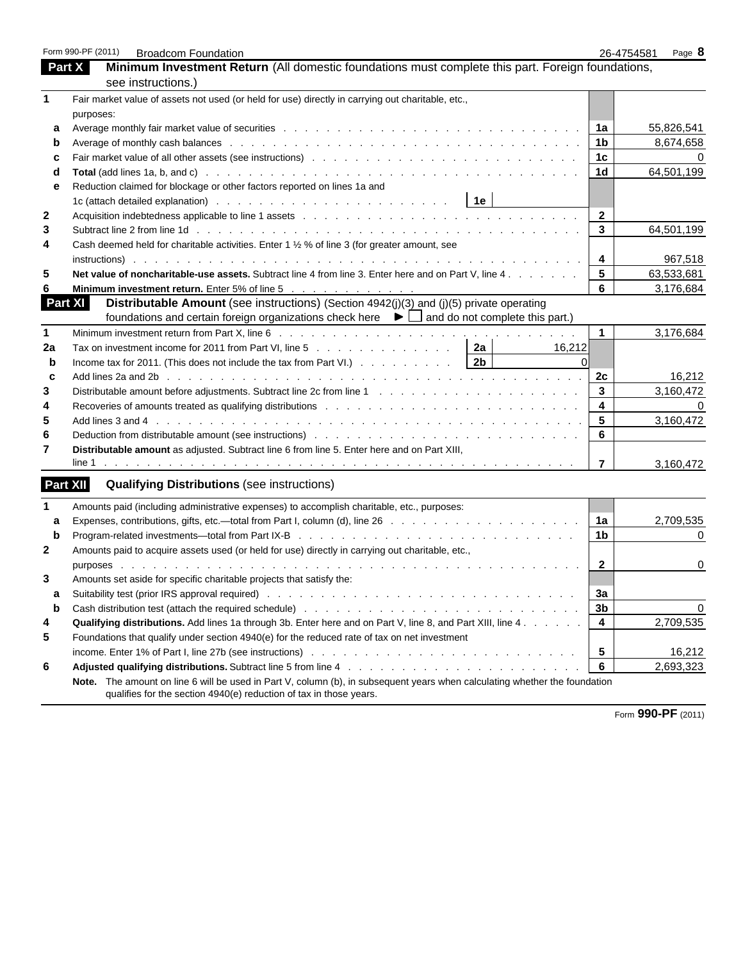|             | Form 990-PF (2011)<br><b>Broadcom Foundation</b>                                                                                                                                                                               | 26-4754581              | Page 8     |
|-------------|--------------------------------------------------------------------------------------------------------------------------------------------------------------------------------------------------------------------------------|-------------------------|------------|
|             | Part X<br>Minimum Investment Return (All domestic foundations must complete this part. Foreign foundations,                                                                                                                    |                         |            |
|             | see instructions.)                                                                                                                                                                                                             |                         |            |
| 1           | Fair market value of assets not used (or held for use) directly in carrying out charitable, etc.,                                                                                                                              |                         |            |
|             | purposes:                                                                                                                                                                                                                      |                         |            |
| a           |                                                                                                                                                                                                                                | 1a                      | 55,826,541 |
| b           |                                                                                                                                                                                                                                | 1 <sub>b</sub>          | 8,674,658  |
| с           |                                                                                                                                                                                                                                | 1 <sub>c</sub>          | $\Omega$   |
| d           |                                                                                                                                                                                                                                | 1 <sub>d</sub>          | 64,501,199 |
| е           | Reduction claimed for blockage or other factors reported on lines 1a and                                                                                                                                                       |                         |            |
|             | 1e                                                                                                                                                                                                                             |                         |            |
| 2           | Acquisition indebtedness applicable to line 1 assets enter the content of the content of the content of the content of the content of the content of the content of the content of the content of the content of the content o | $\mathbf{2}$            |            |
| 3           |                                                                                                                                                                                                                                | 3                       | 64,501,199 |
| 4           | Cash deemed held for charitable activities. Enter 1 1/2 % of line 3 (for greater amount, see                                                                                                                                   |                         |            |
|             |                                                                                                                                                                                                                                | 4                       | 967,518    |
| 5           | Net value of noncharitable-use assets. Subtract line 4 from line 3. Enter here and on Part V, line 4.                                                                                                                          | 5                       | 63,533,681 |
| 6           | <b>Minimum investment return.</b> Enter 5% of line 5 $\ldots$ <u>.</u>                                                                                                                                                         | 6                       | 3,176,684  |
|             | Part XI<br>Distributable Amount (see instructions) (Section 4942(j)(3) and (j)(5) private operating                                                                                                                            |                         |            |
|             | foundations and certain foreign organizations check here $\blacktriangleright \Box$ and do not complete this part.)                                                                                                            |                         |            |
| 1           |                                                                                                                                                                                                                                | 1                       | 3,176,684  |
| 2a          | Tax on investment income for 2011 from Part VI, line 5 $\ldots$ 2 2a<br>16,212                                                                                                                                                 |                         |            |
| b           | Income tax for 2011. (This does not include the tax from Part VI.) $\ldots$ 2b<br>$\Omega$                                                                                                                                     |                         |            |
| C           |                                                                                                                                                                                                                                | 2c                      | 16,212     |
| 3           |                                                                                                                                                                                                                                | 3                       | 3,160,472  |
| 4           |                                                                                                                                                                                                                                | $\overline{\mathbf{4}}$ |            |
| 5           |                                                                                                                                                                                                                                | 5                       | 3,160,472  |
| 6           |                                                                                                                                                                                                                                | 6                       |            |
| 7           | Distributable amount as adjusted. Subtract line 6 from line 5. Enter here and on Part XIII,                                                                                                                                    |                         |            |
|             |                                                                                                                                                                                                                                | $\overline{7}$          | 3,160,472  |
|             | <b>Part XII</b><br><b>Qualifying Distributions (see instructions)</b>                                                                                                                                                          |                         |            |
| 1           | Amounts paid (including administrative expenses) to accomplish charitable, etc., purposes:                                                                                                                                     |                         |            |
| a           |                                                                                                                                                                                                                                | 1a                      | 2,709,535  |
| $\mathbf b$ |                                                                                                                                                                                                                                | 1 <sub>b</sub>          | 0          |
| 2           | Amounts paid to acquire assets used (or held for use) directly in carrying out charitable, etc.,                                                                                                                               |                         |            |
|             |                                                                                                                                                                                                                                | $\mathbf{2}$            | 0          |
| 3           | Amounts set aside for specific charitable projects that satisfy the:                                                                                                                                                           |                         |            |
| a           |                                                                                                                                                                                                                                | За                      |            |
| b           | Cash distribution test (attach the required schedule) enterstanding to contact the contact of the contact of t                                                                                                                 | 3 <sub>b</sub>          | 0          |
| 4           | Qualifying distributions. Add lines 1a through 3b. Enter here and on Part V, line 8, and Part XIII, line 4.                                                                                                                    | 4                       | 2,709,535  |
| 5           | Foundations that qualify under section 4940(e) for the reduced rate of tax on net investment                                                                                                                                   |                         |            |
|             |                                                                                                                                                                                                                                | 5                       | 16,212     |
| 6           | Adjusted qualifying distributions. Subtract line 5 from line 4 manufacture and contact to the contact of the structure of the 5 from line 4 manufacture and contact to the contact of Adjustment Adjustment Adjustment Adjustm | 6                       | 2,693,323  |
|             | Note. The amount on line 6 will be used in Part V, column (b), in subsequent years when calculating whether the foundation<br>qualifies for the section 4940(e) reduction of tax in those years.                               |                         |            |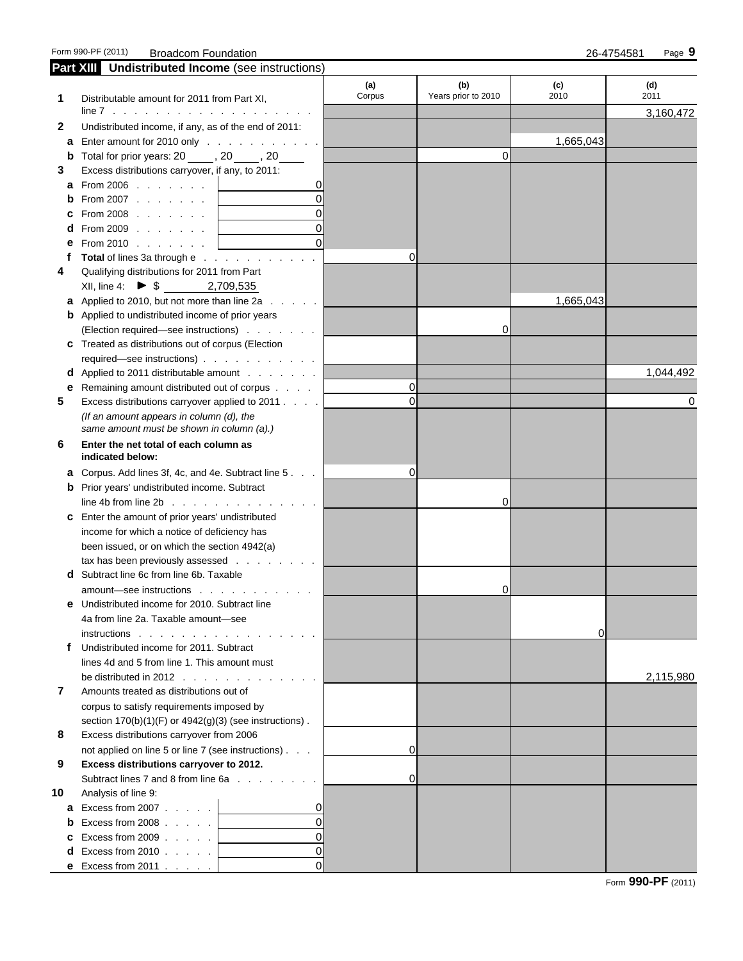|    | Part XIII Undistributed Income (see instructions)                                                                                                                                                                                 |             |                     |           |           |
|----|-----------------------------------------------------------------------------------------------------------------------------------------------------------------------------------------------------------------------------------|-------------|---------------------|-----------|-----------|
|    |                                                                                                                                                                                                                                   | (a)         | (b)                 | (c)       | (d)       |
| 1  | Distributable amount for 2011 from Part XI,                                                                                                                                                                                       | Corpus      | Years prior to 2010 | 2010      | 2011      |
|    |                                                                                                                                                                                                                                   |             |                     |           | 3,160,472 |
| 2  | Undistributed income, if any, as of the end of 2011:                                                                                                                                                                              |             |                     |           |           |
| а  | Enter amount for 2010 only                                                                                                                                                                                                        |             |                     | 1,665,043 |           |
|    | <b>b</b> Total for prior years: $20$ , $20$ , $20$ , $20$ , $20$ , $20$ , $20$ , $20$ , $20$ , $20$ , $20$ , $20$ , $20$ , $20$ , $20$ , $20$ , $20$ , $20$ , $20$ , $20$ , $20$ , $20$ , $20$ , $20$ , $20$ , $20$ , $20$ , $20$ |             | 0                   |           |           |
| 3  | Excess distributions carryover, if any, to 2011:                                                                                                                                                                                  |             |                     |           |           |
| а  | From 2006 $\ldots$ $\ldots$ $\ldots$                                                                                                                                                                                              |             |                     |           |           |
| b  | $\Omega$<br>From 2007 $\ldots$ $\ldots$                                                                                                                                                                                           |             |                     |           |           |
| c  | From $2008$ $\ldots$ $\ldots$ $\ldots$                                                                                                                                                                                            |             |                     |           |           |
|    | From 2009 $\ldots$ $\ldots$ $\ldots$                                                                                                                                                                                              |             |                     |           |           |
|    | From 2010 $\ldots$ $\ldots$ $\ldots$                                                                                                                                                                                              |             |                     |           |           |
|    | Total of lines 3a through e                                                                                                                                                                                                       | 0           |                     |           |           |
| 4  | Qualifying distributions for 2011 from Part                                                                                                                                                                                       |             |                     |           |           |
|    | XII, line 4: ▶ $\frac{1}{3}$ 2,709,535                                                                                                                                                                                            |             |                     |           |           |
|    | <b>a</b> Applied to 2010, but not more than line 2a                                                                                                                                                                               |             |                     | 1,665,043 |           |
|    | <b>b</b> Applied to undistributed income of prior years                                                                                                                                                                           |             |                     |           |           |
|    | (Election required-see instructions)                                                                                                                                                                                              |             | 0                   |           |           |
| c  | Treated as distributions out of corpus (Election                                                                                                                                                                                  |             |                     |           |           |
|    | required—see instructions)                                                                                                                                                                                                        |             |                     |           |           |
| d  | Applied to 2011 distributable amount                                                                                                                                                                                              |             |                     |           | 1,044,492 |
| е  | Remaining amount distributed out of corpus                                                                                                                                                                                        | 0           |                     |           |           |
| 5  | Excess distributions carryover applied to 2011.                                                                                                                                                                                   | $\mathbf 0$ |                     |           | 0         |
|    | (If an amount appears in column (d), the                                                                                                                                                                                          |             |                     |           |           |
|    | same amount must be shown in column (a).)                                                                                                                                                                                         |             |                     |           |           |
| 6  | Enter the net total of each column as                                                                                                                                                                                             |             |                     |           |           |
|    | indicated below:                                                                                                                                                                                                                  |             |                     |           |           |
| a  | Corpus. Add lines 3f, 4c, and 4e. Subtract line 5                                                                                                                                                                                 | 0           |                     |           |           |
|    | <b>b</b> Prior years' undistributed income. Subtract                                                                                                                                                                              |             |                     |           |           |
|    | line 4b from line $2b \cdot \cdot \cdot \cdot \cdot \cdot \cdot \cdot \cdot \cdot \cdot \cdot \cdot \cdot$                                                                                                                        |             | 0                   |           |           |
| c  | Enter the amount of prior years' undistributed                                                                                                                                                                                    |             |                     |           |           |
|    | income for which a notice of deficiency has                                                                                                                                                                                       |             |                     |           |           |
|    | been issued, or on which the section 4942(a)                                                                                                                                                                                      |             |                     |           |           |
|    | tax has been previously assessed                                                                                                                                                                                                  |             |                     |           |           |
| d  | Subtract line 6c from line 6b. Taxable                                                                                                                                                                                            |             |                     |           |           |
|    | amount-see instructions                                                                                                                                                                                                           |             | 0                   |           |           |
|    | Undistributed income for 2010. Subtract line                                                                                                                                                                                      |             |                     |           |           |
|    | 4a from line 2a. Taxable amount-see                                                                                                                                                                                               |             |                     |           |           |
|    | $instructions$                                                                                                                                                                                                                    |             |                     | 0         |           |
| Ť. | Undistributed income for 2011. Subtract                                                                                                                                                                                           |             |                     |           |           |
|    | lines 4d and 5 from line 1. This amount must                                                                                                                                                                                      |             |                     |           |           |
|    | be distributed in 2012 $\ldots$ $\ldots$ $\ldots$ $\ldots$ $\ldots$                                                                                                                                                               |             |                     |           | 2,115,980 |
| 7  | Amounts treated as distributions out of                                                                                                                                                                                           |             |                     |           |           |
|    | corpus to satisfy requirements imposed by                                                                                                                                                                                         |             |                     |           |           |
|    | section $170(b)(1)(F)$ or $4942(g)(3)$ (see instructions).                                                                                                                                                                        |             |                     |           |           |
| 8  | Excess distributions carryover from 2006                                                                                                                                                                                          |             |                     |           |           |
|    | not applied on line 5 or line 7 (see instructions)                                                                                                                                                                                | $\mathbf 0$ |                     |           |           |
| 9  | Excess distributions carryover to 2012.                                                                                                                                                                                           |             |                     |           |           |
|    | Subtract lines 7 and 8 from line 6a                                                                                                                                                                                               | $\mathbf 0$ |                     |           |           |
| 10 | Analysis of line 9:                                                                                                                                                                                                               |             |                     |           |           |
| a  | 0<br>Excess from $2007$ $\ldots$ $\ldots$                                                                                                                                                                                         |             |                     |           |           |
| b  | $\Omega$<br>Excess from $2008$                                                                                                                                                                                                    |             |                     |           |           |
| c  | $\Omega$<br>Excess from $2009$ $\ldots$ $\ldots$                                                                                                                                                                                  |             |                     |           |           |
| d  | $\overline{0}$<br>Excess from 2010 $\ldots$ $\ldots$                                                                                                                                                                              |             |                     |           |           |
|    | ΩI<br><b>e</b> Excess from 2011 $\ldots$                                                                                                                                                                                          |             |                     |           |           |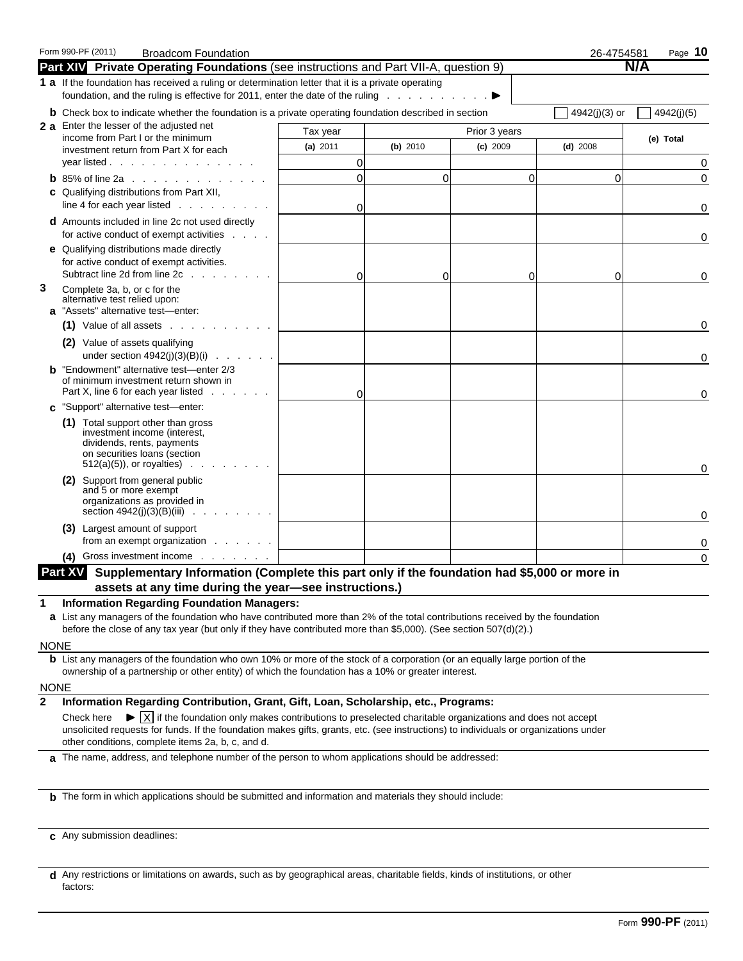|                  | Form 990-PF (2011)<br><b>Broadcom Foundation</b><br><b>Part XIV</b> Private Operating Foundations (see instructions and Part VII-A, question 9)                                                                                                                                                                                                                                                                                                                                                                                                          |                |          |               | 26-4754581    | Page $10$<br>N/A |
|------------------|----------------------------------------------------------------------------------------------------------------------------------------------------------------------------------------------------------------------------------------------------------------------------------------------------------------------------------------------------------------------------------------------------------------------------------------------------------------------------------------------------------------------------------------------------------|----------------|----------|---------------|---------------|------------------|
|                  | 1 a If the foundation has received a ruling or determination letter that it is a private operating<br>foundation, and the ruling is effective for 2011, enter the date of the ruling                                                                                                                                                                                                                                                                                                                                                                     |                |          |               |               |                  |
|                  | <b>b</b> Check box to indicate whether the foundation is a private operating foundation described in section                                                                                                                                                                                                                                                                                                                                                                                                                                             |                |          |               | 4942(j)(3) or | 4942(j)(5)       |
|                  | 2 a Enter the lesser of the adjusted net                                                                                                                                                                                                                                                                                                                                                                                                                                                                                                                 | Tax year       |          | Prior 3 years |               |                  |
|                  | income from Part I or the minimum<br>investment return from Part X for each                                                                                                                                                                                                                                                                                                                                                                                                                                                                              | (a) 2011       | (b) 2010 | $(c)$ 2009    | $(d)$ 2008    | (e) Total        |
|                  | year listed                                                                                                                                                                                                                                                                                                                                                                                                                                                                                                                                              | 0              |          |               |               | 0                |
|                  | <b>b</b> 85% of line 2a                                                                                                                                                                                                                                                                                                                                                                                                                                                                                                                                  | $\overline{0}$ | $\Omega$ | $\Omega$      | $\mathbf{0}$  | 0                |
|                  | <b>c</b> Qualifying distributions from Part XII,                                                                                                                                                                                                                                                                                                                                                                                                                                                                                                         |                |          |               |               |                  |
|                  | line 4 for each year listed $\ldots$                                                                                                                                                                                                                                                                                                                                                                                                                                                                                                                     | 0              |          |               |               | 0                |
|                  | <b>d</b> Amounts included in line 2c not used directly<br>for active conduct of exempt activities                                                                                                                                                                                                                                                                                                                                                                                                                                                        |                |          |               |               | 0                |
|                  | e Qualifying distributions made directly<br>for active conduct of exempt activities.<br>Subtract line 2d from line 2c                                                                                                                                                                                                                                                                                                                                                                                                                                    | $\Omega$       | 0        | 0             | 0             | 0                |
| 3                | Complete 3a, b, or c for the<br>alternative test relied upon:<br>a "Assets" alternative test-enter:                                                                                                                                                                                                                                                                                                                                                                                                                                                      |                |          |               |               |                  |
|                  | $(1)$ Value of all assets $\ldots$ $\ldots$ $\ldots$ $\ldots$                                                                                                                                                                                                                                                                                                                                                                                                                                                                                            |                |          |               |               | 0                |
|                  | (2) Value of assets qualifying<br>under section $4942(j)(3)(B)(i)$                                                                                                                                                                                                                                                                                                                                                                                                                                                                                       |                |          |               |               | 0                |
|                  | <b>b</b> "Endowment" alternative test-enter 2/3<br>of minimum investment return shown in<br>Part X, line 6 for each year listed                                                                                                                                                                                                                                                                                                                                                                                                                          | 0              |          |               |               | 0                |
| c.               | "Support" alternative test-enter:                                                                                                                                                                                                                                                                                                                                                                                                                                                                                                                        |                |          |               |               |                  |
|                  | (1) Total support other than gross<br>investment income (interest,<br>dividends, rents, payments<br>on securities loans (section<br>$512(a)(5)$ , or royalties)                                                                                                                                                                                                                                                                                                                                                                                          |                |          |               |               | 0                |
|                  | (2) Support from general public<br>and 5 or more exempt<br>organizations as provided in<br>section 4942(j)(3)(B)(iii)<br>and the company                                                                                                                                                                                                                                                                                                                                                                                                                 |                |          |               |               | 0                |
|                  | (3) Largest amount of support<br>from an exempt organization                                                                                                                                                                                                                                                                                                                                                                                                                                                                                             |                |          |               |               | 0                |
|                  | (4) Gross investment income                                                                                                                                                                                                                                                                                                                                                                                                                                                                                                                              |                |          |               |               | 0                |
|                  | Part XV Supplementary Information (Complete this part only if the foundation had \$5,000 or more in                                                                                                                                                                                                                                                                                                                                                                                                                                                      |                |          |               |               |                  |
|                  | assets at any time during the year-see instructions.)                                                                                                                                                                                                                                                                                                                                                                                                                                                                                                    |                |          |               |               |                  |
| 1<br><b>NONE</b> | <b>Information Regarding Foundation Managers:</b><br>a List any managers of the foundation who have contributed more than 2% of the total contributions received by the foundation<br>before the close of any tax year (but only if they have contributed more than \$5,000). (See section 507(d)(2).)                                                                                                                                                                                                                                                   |                |          |               |               |                  |
|                  | <b>b</b> List any managers of the foundation who own 10% or more of the stock of a corporation (or an equally large portion of the<br>ownership of a partnership or other entity) of which the foundation has a 10% or greater interest.                                                                                                                                                                                                                                                                                                                 |                |          |               |               |                  |
| <b>NONE</b>      |                                                                                                                                                                                                                                                                                                                                                                                                                                                                                                                                                          |                |          |               |               |                  |
| $\mathbf{2}$     | Information Regarding Contribution, Grant, Gift, Loan, Scholarship, etc., Programs:<br>$\blacktriangleright$ $\mid$ $\mid$ $\mid$ if the foundation only makes contributions to preselected charitable organizations and does not accept<br>Check here<br>unsolicited requests for funds. If the foundation makes gifts, grants, etc. (see instructions) to individuals or organizations under<br>other conditions, complete items 2a, b, c, and d.<br>a The name, address, and telephone number of the person to whom applications should be addressed: |                |          |               |               |                  |
|                  |                                                                                                                                                                                                                                                                                                                                                                                                                                                                                                                                                          |                |          |               |               |                  |
|                  | <b>b</b> The form in which applications should be submitted and information and materials they should include:                                                                                                                                                                                                                                                                                                                                                                                                                                           |                |          |               |               |                  |
|                  | c Any submission deadlines:                                                                                                                                                                                                                                                                                                                                                                                                                                                                                                                              |                |          |               |               |                  |

**d** Any restrictions or limitations on awards, such as by geographical areas, charitable fields, kinds of institutions, or other factors: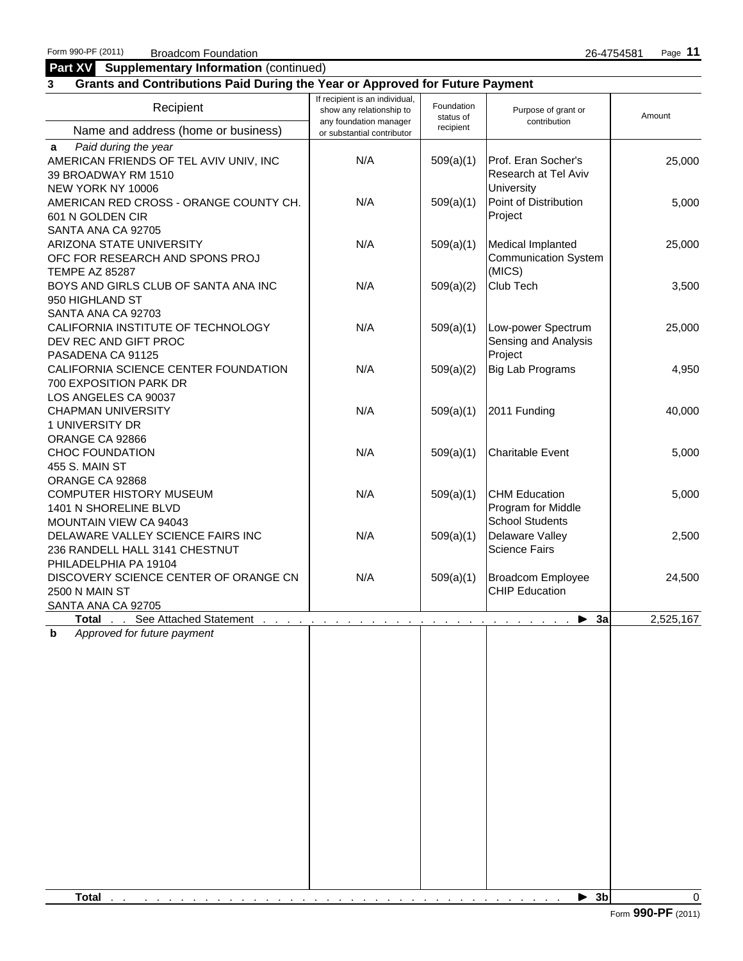#### **Part XV Supplementary Information** (continued) **Enter in Supplementary information** (continued)

# **3 Grants and Contributions Paid During the Year or Approved for Future Payment**

| Recipient                                                                                                  | If recipient is an individual,<br>show any relationship to<br>any foundation manager | Foundation<br>status of | Purpose of grant or<br>contribution                                  | Amount    |  |  |
|------------------------------------------------------------------------------------------------------------|--------------------------------------------------------------------------------------|-------------------------|----------------------------------------------------------------------|-----------|--|--|
| Name and address (home or business)                                                                        | or substantial contributor                                                           | recipient               |                                                                      |           |  |  |
| Paid during the year<br>a<br>AMERICAN FRIENDS OF TEL AVIV UNIV, INC<br>39 BROADWAY RM 1510                 | N/A                                                                                  | 509(a)(1)               | Prof. Eran Socher's<br>Research at Tel Aviv                          | 25,000    |  |  |
| NEW YORK NY 10006<br>AMERICAN RED CROSS - ORANGE COUNTY CH.<br>601 N GOLDEN CIR                            | N/A                                                                                  | 509(a)(1)               | University<br>Point of Distribution<br>Project                       | 5,000     |  |  |
| SANTA ANA CA 92705<br>ARIZONA STATE UNIVERSITY<br>OFC FOR RESEARCH AND SPONS PROJ<br><b>TEMPE AZ 85287</b> | N/A                                                                                  | 509(a)(1)               | Medical Implanted<br><b>Communication System</b><br>(MICS)           | 25,000    |  |  |
| BOYS AND GIRLS CLUB OF SANTA ANA INC<br>950 HIGHLAND ST<br>SANTA ANA CA 92703                              | N/A                                                                                  | 509(a)(2)               | Club Tech                                                            | 3,500     |  |  |
| CALIFORNIA INSTITUTE OF TECHNOLOGY<br>DEV REC AND GIFT PROC<br>PASADENA CA 91125                           | N/A                                                                                  | 509(a)(1)               | Low-power Spectrum<br>Sensing and Analysis<br>Project                | 25,000    |  |  |
| CALIFORNIA SCIENCE CENTER FOUNDATION<br>700 EXPOSITION PARK DR<br>LOS ANGELES CA 90037                     | N/A                                                                                  | 509(a)(2)               | Big Lab Programs                                                     | 4,950     |  |  |
| <b>CHAPMAN UNIVERSITY</b><br>1 UNIVERSITY DR<br>ORANGE CA 92866                                            | N/A                                                                                  | 509(a)(1)               | 2011 Funding                                                         | 40,000    |  |  |
| <b>CHOC FOUNDATION</b><br>455 S. MAIN ST<br>ORANGE CA 92868                                                | N/A                                                                                  | 509(a)(1)               | <b>Charitable Event</b>                                              | 5,000     |  |  |
| <b>COMPUTER HISTORY MUSEUM</b><br>1401 N SHORELINE BLVD<br>MOUNTAIN VIEW CA 94043                          | N/A                                                                                  | 509(a)(1)               | <b>CHM Education</b><br>Program for Middle<br><b>School Students</b> | 5,000     |  |  |
| DELAWARE VALLEY SCIENCE FAIRS INC<br>236 RANDELL HALL 3141 CHESTNUT<br>PHILADELPHIA PA 19104               | N/A                                                                                  | 509(a)(1)               | Delaware Valley<br><b>Science Fairs</b>                              | 2,500     |  |  |
| DISCOVERY SCIENCE CENTER OF ORANGE CN<br>2500 N MAIN ST<br>SANTA ANA CA 92705                              | N/A                                                                                  | 509(a)(1)               | Broadcom Employee<br><b>CHIP Education</b>                           | 24,500    |  |  |
| See Attached Statement<br>Total<br><b>Service Control</b>                                                  |                                                                                      |                         | 3a<br>▶                                                              | 2,525,167 |  |  |
| b<br>Approved for future payment                                                                           |                                                                                      |                         |                                                                      |           |  |  |
| Total                                                                                                      |                                                                                      |                         | $\blacktriangleright$ 3b                                             | $\Omega$  |  |  |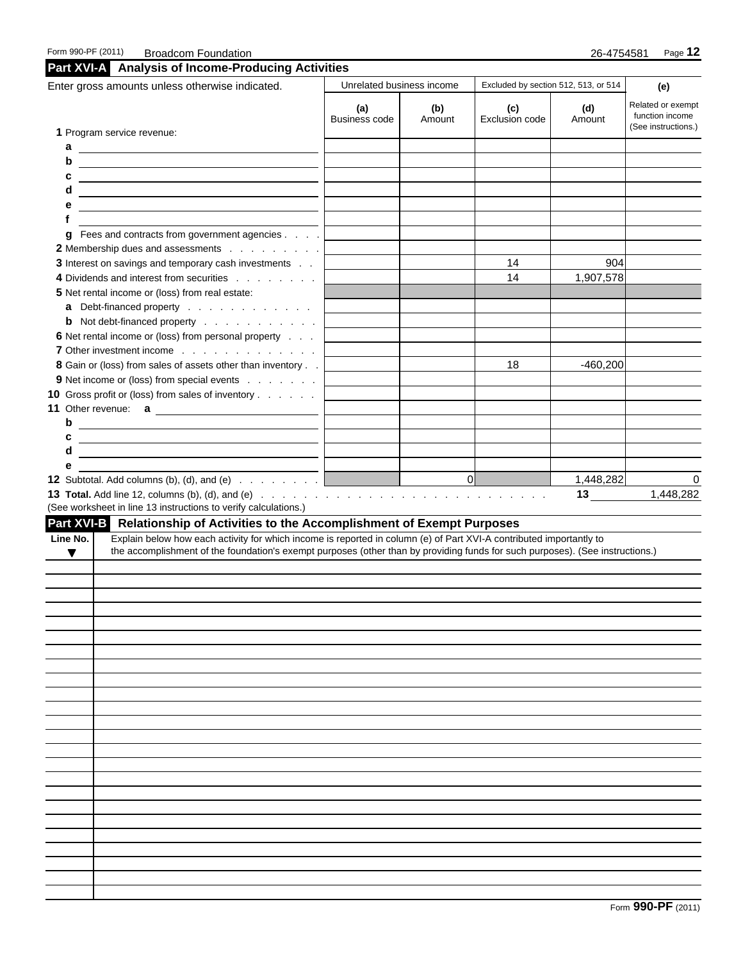|          | Enter gross amounts unless otherwise indicated.                                                                                                                                                                                                      | Unrelated business income   |               | Excluded by section 512, 513, or 514 | (e)           |                                                             |  |
|----------|------------------------------------------------------------------------------------------------------------------------------------------------------------------------------------------------------------------------------------------------------|-----------------------------|---------------|--------------------------------------|---------------|-------------------------------------------------------------|--|
|          | 1 Program service revenue:                                                                                                                                                                                                                           | (a)<br><b>Business code</b> | (b)<br>Amount | (c)<br>Exclusion code                | (d)<br>Amount | Related or exempt<br>function income<br>(See instructions.) |  |
| а        | <u> Alexandria de la contrada de la contrada de la contrada de la contrada de la contrada de la contrada de la c</u>                                                                                                                                 |                             |               |                                      |               |                                                             |  |
| b        | <u> 1988 - Andrea Brand, amerikansk politik (d. 1988)</u>                                                                                                                                                                                            |                             |               |                                      |               |                                                             |  |
| c        | <u> 1989 - Johann Barnett, fransk politiker (d. 1989)</u>                                                                                                                                                                                            |                             |               |                                      |               |                                                             |  |
| d        | <u> 1989 - Johann Barn, fransk politik amerikansk politik (</u>                                                                                                                                                                                      |                             |               |                                      |               |                                                             |  |
| е        |                                                                                                                                                                                                                                                      |                             |               |                                      |               |                                                             |  |
| f        |                                                                                                                                                                                                                                                      |                             |               |                                      |               |                                                             |  |
|          | g Fees and contracts from government agencies                                                                                                                                                                                                        |                             |               |                                      |               |                                                             |  |
|          | 2 Membership dues and assessments<br>3 Interest on savings and temporary cash investments                                                                                                                                                            |                             |               | 14                                   | 904           |                                                             |  |
|          | 4 Dividends and interest from securities                                                                                                                                                                                                             |                             |               | 14                                   | 1,907,578     |                                                             |  |
|          | 5 Net rental income or (loss) from real estate:                                                                                                                                                                                                      |                             |               |                                      |               |                                                             |  |
|          | a Debt-financed property                                                                                                                                                                                                                             |                             |               |                                      |               |                                                             |  |
|          | <b>b</b> Not debt-financed property                                                                                                                                                                                                                  |                             |               |                                      |               |                                                             |  |
|          | 6 Net rental income or (loss) from personal property                                                                                                                                                                                                 |                             |               |                                      |               |                                                             |  |
|          | 7 Other investment income                                                                                                                                                                                                                            |                             |               |                                      |               |                                                             |  |
|          | 8 Gain or (loss) from sales of assets other than inventory                                                                                                                                                                                           |                             |               | 18                                   | $-460,200$    |                                                             |  |
|          | 9 Net income or (loss) from special events                                                                                                                                                                                                           |                             |               |                                      |               |                                                             |  |
|          | 10 Gross profit or (loss) from sales of inventory                                                                                                                                                                                                    |                             |               |                                      |               |                                                             |  |
|          |                                                                                                                                                                                                                                                      |                             |               |                                      |               |                                                             |  |
| b        |                                                                                                                                                                                                                                                      |                             |               |                                      |               |                                                             |  |
| c        | <u> 1989 - Johann Barnett, fransk politiker (d. 1989)</u>                                                                                                                                                                                            |                             |               |                                      |               |                                                             |  |
| d        |                                                                                                                                                                                                                                                      |                             |               |                                      |               |                                                             |  |
| е        |                                                                                                                                                                                                                                                      |                             |               |                                      |               |                                                             |  |
|          | <b>12</b> Subtotal. Add columns (b), (d), and (e) $\ldots$ $\ldots$ $\ldots$                                                                                                                                                                         |                             |               | 0                                    | 1,448,282     | 0                                                           |  |
|          | (See worksheet in line 13 instructions to verify calculations.)                                                                                                                                                                                      |                             |               |                                      | 13            | 1,448,282                                                   |  |
|          | Part XVI-B Relationship of Activities to the Accomplishment of Exempt Purposes                                                                                                                                                                       |                             |               |                                      |               |                                                             |  |
| Line No. | Explain below how each activity for which income is reported in column (e) of Part XVI-A contributed importantly to<br>the accomplishment of the foundation's exempt purposes (other than by providing funds for such purposes). (See instructions.) |                             |               |                                      |               |                                                             |  |
| ▼        |                                                                                                                                                                                                                                                      |                             |               |                                      |               |                                                             |  |
|          |                                                                                                                                                                                                                                                      |                             |               |                                      |               |                                                             |  |
|          |                                                                                                                                                                                                                                                      |                             |               |                                      |               |                                                             |  |
|          |                                                                                                                                                                                                                                                      |                             |               |                                      |               |                                                             |  |
|          |                                                                                                                                                                                                                                                      |                             |               |                                      |               |                                                             |  |
|          |                                                                                                                                                                                                                                                      |                             |               |                                      |               |                                                             |  |
|          |                                                                                                                                                                                                                                                      |                             |               |                                      |               |                                                             |  |
|          |                                                                                                                                                                                                                                                      |                             |               |                                      |               |                                                             |  |
|          |                                                                                                                                                                                                                                                      |                             |               |                                      |               |                                                             |  |
|          |                                                                                                                                                                                                                                                      |                             |               |                                      |               |                                                             |  |
|          |                                                                                                                                                                                                                                                      |                             |               |                                      |               |                                                             |  |
|          |                                                                                                                                                                                                                                                      |                             |               |                                      |               |                                                             |  |
|          |                                                                                                                                                                                                                                                      |                             |               |                                      |               |                                                             |  |
|          |                                                                                                                                                                                                                                                      |                             |               |                                      |               |                                                             |  |
|          |                                                                                                                                                                                                                                                      |                             |               |                                      |               |                                                             |  |
|          |                                                                                                                                                                                                                                                      |                             |               |                                      |               |                                                             |  |
|          |                                                                                                                                                                                                                                                      |                             |               |                                      |               |                                                             |  |
|          |                                                                                                                                                                                                                                                      |                             |               |                                      |               |                                                             |  |
|          |                                                                                                                                                                                                                                                      |                             |               |                                      |               |                                                             |  |
|          |                                                                                                                                                                                                                                                      |                             |               |                                      |               |                                                             |  |
|          |                                                                                                                                                                                                                                                      |                             |               |                                      |               |                                                             |  |
|          |                                                                                                                                                                                                                                                      |                             |               |                                      |               |                                                             |  |
|          |                                                                                                                                                                                                                                                      |                             |               |                                      |               |                                                             |  |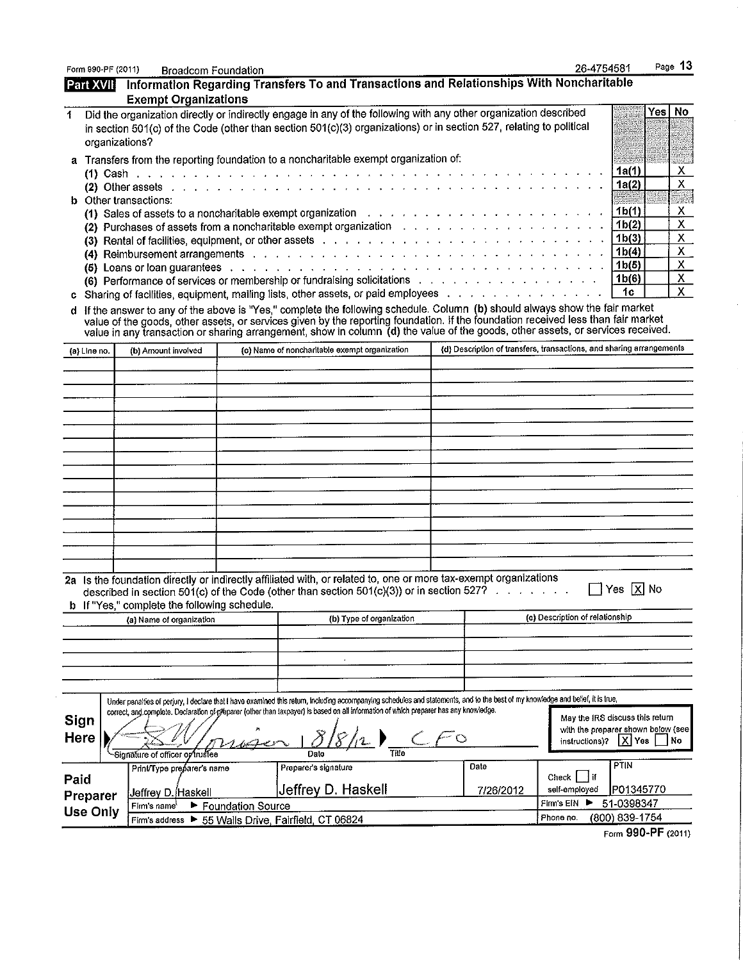| Form 990-PF (2011) |                                                      | <b>Broadcom Foundation</b>                   |                   |                                                                                                                                                                                                                                                                                                                                                                                                                                                                  |  |           | 26-4754581                                                           |                                          |     | Page 13                        |
|--------------------|------------------------------------------------------|----------------------------------------------|-------------------|------------------------------------------------------------------------------------------------------------------------------------------------------------------------------------------------------------------------------------------------------------------------------------------------------------------------------------------------------------------------------------------------------------------------------------------------------------------|--|-----------|----------------------------------------------------------------------|------------------------------------------|-----|--------------------------------|
| Part XVII          |                                                      |                                              |                   | Information Regarding Transfers To and Transactions and Relationships With Noncharitable                                                                                                                                                                                                                                                                                                                                                                         |  |           |                                                                      |                                          |     |                                |
|                    |                                                      | <b>Exempt Organizations</b>                  |                   |                                                                                                                                                                                                                                                                                                                                                                                                                                                                  |  |           |                                                                      |                                          |     |                                |
| 1                  | organizations?                                       |                                              |                   | Did the organization directly or indirectly engage in any of the following with any other organization described<br>in section 501(c) of the Code (other than section 501(c)(3) organizations) or in section 527, relating to political                                                                                                                                                                                                                          |  |           |                                                                      |                                          | Yes | No                             |
|                    |                                                      |                                              |                   | a Transfers from the reporting foundation to a noncharitable exempt organization of:                                                                                                                                                                                                                                                                                                                                                                             |  |           |                                                                      |                                          |     |                                |
|                    |                                                      |                                              |                   |                                                                                                                                                                                                                                                                                                                                                                                                                                                                  |  |           |                                                                      | 1a(1)                                    |     | $\mathsf{X}^-$                 |
|                    |                                                      | <b>b</b> Other transactions:                 |                   |                                                                                                                                                                                                                                                                                                                                                                                                                                                                  |  |           |                                                                      | 1a(2)                                    |     | $\pmb{\mathsf{X}}$             |
|                    |                                                      |                                              |                   | (1) Sales of assets to a noncharitable exempt organization with a subseted by sales of assets to a noncharitable exempt organization with a subseted by sales of assets to a non-                                                                                                                                                                                                                                                                                |  |           |                                                                      | 1b(1)                                    |     | X<br>$\boldsymbol{\mathsf{X}}$ |
|                    |                                                      |                                              |                   | (2) Purchases of assets from a noncharitable exempt organization response to the content of the set of the content                                                                                                                                                                                                                                                                                                                                               |  |           |                                                                      | 1 <sub>b</sub> (2)<br>1 <sub>b</sub> (3) |     | $\mathsf{X}^-$                 |
|                    |                                                      |                                              |                   | (3) Rental of facilities, equipment, or other assets with a state of the content of the state of facilities, equipment, or other assets with a state of the content of the state of the state of the state of the state of the<br>(4) Reimbursement arrangements with a contract of the contract of the contract of the contract of the contract of the contract of the contract of the contract of the contract of the contract of the contract of the contract |  |           |                                                                      | 1b(4)                                    |     | $\mathsf{X}$                   |
|                    |                                                      |                                              |                   | (5) Loans or loan guarantees enterprise and a series of the series of the series of the series of the series of the series of the series of the series of the series of the series of the series of the series of the series o                                                                                                                                                                                                                                   |  |           |                                                                      | 1 <sub>b(5)</sub>                        |     | $\mathsf{X}$                   |
|                    |                                                      |                                              |                   | (6) Performance of services or membership or fundraising solicitations                                                                                                                                                                                                                                                                                                                                                                                           |  |           |                                                                      | 1 <sub>b</sub> (6)                       |     | $\mathsf{X}^-$                 |
|                    |                                                      |                                              |                   | c Sharing of facilities, equipment, mailing lists, other assets, or paid employees with a state of the content of                                                                                                                                                                                                                                                                                                                                                |  |           |                                                                      | 1c                                       |     | $\mathsf{X}^-$                 |
|                    |                                                      |                                              |                   | d If the answer to any of the above is "Yes," complete the following schedule. Column (b) should always show the fair market                                                                                                                                                                                                                                                                                                                                     |  |           |                                                                      |                                          |     |                                |
|                    |                                                      |                                              |                   | value of the goods, other assets, or services given by the reporting foundation. If the foundation received less than fair market<br>value in any transaction or sharing arrangement, show in column (d) the value of the goods, other assets, or services received.                                                                                                                                                                                             |  |           |                                                                      |                                          |     |                                |
| (a) Line no.       |                                                      | (b) Amount involved                          |                   | (c) Name of noncharitable exempt organization                                                                                                                                                                                                                                                                                                                                                                                                                    |  |           | (d) Description of transfers, transactions, and sharing arrangements |                                          |     |                                |
|                    |                                                      |                                              |                   |                                                                                                                                                                                                                                                                                                                                                                                                                                                                  |  |           |                                                                      |                                          |     |                                |
|                    |                                                      |                                              |                   |                                                                                                                                                                                                                                                                                                                                                                                                                                                                  |  |           |                                                                      |                                          |     |                                |
|                    |                                                      |                                              |                   |                                                                                                                                                                                                                                                                                                                                                                                                                                                                  |  |           |                                                                      |                                          |     |                                |
|                    |                                                      |                                              |                   |                                                                                                                                                                                                                                                                                                                                                                                                                                                                  |  |           |                                                                      |                                          |     |                                |
|                    |                                                      |                                              |                   |                                                                                                                                                                                                                                                                                                                                                                                                                                                                  |  |           |                                                                      |                                          |     |                                |
|                    |                                                      |                                              |                   |                                                                                                                                                                                                                                                                                                                                                                                                                                                                  |  |           |                                                                      |                                          |     |                                |
|                    |                                                      |                                              |                   |                                                                                                                                                                                                                                                                                                                                                                                                                                                                  |  |           |                                                                      |                                          |     |                                |
|                    |                                                      |                                              |                   |                                                                                                                                                                                                                                                                                                                                                                                                                                                                  |  |           |                                                                      |                                          |     |                                |
|                    |                                                      |                                              |                   |                                                                                                                                                                                                                                                                                                                                                                                                                                                                  |  |           |                                                                      |                                          |     |                                |
|                    |                                                      |                                              |                   |                                                                                                                                                                                                                                                                                                                                                                                                                                                                  |  |           |                                                                      |                                          |     |                                |
|                    |                                                      |                                              |                   |                                                                                                                                                                                                                                                                                                                                                                                                                                                                  |  |           |                                                                      |                                          |     |                                |
|                    |                                                      |                                              |                   |                                                                                                                                                                                                                                                                                                                                                                                                                                                                  |  |           |                                                                      |                                          |     |                                |
|                    |                                                      |                                              |                   |                                                                                                                                                                                                                                                                                                                                                                                                                                                                  |  |           |                                                                      |                                          |     |                                |
|                    |                                                      |                                              |                   |                                                                                                                                                                                                                                                                                                                                                                                                                                                                  |  |           |                                                                      |                                          |     |                                |
|                    |                                                      |                                              |                   |                                                                                                                                                                                                                                                                                                                                                                                                                                                                  |  |           |                                                                      |                                          |     |                                |
|                    |                                                      | b If "Yes," complete the following schedule. |                   | 2a Is the foundation directly or indirectly affiliated with, or related to, one or more tax-exempt organizations<br>described in section 501(c) of the Code (other than section 501(c)(3)) or in section 527?                                                                                                                                                                                                                                                    |  |           |                                                                      | $\Box$ Yes $\overline{X}$ No             |     |                                |
|                    |                                                      | (a) Name of organization                     |                   | (b) Type of organization                                                                                                                                                                                                                                                                                                                                                                                                                                         |  |           | (c) Description of relationship                                      |                                          |     |                                |
|                    |                                                      |                                              |                   |                                                                                                                                                                                                                                                                                                                                                                                                                                                                  |  |           |                                                                      |                                          |     |                                |
|                    |                                                      |                                              |                   |                                                                                                                                                                                                                                                                                                                                                                                                                                                                  |  |           |                                                                      |                                          |     |                                |
|                    |                                                      |                                              |                   |                                                                                                                                                                                                                                                                                                                                                                                                                                                                  |  |           |                                                                      |                                          |     |                                |
|                    |                                                      |                                              |                   |                                                                                                                                                                                                                                                                                                                                                                                                                                                                  |  |           |                                                                      |                                          |     |                                |
|                    |                                                      |                                              |                   |                                                                                                                                                                                                                                                                                                                                                                                                                                                                  |  |           |                                                                      |                                          |     |                                |
|                    |                                                      |                                              |                   | Under penalties of perjury, I declare that I have examined this return, including accompanying schedules and statements, and to the best of my knowledge and belief, it is lrue,<br>correct, and complete. Declaration of proparer (other than taxpayer) is based on all information of which preparer has any knowledge.                                                                                                                                        |  |           |                                                                      |                                          |     |                                |
| Sign               |                                                      |                                              |                   |                                                                                                                                                                                                                                                                                                                                                                                                                                                                  |  |           | May the IRS discuss this return                                      |                                          |     |                                |
| Here               |                                                      |                                              |                   |                                                                                                                                                                                                                                                                                                                                                                                                                                                                  |  |           | with the preparer shown below (see<br>instructions)?                 | IXI Yes                                  |     | No                             |
|                    |                                                      | Signature of officer optrustee               |                   | Title<br>Date                                                                                                                                                                                                                                                                                                                                                                                                                                                    |  |           |                                                                      |                                          |     |                                |
|                    |                                                      | Print/Type preparer's name                   |                   | Preparer's signature                                                                                                                                                                                                                                                                                                                                                                                                                                             |  | Date      |                                                                      | PTIN                                     |     |                                |
| Paid               |                                                      |                                              |                   |                                                                                                                                                                                                                                                                                                                                                                                                                                                                  |  |           | Check $\vert \cdot \vert$ if                                         |                                          |     |                                |
| Preparer           |                                                      | Jeffrey D. Haskell                           |                   | Jeffrey D. Haskell                                                                                                                                                                                                                                                                                                                                                                                                                                               |  | 7/26/2012 | self-employed                                                        | P01345770                                |     |                                |
| Use Only           |                                                      | Firm's name <sup>t</sup>                     | Foundation Source |                                                                                                                                                                                                                                                                                                                                                                                                                                                                  |  |           | Firm s EIN                                                           | 51-0398347                               |     |                                |
|                    | Firm's address ▶ 55 Walls Drive, Fairfield, CT 06824 |                                              |                   |                                                                                                                                                                                                                                                                                                                                                                                                                                                                  |  |           | Phone no.                                                            | (800) 839-1754                           |     |                                |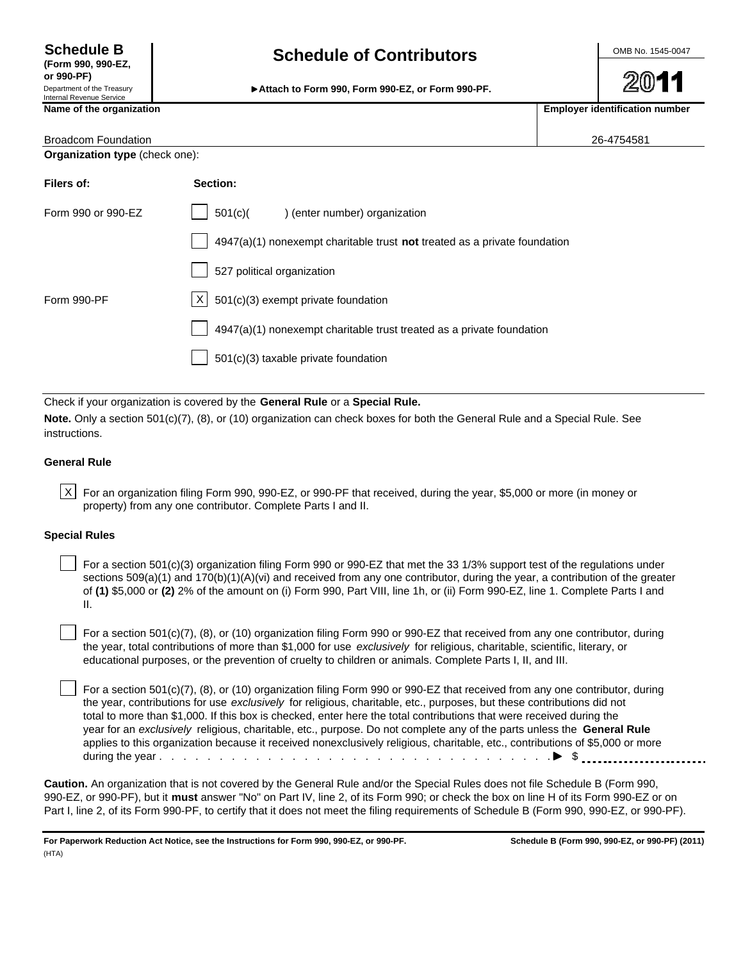**or 990-PF)** Department of the Treasury Internal Revenue Service

# Schedule B<br> **(Form 990, 990-EZ, Contributors Contributors**

**Attach to Form 990, Form 990-EZ, or Form 990-PF.**

Name of the organization **Employer identification** number

| <b>Broadcom Foundation</b>     |                                                                             | 26-4754581 |
|--------------------------------|-----------------------------------------------------------------------------|------------|
| Organization type (check one): |                                                                             |            |
| Filers of:                     | Section:                                                                    |            |
| Form 990 or 990-EZ             | 501(c)<br>) (enter number) organization                                     |            |
|                                | $4947(a)(1)$ nonexempt charitable trust not treated as a private foundation |            |
|                                | 527 political organization                                                  |            |
| Form 990-PF                    | $X \mid 501(c)(3)$ exempt private foundation                                |            |
|                                | 4947(a)(1) nonexempt charitable trust treated as a private foundation       |            |
|                                | 501(c)(3) taxable private foundation                                        |            |

Check if your organization is covered by the **General Rule** or a **Special Rule.**

**Note.** Only a section 501(c)(7), (8), or (10) organization can check boxes for both the General Rule and a Special Rule. See instructions.

#### **General Rule**

 $|X|$  For an organization filing Form 990, 990-EZ, or 990-PF that received, during the year, \$5,000 or more (in money or property) from any one contributor. Complete Parts I and II.

#### **Special Rules**

 For a section 501(c)(3) organization filing Form 990 or 990-EZ that met the 33 1/3% support test of the regulations under sections  $509(a)(1)$  and  $170(b)(1)(A)(vi)$  and received from any one contributor, during the year, a contribution of the greater of **(1)** \$5,000 or **(2)** 2% of the amount on (i) Form 990, Part VIII, line 1h, or (ii) Form 990-EZ, line 1. Complete Parts I and II.

 For a section 501(c)(7), (8), or (10) organization filing Form 990 or 990-EZ that received from any one contributor, during the year, total contributions of more than \$1,000 for use *exclusively* for religious, charitable, scientific, literary, or educational purposes, or the prevention of cruelty to children or animals. Complete Parts I, II, and III.

 For a section 501(c)(7), (8), or (10) organization filing Form 990 or 990-EZ that received from any one contributor, during the year, contributions for use *exclusively* for religious, charitable, etc., purposes, but these contributions did not total to more than \$1,000. If this box is checked, enter here the total contributions that were received during the year for an *exclusively* religious, charitable, etc., purpose. Do not complete any of the parts unless the **General Rule** applies to this organization because it received nonexclusively religious, charitable, etc., contributions of \$5,000 or more during the year . . . . . . . . . . . . . . . . . . . . . . . . . . . . . . . . . \$

**Caution.** An organization that is not covered by the General Rule and/or the Special Rules does not file Schedule B (Form 990, 990-EZ, or 990-PF), but it **must** answer "No" on Part IV, line 2, of its Form 990; or check the box on line H of its Form 990-EZ or on Part I, line 2, of its Form 990-PF, to certify that it does not meet the filing requirements of Schedule B (Form 990, 990-EZ, or 990-PF).

**For Paperwork Reduction Act Notice, see the Instructions for Form 990, 990-EZ, or 990-PF. Schedule B (Form 990, 990-EZ, or 990-PF) (2011)** (HTA)

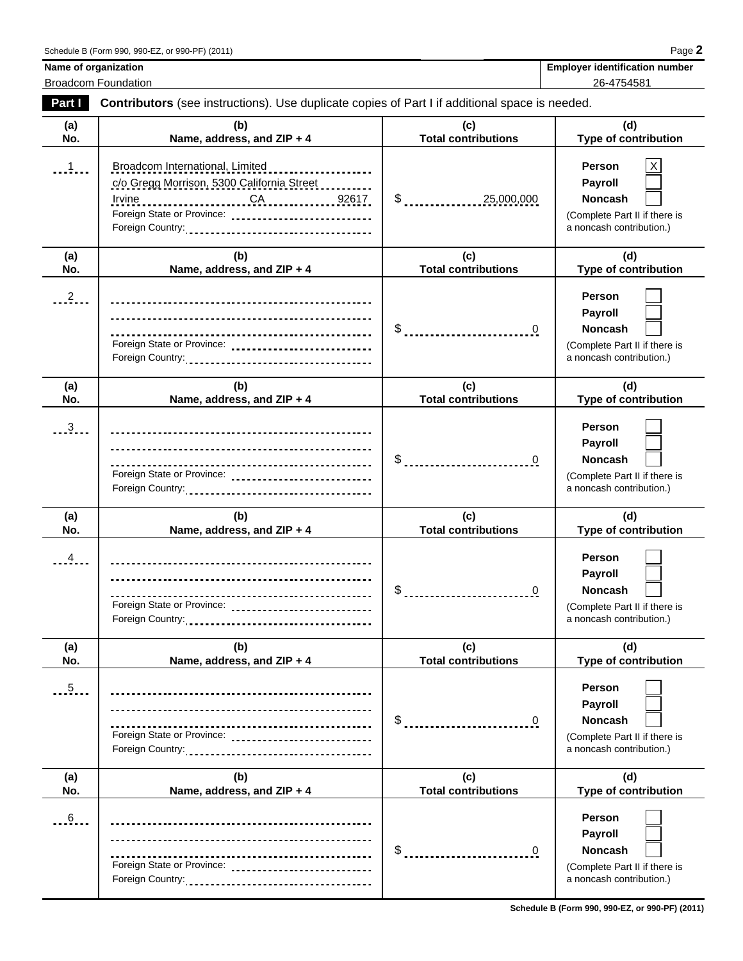| <b>Employer identification number</b> |
|---------------------------------------|
| $96 - 1751581$                        |

**Name of organization** Broadcom Foundation 26-4754581

| Part I         | Contributors (see instructions). Use duplicate copies of Part I if additional space is needed.                        |                                   |                                                                                                         |  |  |  |  |
|----------------|-----------------------------------------------------------------------------------------------------------------------|-----------------------------------|---------------------------------------------------------------------------------------------------------|--|--|--|--|
| (a)<br>No.     | (b)<br>Name, address, and ZIP + 4                                                                                     | (c)<br><b>Total contributions</b> | (d)<br>Type of contribution                                                                             |  |  |  |  |
| $\frac{1}{2}$  | Broadcom International, Limited<br>c/o Gregg Morrison, 5300 California Street<br>Irvine<br>Foreign State or Province: | $\frac{1}{2}$<br>25,000,000       | Person<br>Χ<br>Payroll<br><b>Noncash</b><br>(Complete Part II if there is<br>a noncash contribution.)   |  |  |  |  |
| (a)<br>No.     | (b)<br>Name, address, and ZIP + 4                                                                                     | (c)<br><b>Total contributions</b> | (d)<br><b>Type of contribution</b>                                                                      |  |  |  |  |
| 2.1            | Foreign State or Province:                                                                                            | \$<br>0                           | Person<br>Payroll<br>Noncash<br>(Complete Part II if there is<br>a noncash contribution.)               |  |  |  |  |
| (a)<br>No.     | (b)<br>Name, address, and ZIP + 4                                                                                     | (c)<br><b>Total contributions</b> | (d)<br><b>Type of contribution</b>                                                                      |  |  |  |  |
| $\frac{3}{2}$  | Foreign State or Province:                                                                                            |                                   | Person<br><b>Payroll</b><br><b>Noncash</b><br>(Complete Part II if there is<br>a noncash contribution.) |  |  |  |  |
| (a)<br>No.     | (b)<br>Name, address, and ZIP + 4                                                                                     | (c)<br><b>Total contributions</b> | (d)<br><b>Type of contribution</b>                                                                      |  |  |  |  |
| $\overline{4}$ | Foreign State or Province:                                                                                            | \$                                | <b>Person</b><br>Payroll<br><b>Noncash</b><br>(Complete Part II if there is<br>a noncash contribution.) |  |  |  |  |
| (a)<br>No.     | (b)<br>Name, address, and ZIP + 4                                                                                     | (c)<br><b>Total contributions</b> | (d)<br><b>Type of contribution</b>                                                                      |  |  |  |  |
| .5.            | <u>-------------------------------</u><br>Foreign State or Province:                                                  | \$<br>0                           | Person<br><b>Payroll</b><br>Noncash<br>(Complete Part II if there is<br>a noncash contribution.)        |  |  |  |  |
| (a)<br>No.     | (b)<br>Name, address, and ZIP + 4                                                                                     | (c)<br><b>Total contributions</b> | (d)<br><b>Type of contribution</b>                                                                      |  |  |  |  |
| .6             | Foreign State or Province:                                                                                            | \$<br>0                           | <b>Person</b><br><b>Payroll</b><br>Noncash<br>(Complete Part II if there is<br>a noncash contribution.) |  |  |  |  |

**Schedule B (Form 990, 990-EZ, or 990-PF) (2011)**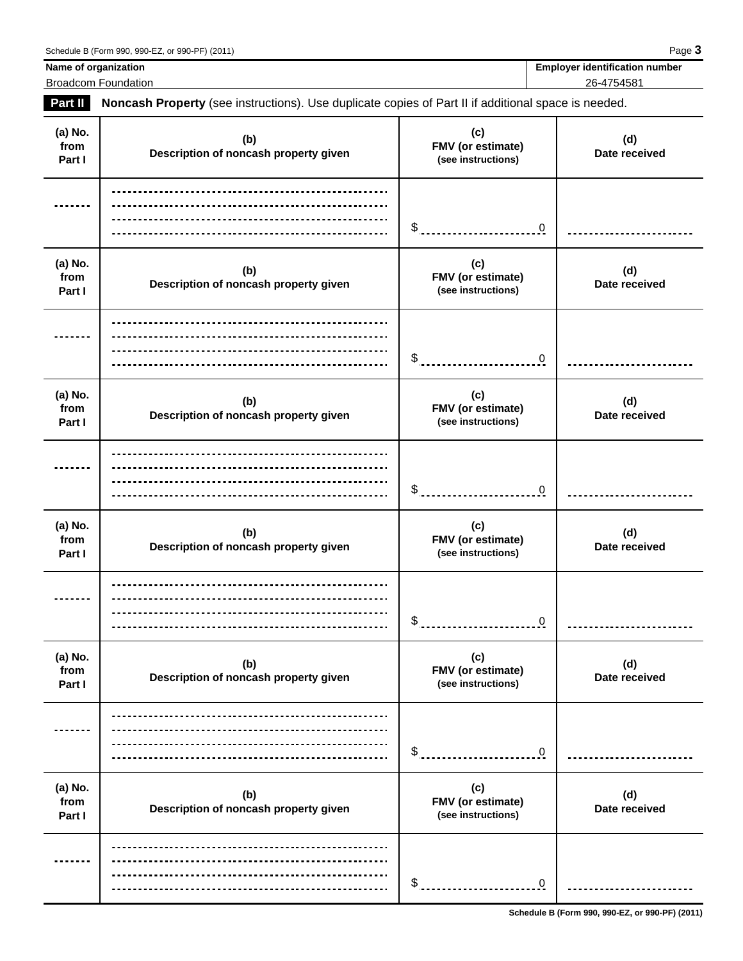**Name of organization Name of organization Employer identification number** Broadcom Foundation 26-4754581

**Part II Noncash Property** (see instructions). Use duplicate copies of Part II if additional space is needed.

| (a) No.<br>from<br>Part I | (b)<br>Description of noncash property given | (c)<br>FMV (or estimate)<br>(see instructions) | (d)<br>Date received |
|---------------------------|----------------------------------------------|------------------------------------------------|----------------------|
|                           |                                              | \$<br>$\mathbf 0$                              |                      |
| (a) No.<br>from<br>Part I | (b)<br>Description of noncash property given | (c)<br>FMV (or estimate)<br>(see instructions) | (d)<br>Date received |
|                           |                                              | \$<br>$\mathbf 0$                              |                      |
| (a) No.<br>from<br>Part I | (b)<br>Description of noncash property given | (c)<br>FMV (or estimate)<br>(see instructions) | (d)<br>Date received |
|                           |                                              | \$<br>$\mathbf 0$                              |                      |
| (a) No.<br>from<br>Part I | (b)<br>Description of noncash property given | (c)<br>FMV (or estimate)<br>(see instructions) | (d)<br>Date received |
|                           |                                              | \$<br>$\mathbf 0$                              |                      |
| (a) No.<br>from<br>Part I | (b)<br>Description of noncash property given | (c)<br>FMV (or estimate)<br>(see instructions) | (d)<br>Date received |
|                           |                                              | \$<br>$\mathbf 0$                              |                      |
| (a) No.<br>from<br>Part I | (b)<br>Description of noncash property given | (c)<br>FMV (or estimate)<br>(see instructions) | (d)<br>Date received |
|                           |                                              | \$<br>$\overline{0}$                           |                      |

**Schedule B (Form 990, 990-EZ, or 990-PF) (2011)**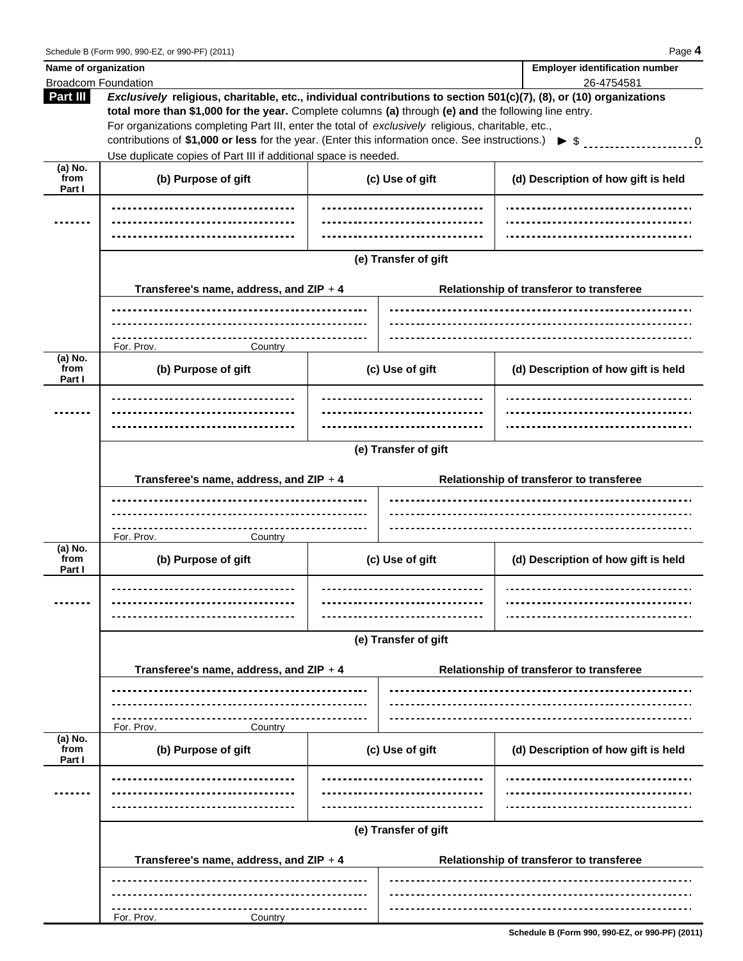| Name of organization                          |                                                                                                                                                                                                                                                                                                                                                                                                                                                                                                       |                                          |                      | <b>Employer identification number</b>    |  |  |  |
|-----------------------------------------------|-------------------------------------------------------------------------------------------------------------------------------------------------------------------------------------------------------------------------------------------------------------------------------------------------------------------------------------------------------------------------------------------------------------------------------------------------------------------------------------------------------|------------------------------------------|----------------------|------------------------------------------|--|--|--|
| Part III                                      | <b>Broadcom Foundation</b><br>26-4754581<br>Exclusively religious, charitable, etc., individual contributions to section 501(c)(7), (8), or (10) organizations<br>total more than \$1,000 for the year. Complete columns (a) through (e) and the following line entry.<br>For organizations completing Part III, enter the total of exclusively religious, charitable, etc.,<br>contributions of \$1,000 or less for the year. (Enter this information once. See instructions.) $\triangleright$ \$ 0 |                                          |                      |                                          |  |  |  |
|                                               | Use duplicate copies of Part III if additional space is needed.                                                                                                                                                                                                                                                                                                                                                                                                                                       |                                          |                      |                                          |  |  |  |
| $(a)$ No.<br>from<br>Part I                   | (b) Purpose of gift                                                                                                                                                                                                                                                                                                                                                                                                                                                                                   |                                          | (c) Use of gift      | (d) Description of how gift is held      |  |  |  |
|                                               |                                                                                                                                                                                                                                                                                                                                                                                                                                                                                                       |                                          |                      |                                          |  |  |  |
|                                               |                                                                                                                                                                                                                                                                                                                                                                                                                                                                                                       |                                          | (e) Transfer of gift |                                          |  |  |  |
|                                               | Transferee's name, address, and ZIP + 4                                                                                                                                                                                                                                                                                                                                                                                                                                                               | Relationship of transferor to transferee |                      |                                          |  |  |  |
|                                               |                                                                                                                                                                                                                                                                                                                                                                                                                                                                                                       |                                          |                      |                                          |  |  |  |
|                                               | ___________________<br>For. Prov.<br>Country                                                                                                                                                                                                                                                                                                                                                                                                                                                          |                                          |                      |                                          |  |  |  |
| (a) $\overline{\text{No.}}$<br>from<br>Part I | (b) Purpose of gift                                                                                                                                                                                                                                                                                                                                                                                                                                                                                   | (c) Use of gift                          |                      | (d) Description of how gift is held      |  |  |  |
|                                               |                                                                                                                                                                                                                                                                                                                                                                                                                                                                                                       |                                          |                      |                                          |  |  |  |
|                                               |                                                                                                                                                                                                                                                                                                                                                                                                                                                                                                       |                                          |                      |                                          |  |  |  |
|                                               | (e) Transfer of gift                                                                                                                                                                                                                                                                                                                                                                                                                                                                                  |                                          |                      |                                          |  |  |  |
|                                               | Transferee's name, address, and $ZIP + 4$                                                                                                                                                                                                                                                                                                                                                                                                                                                             | Relationship of transferor to transferee |                      |                                          |  |  |  |
|                                               | .                                                                                                                                                                                                                                                                                                                                                                                                                                                                                                     |                                          |                      |                                          |  |  |  |
| (a) No.<br>from<br>Part I                     | For. Prov.<br>Country<br>(b) Purpose of gift                                                                                                                                                                                                                                                                                                                                                                                                                                                          |                                          | (c) Use of gift      | (d) Description of how gift is held      |  |  |  |
|                                               | <u>------------------------------</u>                                                                                                                                                                                                                                                                                                                                                                                                                                                                 |                                          |                      |                                          |  |  |  |
|                                               | (e) Transfer of gift                                                                                                                                                                                                                                                                                                                                                                                                                                                                                  |                                          |                      |                                          |  |  |  |
|                                               | Transferee's name, address, and ZIP + 4<br>Relationship of transferor to transferee                                                                                                                                                                                                                                                                                                                                                                                                                   |                                          |                      |                                          |  |  |  |
|                                               |                                                                                                                                                                                                                                                                                                                                                                                                                                                                                                       |                                          |                      |                                          |  |  |  |
|                                               | For. Prov.<br>Country                                                                                                                                                                                                                                                                                                                                                                                                                                                                                 |                                          |                      |                                          |  |  |  |
| (a) No.<br>from<br>Part I                     | (b) Purpose of gift                                                                                                                                                                                                                                                                                                                                                                                                                                                                                   |                                          | (c) Use of gift      | (d) Description of how gift is held      |  |  |  |
|                                               |                                                                                                                                                                                                                                                                                                                                                                                                                                                                                                       |                                          |                      |                                          |  |  |  |
|                                               |                                                                                                                                                                                                                                                                                                                                                                                                                                                                                                       |                                          |                      |                                          |  |  |  |
|                                               | (e) Transfer of gift                                                                                                                                                                                                                                                                                                                                                                                                                                                                                  |                                          |                      |                                          |  |  |  |
|                                               | Transferee's name, address, and ZIP + 4                                                                                                                                                                                                                                                                                                                                                                                                                                                               |                                          |                      | Relationship of transferor to transferee |  |  |  |
|                                               |                                                                                                                                                                                                                                                                                                                                                                                                                                                                                                       |                                          |                      |                                          |  |  |  |
|                                               | For. Prov.<br>Country                                                                                                                                                                                                                                                                                                                                                                                                                                                                                 |                                          |                      |                                          |  |  |  |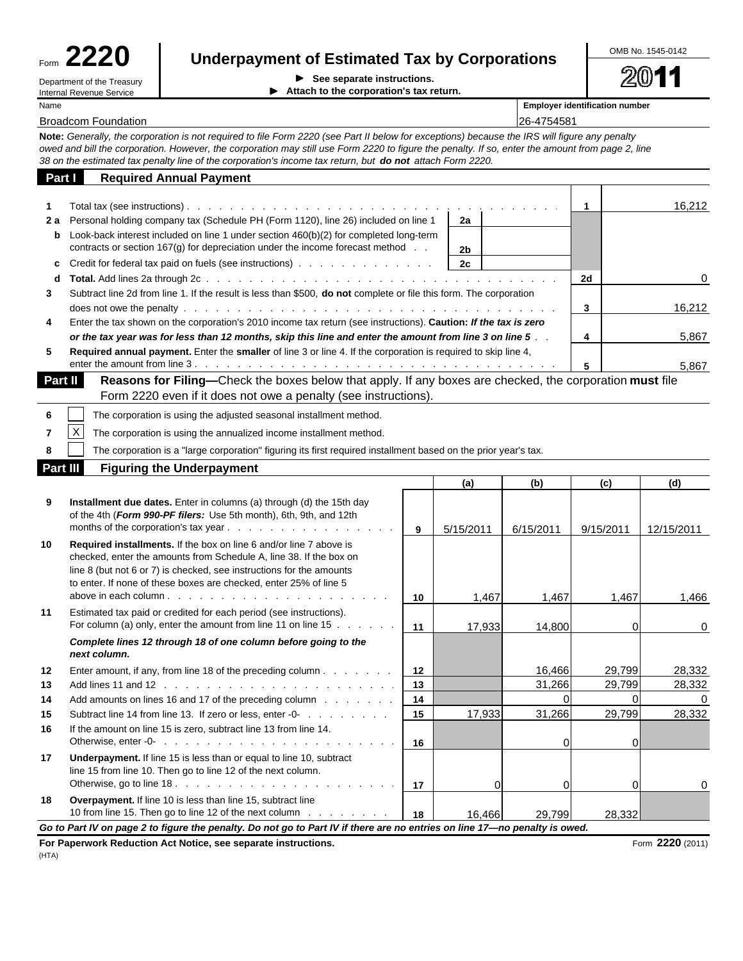| orm |  | <b>1220</b> |  |
|-----|--|-------------|--|
|     |  |             |  |

Name **Employer identification number**

# Form **2220 Underpayment of Estimated Tax by Corporations**

Department of the Treasury **See separate instructions.**<br>
Internal Revenue Service **Section Section Section Section Section Section Section Section Section Section Section Section Section Section Sec Internal Attach to the corporation's tax return.**  OMB No. 1545-0142

20 11

Broadcom Foundation 26-4754581

**Note:** *Generally, the corporation is not required to file Form 2220 (see Part II below for exceptions) because the IRS will figure any penalty owed and bill the corporation. However, the corporation may still use Form 2220 to figure the penalty. If so, enter the amount from page 2, line 38 on the estimated tax penalty line of the corporation's income tax return, but do not attach Form 2220.*

| Part I         | <b>Required Annual Payment</b>                                                                                                                                                    |    |    |          |
|----------------|-----------------------------------------------------------------------------------------------------------------------------------------------------------------------------------|----|----|----------|
|                |                                                                                                                                                                                   |    |    | 16,212   |
| 2а             | Personal holding company tax (Schedule PH (Form 1120), line 26) included on line 1                                                                                                | 2a |    |          |
| b              | Look-back interest included on line 1 under section 460(b)(2) for completed long-term<br>contracts or section $167(g)$ for depreciation under the income forecast method $\ldots$ | 2b |    |          |
| C              |                                                                                                                                                                                   | 2c |    |          |
| d              |                                                                                                                                                                                   |    | 2d | $\Omega$ |
| 3              | Subtract line 2d from line 1. If the result is less than \$500, <b>do not</b> complete or file this form. The corporation                                                         |    |    |          |
|                |                                                                                                                                                                                   |    | 3  | 16,212   |
| 4              | Enter the tax shown on the corporation's 2010 income tax return (see instructions). Caution: If the tax is zero                                                                   |    |    |          |
|                | or the tax year was for less than 12 months, skip this line and enter the amount from line 3 on line 5                                                                            |    |    | 5,867    |
| 5              | Required annual payment. Enter the smaller of line 3 or line 4. If the corporation is required to skip line 4,                                                                    |    |    |          |
|                |                                                                                                                                                                                   |    | 5  | 5,867    |
| <b>Part II</b> | <b>Reasons for Filing—Check the boxes below that apply. If any boxes are checked, the corporation must file</b>                                                                   |    |    |          |

| .        |          | <b>Thedocities for Finited C</b> hook and boxed bolow that apply. If any boxed are chooked, the corporation <b>must</b> me |
|----------|----------|----------------------------------------------------------------------------------------------------------------------------|
|          |          | Form 2220 even if it does not owe a penalty (see instructions).                                                            |
|          |          | The corporation is using the adjusted seasonal installment method.                                                         |
|          | $\times$ | The corporation is using the annualized income installment method.                                                         |
|          |          | The corporation is a "large corporation" figuring its first required installment based on the prior year's tax.            |
| Part III |          | <b>Figuring the Underpayment</b>                                                                                           |

|    |                                                                                                                                                                                                                                                                                                                                                                                                |    | (a)       | (b)       | (c)       | (d)        |  |  |
|----|------------------------------------------------------------------------------------------------------------------------------------------------------------------------------------------------------------------------------------------------------------------------------------------------------------------------------------------------------------------------------------------------|----|-----------|-----------|-----------|------------|--|--|
| 9  | Installment due dates. Enter in columns (a) through (d) the 15th day<br>of the 4th (Form 990-PF filers: Use 5th month), 6th, 9th, and 12th                                                                                                                                                                                                                                                     | 9  | 5/15/2011 | 6/15/2011 | 9/15/2011 | 12/15/2011 |  |  |
| 10 | Required installments. If the box on line 6 and/or line 7 above is<br>checked, enter the amounts from Schedule A, line 38. If the box on<br>line 8 (but not 6 or 7) is checked, see instructions for the amounts<br>to enter. If none of these boxes are checked, enter 25% of line 5<br>above in each column $\cdots$ $\cdots$ $\cdots$ $\cdots$ $\cdots$ $\cdots$ $\cdots$ $\cdots$ $\cdots$ | 10 | 1,467     | 1,467     | 1,467     | 1.466      |  |  |
| 11 | Estimated tax paid or credited for each period (see instructions).<br>For column (a) only, enter the amount from line 11 on line $15 \ldots \ldots$                                                                                                                                                                                                                                            | 11 | 17,933    | 14,800    | $\Omega$  | $\Omega$   |  |  |
|    | Complete lines 12 through 18 of one column before going to the<br>next column.                                                                                                                                                                                                                                                                                                                 |    |           |           |           |            |  |  |
| 12 | Enter amount, if any, from line 18 of the preceding column $\ldots$ $\ldots$ $\ldots$                                                                                                                                                                                                                                                                                                          | 12 |           | 16,466    | 29,799    | 28,332     |  |  |
| 13 |                                                                                                                                                                                                                                                                                                                                                                                                | 13 |           | 31,266    | 29,799    | 28,332     |  |  |
| 14 | Add amounts on lines 16 and 17 of the preceding column                                                                                                                                                                                                                                                                                                                                         | 14 |           | ΩI        | $\Omega$  |            |  |  |
| 15 | Subtract line 14 from line 13. If zero or less, enter -0-                                                                                                                                                                                                                                                                                                                                      | 15 | 17,933    | 31,266    | 29,799    | 28,332     |  |  |
| 16 | If the amount on line 15 is zero, subtract line 13 from line 14.                                                                                                                                                                                                                                                                                                                               | 16 |           | $\Omega$  | $\Omega$  |            |  |  |
| 17 | <b>Underpayment.</b> If line 15 is less than or equal to line 10, subtract<br>line 15 from line 10. Then go to line 12 of the next column.                                                                                                                                                                                                                                                     | 17 | ΩI        | 0l        | $\Omega$  | 0          |  |  |
| 18 | Overpayment. If line 10 is less than line 15, subtract line<br>10 from line 15. Then go to line 12 of the next column                                                                                                                                                                                                                                                                          | 18 | 16.466    | 29,799    | 28,332    |            |  |  |
|    | Go to Part IV on page 2 to figure the penalty. Do not go to Part IV if there are no entries on line 17-no penalty is owed.                                                                                                                                                                                                                                                                     |    |           |           |           |            |  |  |

**For Paperwork Reduction Act Notice, see separate instructions. Form 2220** (2011) **Form 2220** (2011) (HTA)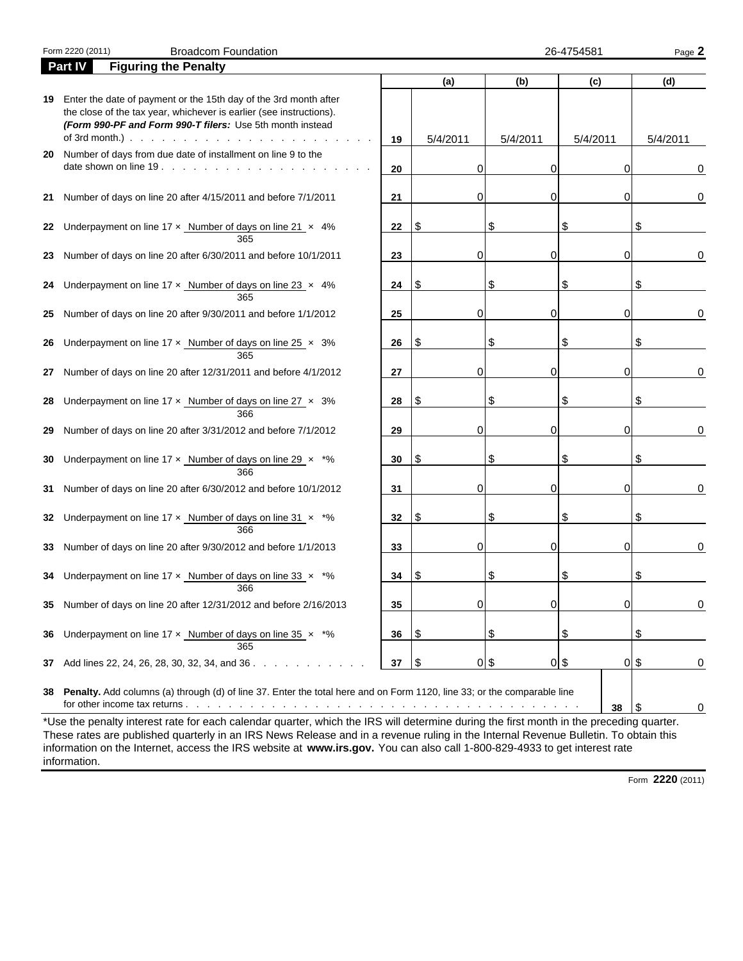|    | Form 2220 (2011) | <b>Broadcom Foundation</b>                                                                                                                                                                           |    |          |             | 26-4754581  | Page 2           |
|----|------------------|------------------------------------------------------------------------------------------------------------------------------------------------------------------------------------------------------|----|----------|-------------|-------------|------------------|
|    | Part IV          | <b>Figuring the Penalty</b>                                                                                                                                                                          |    |          |             |             |                  |
|    |                  |                                                                                                                                                                                                      |    | (a)      | (b)         | (c)         | (d)              |
| 19 | of 3rd month.).  | Enter the date of payment or the 15th day of the 3rd month after<br>the close of the tax year, whichever is earlier (see instructions).<br>(Form 990-PF and Form 990-T filers: Use 5th month instead | 19 | 5/4/2011 | 5/4/2011    | 5/4/2011    | 5/4/2011         |
| 20 |                  | Number of days from due date of installment on line 9 to the<br>date shown on line 19.                                                                                                               |    | 0        | 0           | 0           |                  |
|    |                  |                                                                                                                                                                                                      | 20 |          |             |             | 0                |
| 21 |                  | Number of days on line 20 after 4/15/2011 and before 7/1/2011                                                                                                                                        | 21 | $\Omega$ | 0           | 0           | 0                |
| 22 |                  | Underpayment on line $17 \times$ Number of days on line $21 \times 4\%$<br>365                                                                                                                       | 22 | \$       | \$          | \$          |                  |
| 23 |                  | Number of days on line 20 after 6/30/2011 and before 10/1/2011                                                                                                                                       | 23 | $\Omega$ | 0           | 0           | 0                |
| 24 |                  | Underpayment on line $17 \times$ Number of days on line $23 \times 4\%$<br>365                                                                                                                       | 24 | \$       | \$          | \$          |                  |
| 25 |                  | Number of days on line 20 after 9/30/2011 and before 1/1/2012                                                                                                                                        | 25 | $\Omega$ | 0           | 0           | 0                |
| 26 |                  | Underpayment on line $17 \times$ Number of days on line $25 \times 3\%$<br>365                                                                                                                       | 26 | \$       | \$          | \$          |                  |
| 27 |                  | Number of days on line 20 after 12/31/2011 and before 4/1/2012                                                                                                                                       | 27 | $\Omega$ | 0           | 0           | 0                |
| 28 |                  | Underpayment on line $17 \times$ Number of days on line $27 \times 3\%$<br>366                                                                                                                       | 28 | \$       | \$          | \$          |                  |
| 29 |                  | Number of days on line 20 after 3/31/2012 and before 7/1/2012                                                                                                                                        | 29 | $\Omega$ | 0           | 0           | 0                |
| 30 |                  | Underpayment on line 17 $\times$ Number of days on line 29 $\times$ *%<br>366                                                                                                                        | 30 | \$       | \$          | \$          |                  |
| 31 |                  | Number of days on line 20 after 6/30/2012 and before 10/1/2012                                                                                                                                       | 31 | $\Omega$ | 0           | 0           | 0                |
| 32 |                  | Underpayment on line 17 x Number of days on line 31 x *%<br>366                                                                                                                                      | 32 | \$       | \$          | \$          |                  |
| 33 |                  | Number of days on line 20 after 9/30/2012 and before 1/1/2013                                                                                                                                        | 33 | 0        | 0           | 0           | 0                |
|    |                  | 34 Underpayment on line $17 \times$ Number of days on line $33 \times$ *%<br>366                                                                                                                     | 34 | S        | S           | \$          |                  |
|    |                  | 35 Number of days on line 20 after 12/31/2012 and before 2/16/2013                                                                                                                                   | 35 | 0        | 0           | 0           | 0                |
| 36 |                  | Underpayment on line 17 x Number of days on line 35 x *%<br>365                                                                                                                                      | 36 | \$       | \$          | \$          | \$               |
| 37 |                  | Add lines 22, 24, 26, 28, 30, 32, 34, and 36.                                                                                                                                                        | 37 | \$       | $0\sqrt{3}$ | $0\sqrt{3}$ | $0\sqrt{3}$<br>0 |
| 38 |                  | Penalty. Add columns (a) through (d) of line 37. Enter the total here and on Form 1120, line 33; or the comparable line                                                                              |    |          |             | 38          | \$<br>0          |
|    |                  | *Use the penalty interest rate for each calendar quarter, which the IRS will determine during the first month in the preceding quarter.                                                              |    |          |             |             |                  |
|    |                  | These rates are published quarterly in an IRS News Release and in a revenue ruling in the Internal Revenue Bulletin. To obtain this                                                                  |    |          |             |             |                  |

information on the Internet, access the IRS website at **www.irs.gov.** You can also call 1-800-829-4933 to get interest rate information.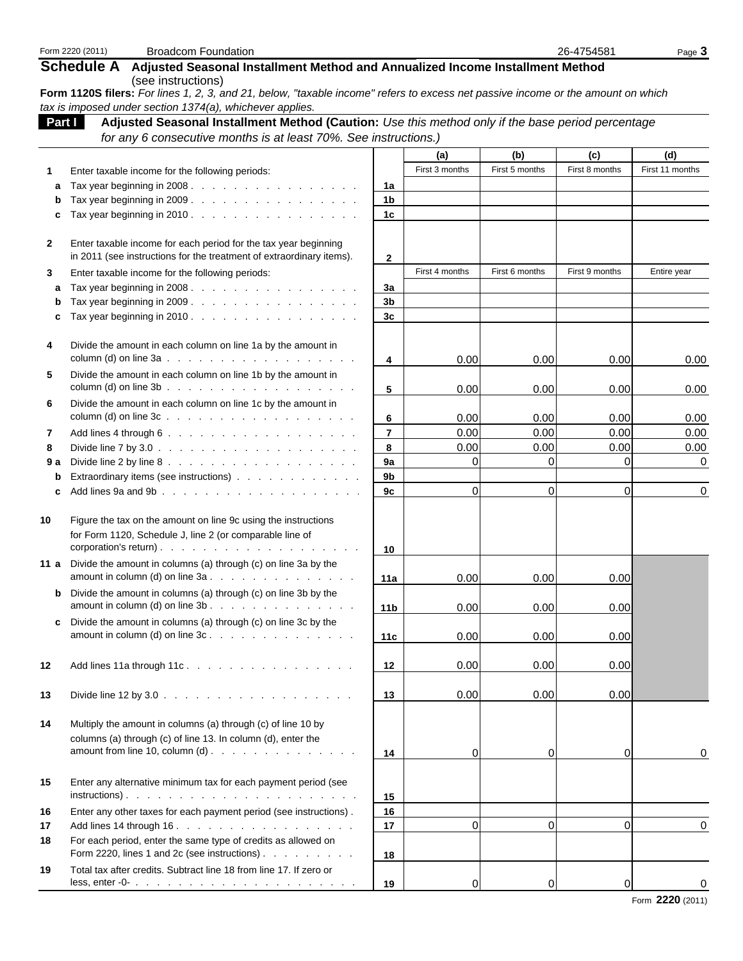|              | Form 2220 (2011)<br><b>Broadcom Foundation</b>                                                                                                                                  |                     |                |                | 26-4754581     | Page 3          |
|--------------|---------------------------------------------------------------------------------------------------------------------------------------------------------------------------------|---------------------|----------------|----------------|----------------|-----------------|
|              | <b>Schedule A</b><br>Adjusted Seasonal Installment Method and Annualized Income Installment Method                                                                              |                     |                |                |                |                 |
|              | (see instructions)                                                                                                                                                              |                     |                |                |                |                 |
|              | Form 1120S filers: For lines 1, 2, 3, and 21, below, "taxable income" refers to excess net passive income or the amount on which                                                |                     |                |                |                |                 |
| Part I       | tax is imposed under section 1374(a), whichever applies.<br>Adjusted Seasonal Installment Method (Caution: Use this method only if the base period percentage                   |                     |                |                |                |                 |
|              | for any 6 consecutive months is at least 70%. See instructions.)                                                                                                                |                     |                |                |                |                 |
|              |                                                                                                                                                                                 |                     | (a)            | (b)            | (c)            | (d)             |
| 1            | Enter taxable income for the following periods:                                                                                                                                 |                     | First 3 months | First 5 months | First 8 months | First 11 months |
| а            | Tax year beginning in 2008.                                                                                                                                                     | 1a                  |                |                |                |                 |
| b            | Tax year beginning in 2009.                                                                                                                                                     | 1b                  |                |                |                |                 |
| c            |                                                                                                                                                                                 | 1 <sub>c</sub>      |                |                |                |                 |
| $\mathbf{2}$ | Enter taxable income for each period for the tax year beginning                                                                                                                 |                     |                |                |                |                 |
|              | in 2011 (see instructions for the treatment of extraordinary items).                                                                                                            | 2                   |                |                |                |                 |
| 3            | Enter taxable income for the following periods:                                                                                                                                 |                     | First 4 months | First 6 months | First 9 months | Entire year     |
| a            | Tax year beginning in 2008.                                                                                                                                                     | За                  |                |                |                |                 |
| b            | Tax year beginning in 2009.                                                                                                                                                     | 3b                  |                |                |                |                 |
| c            | Tax year beginning in 2010.                                                                                                                                                     | 3c                  |                |                |                |                 |
| 4            | Divide the amount in each column on line 1a by the amount in                                                                                                                    |                     |                |                |                |                 |
|              |                                                                                                                                                                                 | 4                   | 0.00           | 0.00           | 0.00           | 0.00            |
| 5            | Divide the amount in each column on line 1b by the amount in                                                                                                                    |                     |                |                |                |                 |
|              |                                                                                                                                                                                 | 5                   | 0.00           | 0.00           | 0.00           | 0.00            |
| 6            | Divide the amount in each column on line 1c by the amount in                                                                                                                    |                     |                |                |                |                 |
|              | column (d) on line $3c \ldots$ $\ldots$ $\ldots$ $\ldots$ $\ldots$ $\ldots$ $\ldots$ $\ldots$                                                                                   | 6                   | 0.00           | 0.00           | 0.00           | 0.00            |
| 7            |                                                                                                                                                                                 | $\overline{7}$<br>8 | 0.00<br>0.00   | 0.00<br>0.00   | 0.00<br>0.00   | 0.00<br>0.00    |
| 8<br>9 a     |                                                                                                                                                                                 | 9a                  | $\overline{0}$ | 0              | 0              | 0               |
| b            | Extraordinary items (see instructions)                                                                                                                                          | 9 <sub>b</sub>      |                |                |                |                 |
| c            |                                                                                                                                                                                 | 9c                  | $\mathbf{0}$   | $\mathbf 0$    | 0              | 0               |
|              |                                                                                                                                                                                 |                     |                |                |                |                 |
| 10           | Figure the tax on the amount on line 9c using the instructions                                                                                                                  |                     |                |                |                |                 |
|              | for Form 1120, Schedule J, line 2 (or comparable line of                                                                                                                        |                     |                |                |                |                 |
| 11 a         | Divide the amount in columns (a) through (c) on line 3a by the                                                                                                                  | 10                  |                |                |                |                 |
|              | amount in column (d) on line $3a \cdot \cdot \cdot \cdot \cdot \cdot \cdot \cdot \cdot \cdot \cdot \cdot \cdot \cdot \cdot \cdot \cdot$                                         | 11a                 | 0.00           | 0.00           | 0.00           |                 |
| b            | Divide the amount in columns (a) through (c) on line 3b by the                                                                                                                  |                     |                |                |                |                 |
|              |                                                                                                                                                                                 | 11 <sub>b</sub>     | 0.00           | 0.00           | 0.00           |                 |
| c            | Divide the amount in columns (a) through (c) on line 3c by the                                                                                                                  |                     |                |                |                |                 |
|              |                                                                                                                                                                                 | 11c                 | 0.00           | 0.00           | 0.00           |                 |
|              |                                                                                                                                                                                 |                     |                |                |                |                 |
| 12           | Add lines 11a through 11c.                                                                                                                                                      | 12                  | 0.00           | 0.00           | 0.00           |                 |
| 13           | Divide line 12 by $3.0 \ldots$ $\ldots$ $\ldots$ $\ldots$ $\ldots$ $\ldots$ $\ldots$ $\ldots$                                                                                   | 13                  | 0.00           | 0.00           | 0.00           |                 |
|              |                                                                                                                                                                                 |                     |                |                |                |                 |
| 14           | Multiply the amount in columns (a) through (c) of line 10 by                                                                                                                    |                     |                |                |                |                 |
|              | columns (a) through (c) of line 13. In column (d), enter the<br>amount from line 10, column $(d)$ .                                                                             |                     |                |                |                |                 |
|              |                                                                                                                                                                                 | 14                  | 0              | 0              | $\overline{0}$ | 0               |
| 15           | Enter any alternative minimum tax for each payment period (see                                                                                                                  |                     |                |                |                |                 |
|              |                                                                                                                                                                                 | 15                  |                |                |                |                 |
| 16           | Enter any other taxes for each payment period (see instructions).                                                                                                               | 16                  |                |                |                |                 |
| 17           | Add lines 14 through 16.                                                                                                                                                        | 17                  | $\mathbf 0$    | $\mathbf{0}$   | $\overline{0}$ | 0               |
| 18           | For each period, enter the same type of credits as allowed on                                                                                                                   |                     |                |                |                |                 |
|              | Form 2220, lines 1 and 2c (see instructions)                                                                                                                                    | 18                  |                |                |                |                 |
| 19           | Total tax after credits. Subtract line 18 from line 17. If zero or<br>less, enter -0- $\ldots$ $\ldots$ $\ldots$ $\ldots$ $\ldots$ $\ldots$ $\ldots$ $\ldots$ $\ldots$ $\ldots$ |                     |                |                |                |                 |
|              |                                                                                                                                                                                 | 19                  | 0              | 0              | 0              |                 |

Form **2220** (2011)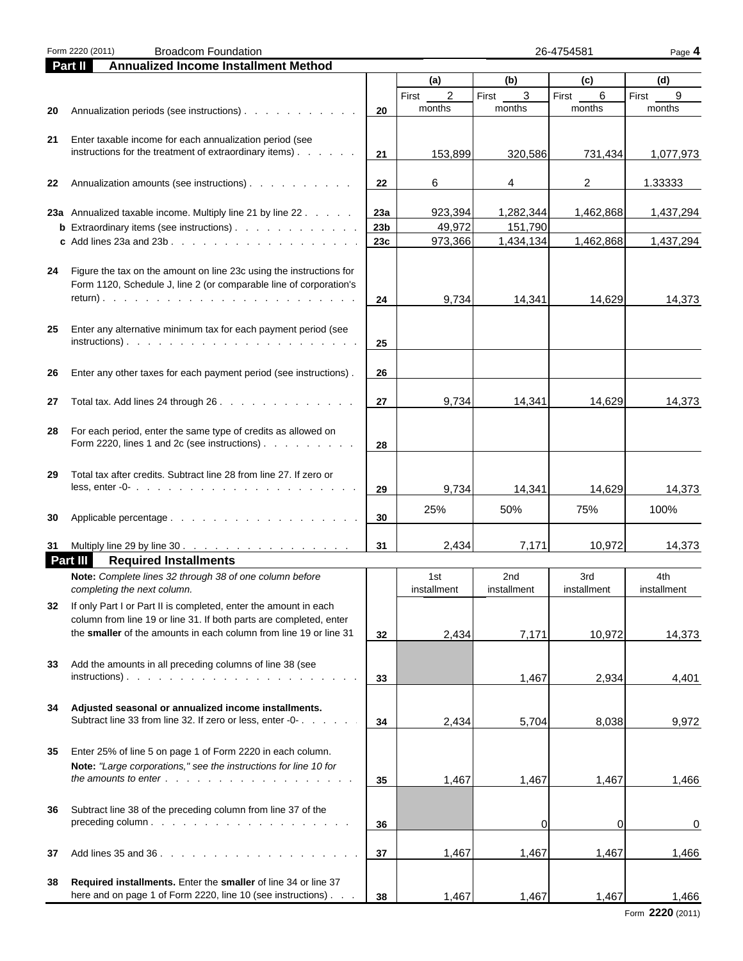| Form 2220 (2011)<br><b>Broadcom Foundation</b><br>26-4754581 |                                                                                                                                                                                                     |                 |                         |                                | Page 4             |                    |
|--------------------------------------------------------------|-----------------------------------------------------------------------------------------------------------------------------------------------------------------------------------------------------|-----------------|-------------------------|--------------------------------|--------------------|--------------------|
|                                                              | Part II<br><b>Annualized Income Installment Method</b>                                                                                                                                              |                 |                         |                                |                    |                    |
|                                                              |                                                                                                                                                                                                     |                 | (a)                     | (b)                            | (c)                | (d)                |
|                                                              |                                                                                                                                                                                                     |                 | $\overline{c}$<br>First | $\mathbf{3}$<br>First          | $\,6\,$<br>First   | 9<br>First         |
| 20                                                           | Annualization periods (see instructions)                                                                                                                                                            | 20              | months                  | months                         | months             | months             |
| 21                                                           | Enter taxable income for each annualization period (see<br>instructions for the treatment of extraordinary items)                                                                                   | 21              | 153,899                 | 320,586                        | 731,434            | 1,077,973          |
| 22                                                           | Annualization amounts (see instructions)                                                                                                                                                            | 22              | 6                       | 4                              | $\overline{2}$     | 1.33333            |
|                                                              | 23a Annualized taxable income. Multiply line 21 by line 22                                                                                                                                          | 23a             | 923,394                 | 1,282,344                      | 1,462,868          | 1,437,294          |
|                                                              | <b>b</b> Extraordinary items (see instructions).                                                                                                                                                    | 23 <sub>b</sub> | 49,972                  | 151,790                        |                    |                    |
|                                                              | c Add lines 23a and 23b. $\ldots$ $\ldots$ $\ldots$ $\ldots$ $\ldots$ $\ldots$ $\ldots$                                                                                                             | 23c             | 973,366                 | 1,434,134                      | 1,462,868          | 1,437,294          |
| 24                                                           | Figure the tax on the amount on line 23c using the instructions for<br>Form 1120, Schedule J, line 2 (or comparable line of corporation's                                                           | 24              | 9,734                   | 14,341                         | 14,629             | 14,373             |
|                                                              |                                                                                                                                                                                                     |                 |                         |                                |                    |                    |
| 25                                                           | Enter any alternative minimum tax for each payment period (see                                                                                                                                      | 25              |                         |                                |                    |                    |
| 26                                                           | Enter any other taxes for each payment period (see instructions).                                                                                                                                   | 26              |                         |                                |                    |                    |
| 27                                                           | Total tax. Add lines 24 through 26.                                                                                                                                                                 | 27              | 9,734                   | 14,341                         | 14,629             | 14,373             |
| 28                                                           | For each period, enter the same type of credits as allowed on<br>Form 2220, lines 1 and 2c (see instructions)                                                                                       | 28              |                         |                                |                    |                    |
| 29                                                           | Total tax after credits. Subtract line 28 from line 27. If zero or<br>less, enter -0- $\ldots$ $\ldots$ $\ldots$ $\ldots$ $\ldots$ $\ldots$ $\ldots$ $\ldots$ $\ldots$ $\ldots$                     | 29              | 9,734                   | 14,341                         | 14,629             | 14,373             |
| 30                                                           |                                                                                                                                                                                                     | 30              | 25%                     | 50%                            | 75%                | 100%               |
| 31                                                           | Multiply line 29 by line 30.                                                                                                                                                                        | 31              | 2,434                   | 7,171                          | 10,972             | 14,373             |
|                                                              | Part III<br><b>Required Installments</b>                                                                                                                                                            |                 |                         |                                |                    |                    |
|                                                              | Note: Complete lines 32 through 38 of one column before<br>completing the next column.                                                                                                              |                 | 1st<br>installment      | 2 <sub>nd</sub><br>installment | 3rd<br>installment | 4th<br>installment |
| 32                                                           | If only Part I or Part II is completed, enter the amount in each                                                                                                                                    |                 |                         |                                |                    |                    |
|                                                              | column from line 19 or line 31. If both parts are completed, enter<br>the smaller of the amounts in each column from line 19 or line 31                                                             | 32              | 2,434                   | 7,171                          | 10,972             | 14,373             |
| 33                                                           | Add the amounts in all preceding columns of line 38 (see                                                                                                                                            |                 |                         |                                |                    |                    |
|                                                              |                                                                                                                                                                                                     | 33              |                         | 1,467                          | 2,934              | 4,401              |
| 34                                                           | Adjusted seasonal or annualized income installments.<br>Subtract line 33 from line 32. If zero or less, enter -0                                                                                    | 34              | 2,434                   | 5,704                          | 8,038              | 9,972              |
| 35                                                           | Enter 25% of line 5 on page 1 of Form 2220 in each column.<br>Note: "Large corporations," see the instructions for line 10 for<br>the amounts to enter $\ldots$ $\ldots$ $\ldots$ $\ldots$ $\ldots$ | 35              | 1,467                   | 1,467                          | 1,467              | 1,466              |
| 36                                                           | Subtract line 38 of the preceding column from line 37 of the                                                                                                                                        |                 |                         |                                |                    |                    |
|                                                              |                                                                                                                                                                                                     | 36              |                         | 0                              | $\overline{0}$     | 0                  |
| 37                                                           |                                                                                                                                                                                                     | 37              | 1,467                   | 1,467                          | 1,467              | 1,466              |
| 38                                                           | Required installments. Enter the smaller of line 34 or line 37<br>here and on page 1 of Form 2220, line 10 (see instructions)                                                                       | 38              | 1,467                   | 1,467                          | 1,467              | 1,466              |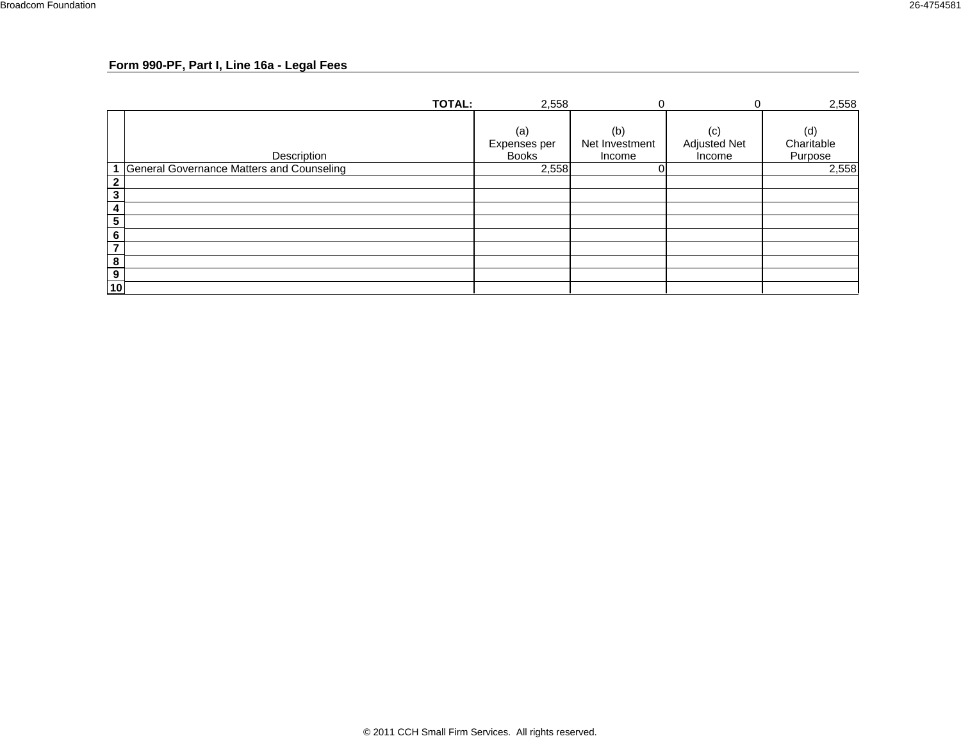### **Form 990-PF, Part I, Line 16a - Legal Fees**

|                         | <b>TOTAL:</b>                               | 2,558                               |                                 |                                      | 2,558                        |
|-------------------------|---------------------------------------------|-------------------------------------|---------------------------------|--------------------------------------|------------------------------|
|                         | Description                                 | (a)<br>Expenses per<br><b>Books</b> | (b)<br>Net Investment<br>Income | (c)<br><b>Adjusted Net</b><br>Income | (d)<br>Charitable<br>Purpose |
|                         | 1 General Governance Matters and Counseling | 2,558                               |                                 |                                      | 2,558                        |
| $\mathbf{2}$            |                                             |                                     |                                 |                                      |                              |
| $\mathbf{3}$            |                                             |                                     |                                 |                                      |                              |
| 4                       |                                             |                                     |                                 |                                      |                              |
| ${\bf 5}$               |                                             |                                     |                                 |                                      |                              |
| $6\phantom{1}$          |                                             |                                     |                                 |                                      |                              |
| $\overline{\mathbf{7}}$ |                                             |                                     |                                 |                                      |                              |
| 8                       |                                             |                                     |                                 |                                      |                              |
| $\boldsymbol{9}$        |                                             |                                     |                                 |                                      |                              |
| 10                      |                                             |                                     |                                 |                                      |                              |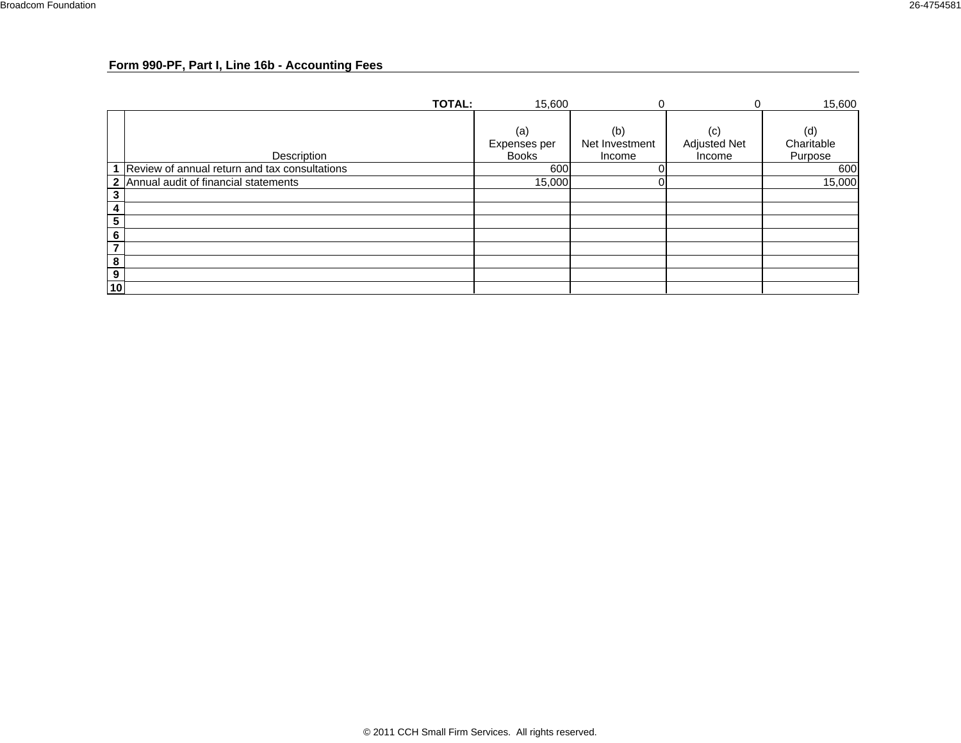### **Form 990-PF, Part I, Line 16b - Accounting Fees**

|                                                                | <b>TOTAL:</b>                                   | 15,600       |                |                     | 15,600     |
|----------------------------------------------------------------|-------------------------------------------------|--------------|----------------|---------------------|------------|
|                                                                |                                                 | (a)          | (b)            | (c)                 | (d)        |
|                                                                |                                                 | Expenses per | Net Investment | <b>Adjusted Net</b> | Charitable |
|                                                                | Description                                     | <b>Books</b> | Income         | Income              | Purpose    |
|                                                                | 1 Review of annual return and tax consultations | 600          |                |                     | 600        |
|                                                                | 2 Annual audit of financial statements          | 15,000       |                |                     | 15,000     |
| $\overline{\mathbf{3}}$                                        |                                                 |              |                |                     |            |
| 4                                                              |                                                 |              |                |                     |            |
| $\overline{5}$                                                 |                                                 |              |                |                     |            |
| $6\phantom{1}$                                                 |                                                 |              |                |                     |            |
| $\overline{7}$                                                 |                                                 |              |                |                     |            |
| $\frac{8}{2}$                                                  |                                                 |              |                |                     |            |
| $\begin{array}{ c } \hline 9 \\hline 10 \\ \hline \end{array}$ |                                                 |              |                |                     |            |
|                                                                |                                                 |              |                |                     |            |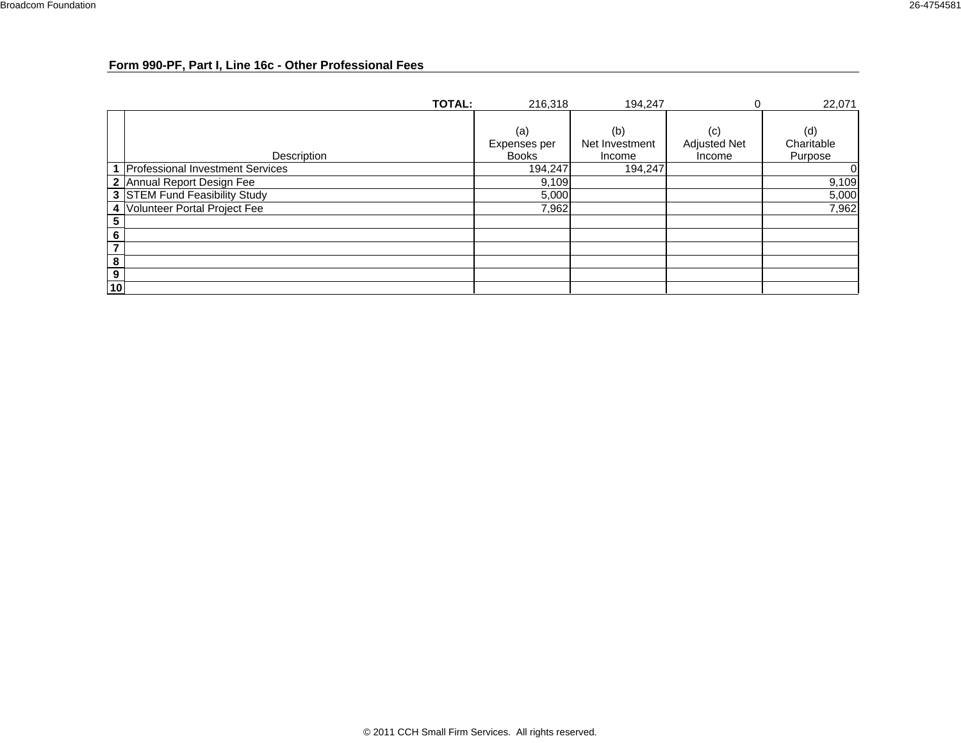### **Form 990-PF, Part I, Line 16c - Other Professional Fees**

|                  | <b>TOTAL:</b>                    | 216,318                             | 194,247                         | 0                                    | 22,071                       |
|------------------|----------------------------------|-------------------------------------|---------------------------------|--------------------------------------|------------------------------|
|                  | Description                      | (a)<br>Expenses per<br><b>Books</b> | (b)<br>Net Investment<br>Income | (c)<br><b>Adjusted Net</b><br>Income | (d)<br>Charitable<br>Purpose |
|                  | Professional Investment Services | 194,247                             | 194,247                         |                                      | 0                            |
|                  | 2 Annual Report Design Fee       | 9,109                               |                                 |                                      | 9,109                        |
|                  | 3 STEM Fund Feasibility Study    | 5,000                               |                                 |                                      | 5,000                        |
|                  | 4 Volunteer Portal Project Fee   | 7,962                               |                                 |                                      | 7,962                        |
| 5                |                                  |                                     |                                 |                                      |                              |
| 6                |                                  |                                     |                                 |                                      |                              |
|                  |                                  |                                     |                                 |                                      |                              |
| 8                |                                  |                                     |                                 |                                      |                              |
| $\boldsymbol{9}$ |                                  |                                     |                                 |                                      |                              |
| 10               |                                  |                                     |                                 |                                      |                              |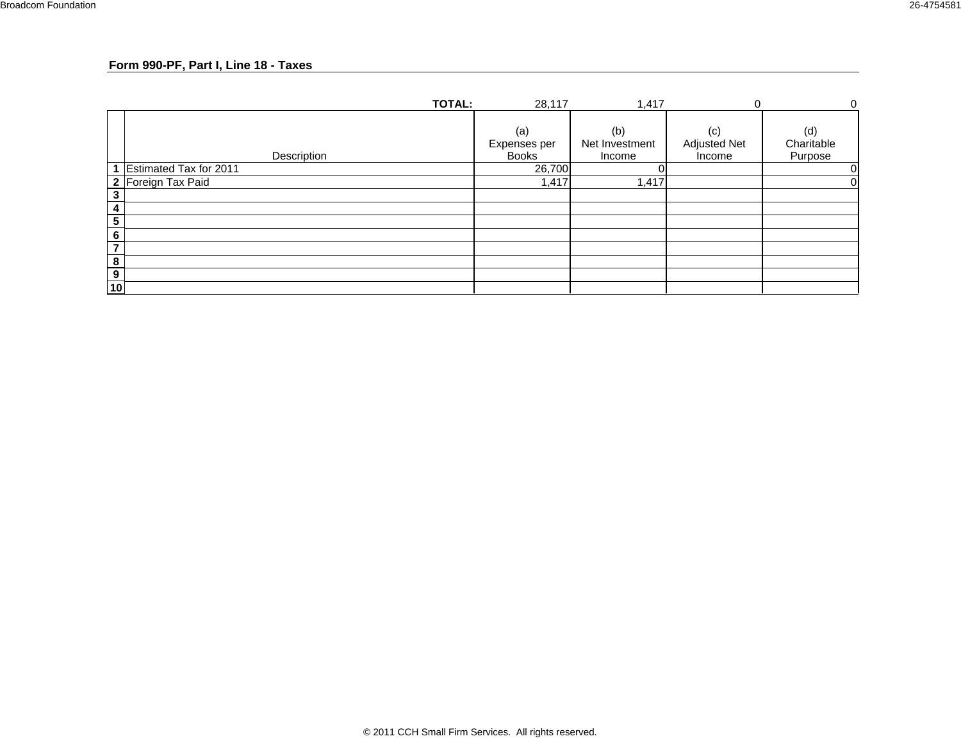#### **Form 990-PF, Part I, Line 18 - Taxes**

|    | <b>TOTAL:</b>          | 28,117                              | 1,417                           | $\Omega$                      | 0                            |
|----|------------------------|-------------------------------------|---------------------------------|-------------------------------|------------------------------|
|    | Description            | (a)<br>Expenses per<br><b>Books</b> | (b)<br>Net Investment<br>Income | (c)<br>Adjusted Net<br>Income | (d)<br>Charitable<br>Purpose |
|    | Estimated Tax for 2011 | 26,700                              |                                 |                               | 0                            |
|    | 2 Foreign Tax Paid     | 1,417                               | 1,417                           |                               | 0                            |
| 3  |                        |                                     |                                 |                               |                              |
| 4  |                        |                                     |                                 |                               |                              |
| 5  |                        |                                     |                                 |                               |                              |
| 6  |                        |                                     |                                 |                               |                              |
| 7  |                        |                                     |                                 |                               |                              |
| 8  |                        |                                     |                                 |                               |                              |
| 9  |                        |                                     |                                 |                               |                              |
| 10 |                        |                                     |                                 |                               |                              |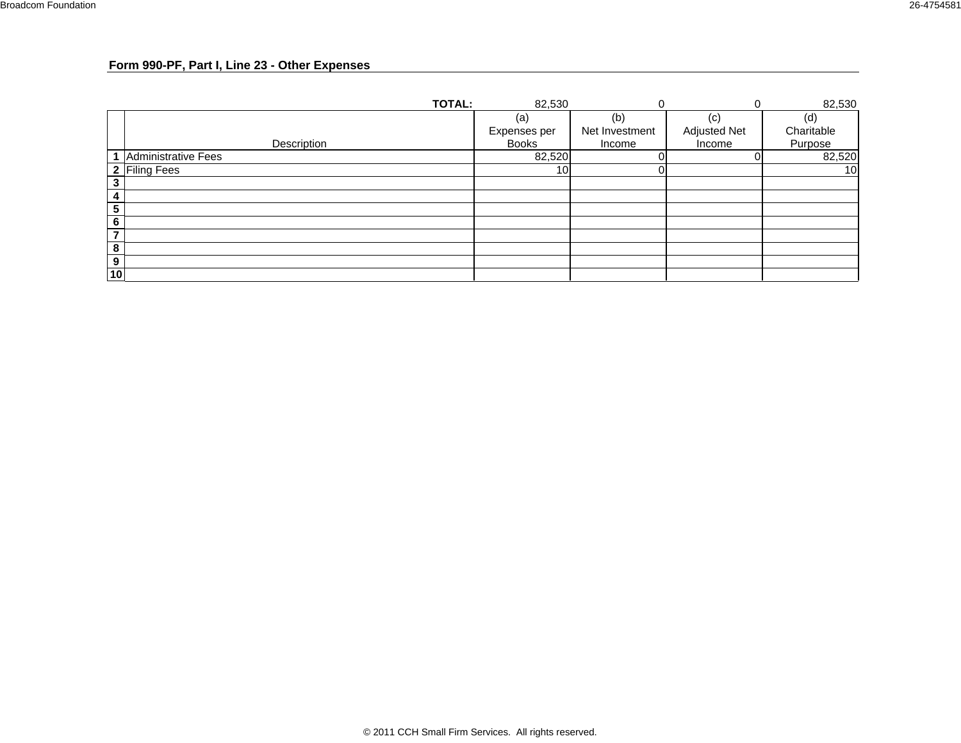### **Form 990-PF, Part I, Line 23 - Other Expenses**

|                          | <b>TOTAL:</b>              | 82,530          |                | U                   | 82,530     |
|--------------------------|----------------------------|-----------------|----------------|---------------------|------------|
|                          |                            | (a)             | (b)            | $\left( $           | (d)        |
|                          |                            | Expenses per    | Net Investment | <b>Adjusted Net</b> | Charitable |
|                          | Description                | <b>Books</b>    | Income         | Income              | Purpose    |
|                          | <b>Administrative Fees</b> | 82,520          |                |                     | 82,520     |
|                          | 2 Filing Fees              | 10 <sup>1</sup> |                |                     | 10         |
| 3                        |                            |                 |                |                     |            |
| 4                        |                            |                 |                |                     |            |
| 5                        |                            |                 |                |                     |            |
| 6                        |                            |                 |                |                     |            |
| $\overline{\phantom{a}}$ |                            |                 |                |                     |            |
| 8                        |                            |                 |                |                     |            |
| 9                        |                            |                 |                |                     |            |
| 10                       |                            |                 |                |                     |            |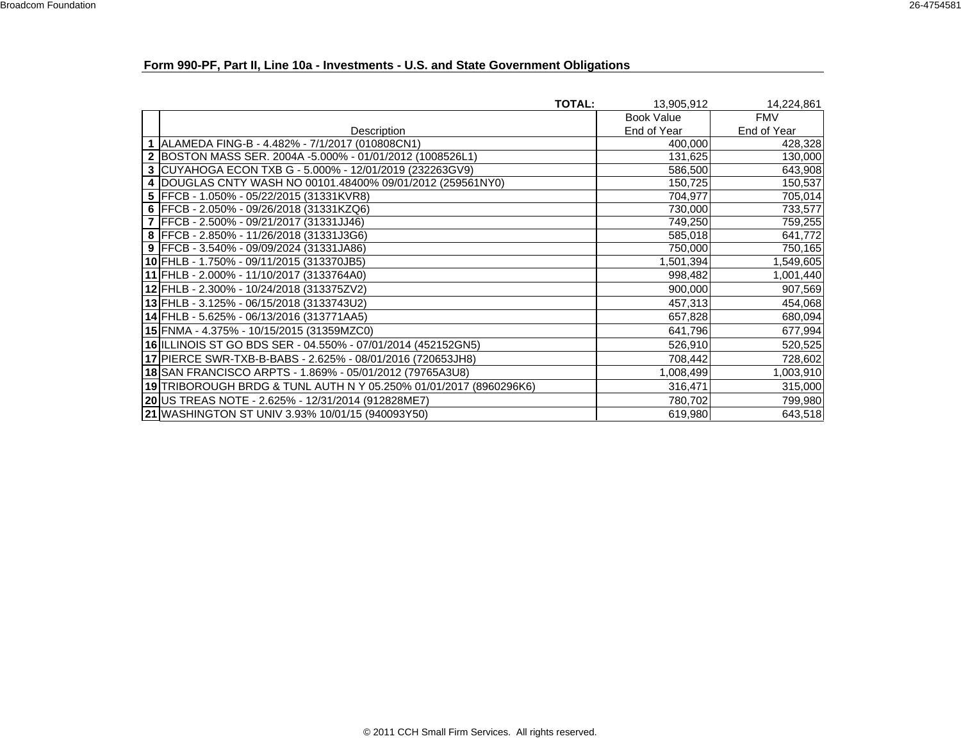### **Form 990-PF, Part II, Line 10a - Investments - U.S. and State Government Obligations**

|                                                                   | <b>TOTAL:</b> | 13,905,912        | 14,224,861  |
|-------------------------------------------------------------------|---------------|-------------------|-------------|
|                                                                   |               | <b>Book Value</b> | <b>FMV</b>  |
| Description                                                       |               | End of Year       | End of Year |
| 1 ALAMEDA FING-B - 4.482% - 7/1/2017 (010808CN1)                  |               | 400,000           | 428,328     |
| 2 BOSTON MASS SER. 2004A -5.000% - 01/01/2012 (1008526L1)         |               | 131,625           | 130,000     |
| 3 CUYAHOGA ECON TXB G - 5.000% - 12/01/2019 (232263GV9)           |               | 586,500           | 643,908     |
| 4 DOUGLAS CNTY WASH NO 00101.48400% 09/01/2012 (259561NY0)        |               | 150,725           | 150,537     |
| 5   FFCB - 1.050% - 05/22/2015 (31331KVR8)                        |               | 704,977           | 705,014     |
| 6   FFCB - 2.050% - 09/26/2018 (31331KZQ6)                        |               | 730,000           | 733,577     |
| 7   FFCB - 2.500% - 09/21/2017 (31331JJ46)                        |               | 749,250           | 759,255     |
| 8   FFCB - 2.850% - 11/26/2018 (31331J3G6)                        |               | 585,018           | 641,772     |
| 9   FFCB - 3.540% - 09/09/2024 (31331JA86)                        |               | 750,000           | 750,165     |
| 10 FHLB - 1.750% - 09/11/2015 (313370JB5)                         |               | 1,501,394         | 1,549,605   |
| 11 FHLB - 2.000% - 11/10/2017 (3133764A0)                         |               | 998,482           | 1,001,440   |
| 12 FHLB - 2.300% - 10/24/2018 (313375ZV2)                         |               | 900,000           | 907,569     |
| 13 FHLB - 3.125% - 06/15/2018 (3133743U2)                         |               | 457,313           | 454,068     |
| 14 FHLB - 5.625% - 06/13/2016 (313771AA5)                         |               | 657,828           | 680,094     |
| 15 FNMA - 4.375% - 10/15/2015 (31359MZC0)                         |               | 641,796           | 677,994     |
| 16 ILLINOIS ST GO BDS SER - 04.550% - 07/01/2014 (452152GN5)      |               | 526,910           | 520,525     |
| 17 PIERCE SWR-TXB-B-BABS - 2.625% - 08/01/2016 (720653JH8)        |               | 708,442           | 728,602     |
| 18 SAN FRANCISCO ARPTS - 1.869% - 05/01/2012 (79765A3U8)          |               | 1,008,499         | 1,003,910   |
| 19 TRIBOROUGH BRDG & TUNL AUTH N Y 05.250% 01/01/2017 (8960296K6) |               | 316,471           | 315,000     |
| 20 US TREAS NOTE - 2.625% - 12/31/2014 (912828ME7)                |               | 780,702           | 799,980     |
| 21 WASHINGTON ST UNIV 3.93% 10/01/15 (940093Y50)                  |               | 619,980           | 643,518     |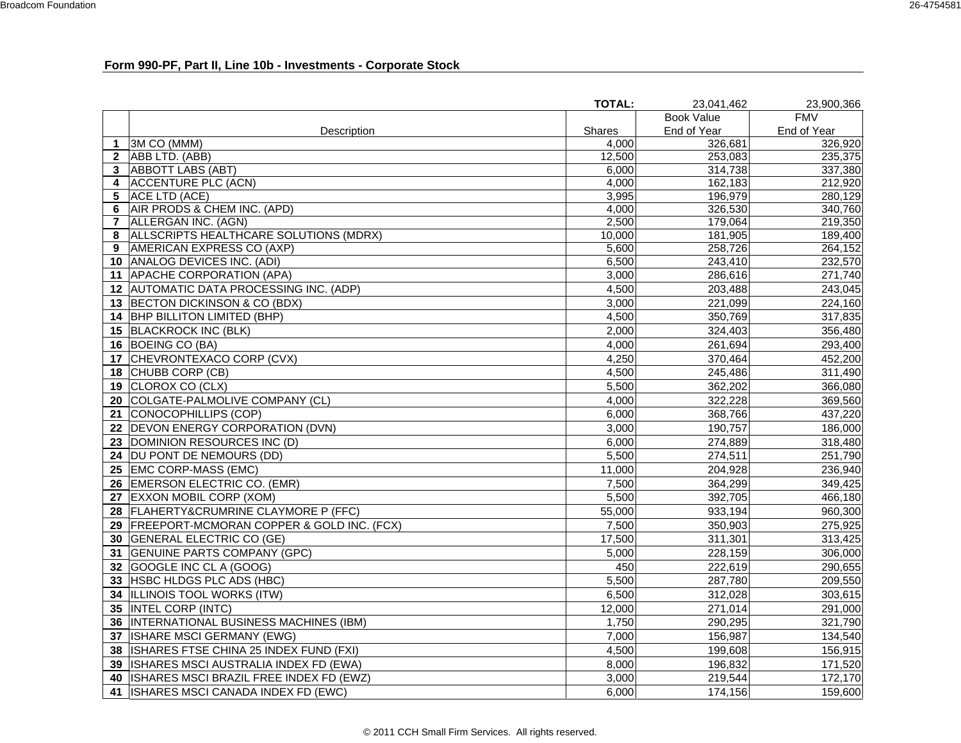# **Form 990-PF, Part II, Line 10b - Investments - Corporate Stock**

|                |                                              | <b>TOTAL:</b> | 23.041.462        | 23,900,366  |
|----------------|----------------------------------------------|---------------|-------------------|-------------|
|                |                                              |               | <b>Book Value</b> | <b>FMV</b>  |
|                | Description                                  | Shares        | End of Year       | End of Year |
| 1              | 3M CO (MMM)                                  | 4,000         | 326,681           | 326,920     |
| $\mathbf{2}$   | ABB LTD. (ABB)                               | 12.500        | 253,083           | 235,375     |
| 3              | <b>ABBOTT LABS (ABT)</b>                     | 6,000         | 314,738           | 337,380     |
| 4              | <b>ACCENTURE PLC (ACN)</b>                   | 4,000         | 162,183           | 212,920     |
| 5              | ACE LTD (ACE)                                | 3,995         | 196,979           | 280,129     |
| 6              | AIR PRODS & CHEM INC. (APD)                  | 4.000         | 326,530           | 340,760     |
| $\overline{7}$ | ALLERGAN INC. (AGN)                          | 2,500         | 179,064           | 219,350     |
| 8              | ALLSCRIPTS HEALTHCARE SOLUTIONS (MDRX)       | 10,000        | 181,905           | 189,400     |
| 9              | AMERICAN EXPRESS CO (AXP)                    | 5,600         | 258,726           | 264,152     |
|                | 10   ANALOG DEVICES INC. (ADI)               | 6,500         | 243,410           | 232,570     |
|                | 11 APACHE CORPORATION (APA)                  | 3,000         | 286,616           | 271,740     |
|                | 12 AUTOMATIC DATA PROCESSING INC. (ADP)      | 4,500         | 203,488           | 243,045     |
|                | 13 BECTON DICKINSON & CO (BDX)               | 3,000         | 221,099           | 224,160     |
| 14             | <b>BHP BILLITON LIMITED (BHP)</b>            | 4,500         | 350,769           | 317,835     |
|                | 15 BLACKROCK INC (BLK)                       | 2,000         | 324,403           | 356,480     |
|                | 16 BOEING CO (BA)                            | 4,000         | 261,694           | 293,400     |
| 17             | CHEVRONTEXACO CORP (CVX)                     | 4,250         | 370,464           | 452,200     |
|                | 18 CHUBB CORP (CB)                           | 4,500         | 245,486           | 311,490     |
| 19             | CLOROX CO (CLX)                              | 5,500         | 362,202           | 366,080     |
|                | 20 COLGATE-PALMOLIVE COMPANY (CL)            | 4,000         | 322,228           | 369,560     |
|                | 21 CONOCOPHILLIPS (COP)                      | 6,000         | 368,766           | 437,220     |
|                | 22 DEVON ENERGY CORPORATION (DVN)            | 3.000         | 190,757           | 186,000     |
|                | 23 DOMINION RESOURCES INC (D)                | 6,000         | 274,889           | 318,480     |
|                | 24 DU PONT DE NEMOURS (DD)                   | 5,500         | 274,511           | 251,790     |
|                | 25 EMC CORP-MASS (EMC)                       | 11,000        | 204,928           | 236,940     |
|                | 26 EMERSON ELECTRIC CO. (EMR)                | 7,500         | 364,299           | 349,425     |
|                | 27 EXXON MOBIL CORP (XOM)                    | 5,500         | 392,705           | 466,180     |
|                | 28 FLAHERTY&CRUMRINE CLAYMORE P (FFC)        | 55,000        | 933,194           | 960,300     |
|                | 29 FREEPORT-MCMORAN COPPER & GOLD INC. (FCX) | 7,500         | 350,903           | 275,925     |
| 30             | <b>GENERAL ELECTRIC CO (GE)</b>              | 17,500        | 311,301           | 313,425     |
|                | 31 GENUINE PARTS COMPANY (GPC)               | 5,000         | 228,159           | 306,000     |
|                | 32 GOOGLE INC CL A (GOOG)                    | 450           | 222,619           | 290,655     |
|                | 33 HSBC HLDGS PLC ADS (HBC)                  | 5.500         | 287,780           | 209,550     |
|                | 34 ILLINOIS TOOL WORKS (ITW)                 | 6,500         | 312,028           | 303,615     |
|                | 35  INTEL CORP (INTC)                        | 12,000        | 271,014           | 291,000     |
|                | 36  INTERNATIONAL BUSINESS MACHINES (IBM)    | 1,750         | 290,295           | 321,790     |
| 37             | ISHARE MSCI GERMANY (EWG)                    | 7,000         | 156,987           | 134,540     |
|                | 38 ISHARES FTSE CHINA 25 INDEX FUND (FXI)    | 4,500         | 199,608           | 156,915     |
|                | 39  ISHARES MSCI AUSTRALIA INDEX FD (EWA)    | 8,000         | 196,832           | 171,520     |
| 40             | ISHARES MSCI BRAZIL FREE INDEX FD (EWZ)      | 3,000         | 219,544           | 172,170     |
| 41             | <b>ISHARES MSCI CANADA INDEX FD (EWC)</b>    | 6,000         | 174,156           | 159,600     |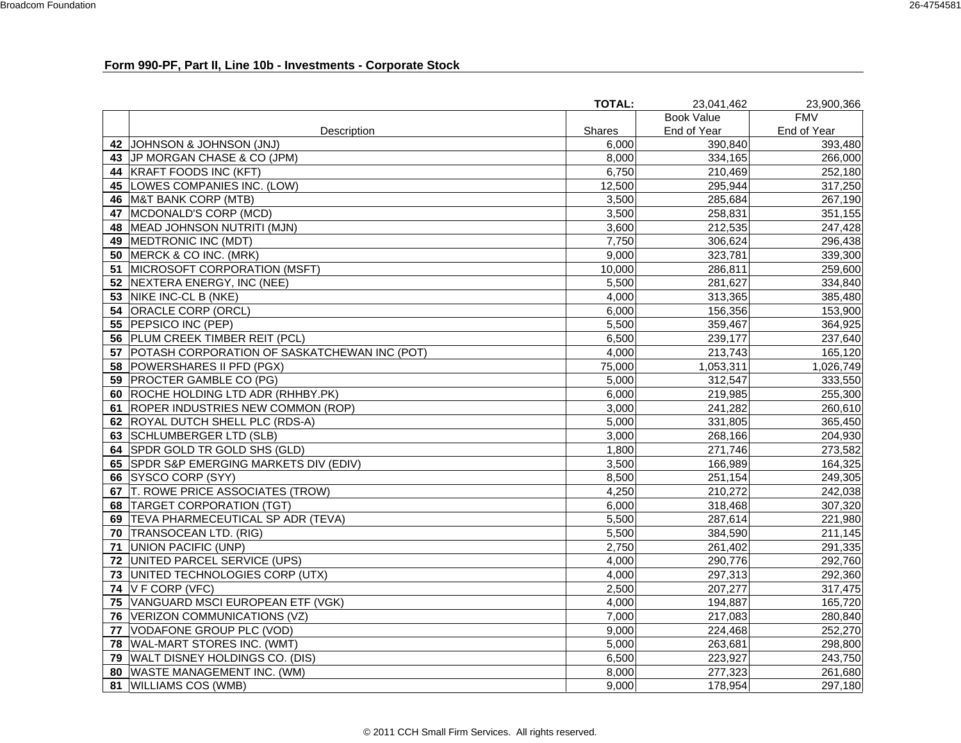# **Form 990-PF, Part II, Line 10b - Investments - Corporate Stock**

|    |                                              | <b>TOTAL:</b> | 23,041,462        | 23,900,366  |
|----|----------------------------------------------|---------------|-------------------|-------------|
|    |                                              |               | <b>Book Value</b> | <b>FMV</b>  |
|    | Description                                  | Shares        | End of Year       | End of Year |
|    | 42 JOHNSON & JOHNSON (JNJ)                   | 6,000         | 390,840           | 393,480     |
|    | 43 JP MORGAN CHASE & CO (JPM)                | 8,000         | 334,165           | 266,000     |
| 44 | KRAFT FOODS INC (KFT)                        | 6,750         | 210,469           | 252,180     |
| 45 | LOWES COMPANIES INC. (LOW)                   | 12,500        | 295,944           | 317,250     |
| 46 | M&T BANK CORP (MTB)                          | 3,500         | 285,684           | 267,190     |
| 47 | MCDONALD'S CORP (MCD)                        | 3,500         | 258,831           | 351,155     |
| 48 | MEAD JOHNSON NUTRITI (MJN)                   | 3,600         | 212,535           | 247,428     |
| 49 | MEDTRONIC INC (MDT)                          | 7,750         | 306,624           | 296,438     |
| 50 | MERCK & CO INC. (MRK)                        | 9,000         | 323,781           | 339,300     |
| 51 | MICROSOFT CORPORATION (MSFT)                 | 10,000        | 286,811           | 259,600     |
|    | 52 NEXTERA ENERGY, INC (NEE)                 | 5,500         | 281,627           | 334,840     |
| 53 | NIKE INC-CL B (NKE)                          | 4,000         | 313,365           | 385,480     |
|    | 54 ORACLE CORP (ORCL)                        | 6,000         | 156,356           | 153,900     |
|    | 55 PEPSICO INC (PEP)                         | 5,500         | 359,467           | 364,925     |
|    | 56 PLUM CREEK TIMBER REIT (PCL)              | 6,500         | 239,177           | 237,640     |
| 57 | POTASH CORPORATION OF SASKATCHEWAN INC (POT) | 4,000         | 213,743           | 165,120     |
|    | 58 POWERSHARES II PFD (PGX)                  | 75,000        | 1,053,311         | 1,026,749   |
|    | 59 PROCTER GAMBLE CO (PG)                    | 5,000         | 312,547           | 333,550     |
|    | 60 ROCHE HOLDING LTD ADR (RHHBY.PK)          | 6,000         | 219,985           | 255,300     |
| 61 | ROPER INDUSTRIES NEW COMMON (ROP)            | 3,000         | 241,282           | 260,610     |
|    | 62 ROYAL DUTCH SHELL PLC (RDS-A)             | 5,000         | 331,805           | 365,450     |
|    | 63 SCHLUMBERGER LTD (SLB)                    | 3,000         | 268,166           | 204,930     |
|    | 64 SPDR GOLD TR GOLD SHS (GLD)               | 1,800         | 271,746           | 273,582     |
| 65 | SPDR S&P EMERGING MARKETS DIV (EDIV)         | 3,500         | 166,989           | 164,325     |
| 66 | SYSCO CORP (SYY)                             | 8,500         | 251,154           | 249,305     |
| 67 | T. ROWE PRICE ASSOCIATES (TROW)              | 4,250         | 210,272           | 242,038     |
| 68 | <b>TARGET CORPORATION (TGT)</b>              | 6,000         | 318,468           | 307,320     |
| 69 | TEVA PHARMECEUTICAL SP ADR (TEVA)            | 5,500         | 287,614           | 221,980     |
|    | 70 TRANSOCEAN LTD. (RIG)                     | 5,500         | 384,590           | 211,145     |
| 71 | UNION PACIFIC (UNP)                          | 2,750         | 261,402           | 291,335     |
| 72 | UNITED PARCEL SERVICE (UPS)                  | 4,000         | 290,776           | 292,760     |
| 73 | UNITED TECHNOLOGIES CORP (UTX)               | 4,000         | 297,313           | 292,360     |
|    | 74 $V$ F CORP (VFC)                          | 2,500         | 207,277           | 317,475     |
| 75 | VANGUARD MSCI EUROPEAN ETF (VGK)             | 4,000         | 194,887           | 165,720     |
| 76 | VERIZON COMMUNICATIONS (VZ)                  | 7,000         | 217,083           | 280,840     |
| 77 | VODAFONE GROUP PLC (VOD)                     | 9,000         | 224,468           | 252,270     |
|    | 78 WAL-MART STORES INC. (WMT)                | 5,000         | 263,681           | 298,800     |
| 79 | WALT DISNEY HOLDINGS CO. (DIS)               | 6,500         | 223,927           | 243,750     |
| 80 | WASTE MANAGEMENT INC. (WM)                   | 8,000         | 277,323           | 261,680     |
| 81 | <b>WILLIAMS COS (WMB)</b>                    | 9,000         | 178,954           | 297,180     |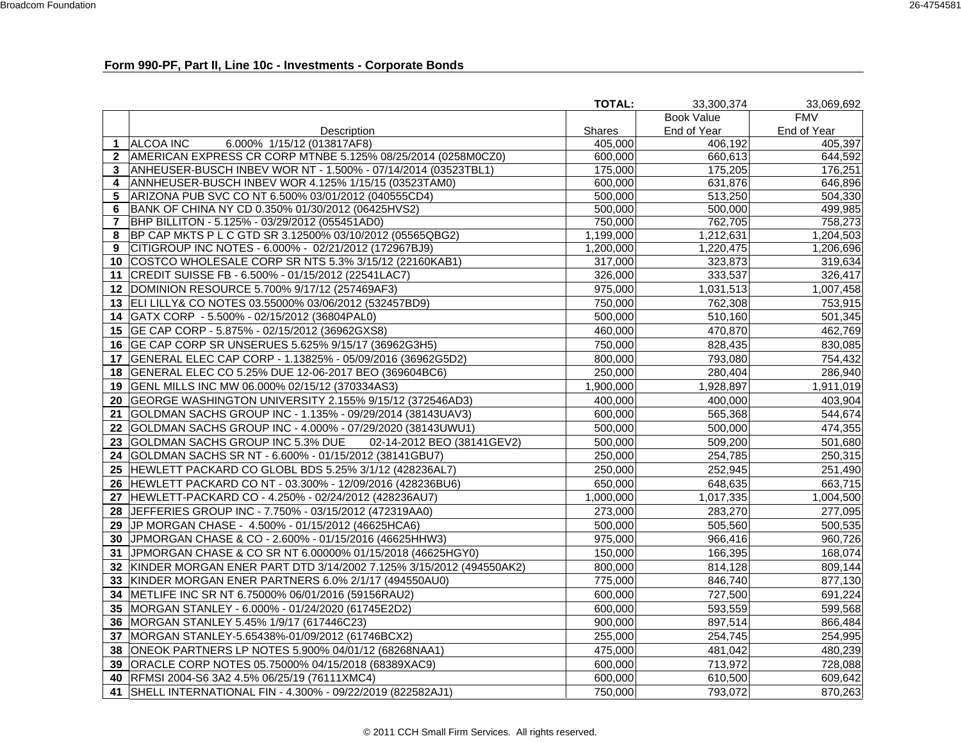### **Form 990-PF, Part II, Line 10c - Investments - Corporate Bonds**

|                |                                                                    | <b>TOTAL:</b> | 33.300.374  | 33,069,692            |
|----------------|--------------------------------------------------------------------|---------------|-------------|-----------------------|
|                |                                                                    |               | Book Value  | <b>FMV</b>            |
|                | Description                                                        | <b>Shares</b> | End of Year | End of Year           |
| 1              | 6.000% 1/15/12 (013817AF8)<br><b>ALCOA INC</b>                     | 405,000       | 406,192     | 405,397               |
| $\mathbf{2}$   | AMERICAN EXPRESS CR CORP MTNBE 5.125% 08/25/2014 (0258M0CZ0)       | 600.000       | 660,613     | $\overline{6}$ 44,592 |
| 3              | ANHEUSER-BUSCH INBEV WOR NT - 1.500% - 07/14/2014 (03523TBL1)      | 175,000       | 175,205     | 176,251               |
| 4              | ANNHEUSER-BUSCH INBEV WOR 4.125% 1/15/15 (03523TAM0)               | 600,000       | 631,876     | 646,896               |
| 5              | ARIZONA PUB SVC CO NT 6.500% 03/01/2012 (040555CD4)                | 500,000       | 513,250     | 504,330               |
| 6              | BANK OF CHINA NY CD 0.350% 01/30/2012 (06425HVS2)                  | 500,000       | 500,000     | 499,985               |
| $\overline{7}$ | BHP BILLITON - 5.125% - 03/29/2012 (055451AD0)                     | 750,000       | 762,705     | 758,273               |
| 8              | BP CAP MKTS P L C GTD SR 3.12500% 03/10/2012 (05565QBG2)           | 1,199,000     | 1,212,631   | 1,204,503             |
| 9              | CITIGROUP INC NOTES - 6.000% - 02/21/2012 (172967BJ9)              | 1,200,000     | 1,220,475   | 1,206,696             |
| 10             | COSTCO WHOLESALE CORP SR NTS 5.3% 3/15/12 (22160KAB1)              | 317,000       | 323,873     | 319,634               |
| 11             | CREDIT SUISSE FB - 6.500% - 01/15/2012 (22541LAC7)                 | 326,000       | 333,537     | 326,417               |
| 12             | DOMINION RESOURCE 5.700% 9/17/12 (257469AF3)                       | 975,000       | 1,031,513   | 1,007,458             |
|                | 13 ELI LILLY& CO NOTES 03.55000% 03/06/2012 (532457BD9)            | 750,000       | 762,308     | 753,915               |
| 14             | GATX CORP - 5.500% - 02/15/2012 (36804PAL0)                        | 500,000       | 510,160     | 501,345               |
| 15             | GE CAP CORP - 5.875% - 02/15/2012 (36962GXS8)                      | 460,000       | 470,870     | 462,769               |
| 16             | GE CAP CORP SR UNSERUES 5.625% 9/15/17 (36962G3H5)                 | 750,000       | 828,435     | 830,085               |
| 17             | GENERAL ELEC CAP CORP - 1.13825% - 05/09/2016 (36962G5D2)          | 800,000       | 793,080     | 754,432               |
|                | 18   GENERAL ELEC CO 5.25% DUE 12-06-2017 BEO (369604BC6)          | 250,000       | 280,404     | 286,940               |
| 19             | GENL MILLS INC MW 06.000% 02/15/12 (370334AS3)                     | 1,900,000     | 1,928,897   | 1,911,019             |
|                | 20 GEORGE WASHINGTON UNIVERSITY 2.155% 9/15/12 (372546AD3)         | 400,000       | 400,000     | 403,904               |
| 21             | GOLDMAN SACHS GROUP INC - 1.135% - 09/29/2014 (38143UAV3)          | 600,000       | 565,368     | 544,674               |
| 22             | GOLDMAN SACHS GROUP INC - 4.000% - 07/29/2020 (38143UWU1)          | 500.000       | 500,000     | 474,355               |
| 23             | GOLDMAN SACHS GROUP INC 5.3% DUE<br>02-14-2012 BEO (38141GEV2)     | 500,000       | 509,200     | 501,680               |
| 24             | GOLDMAN SACHS SR NT - 6.600% - 01/15/2012 (38141GBU7)              | 250,000       | 254,785     | 250,315               |
| 25             | HEWLETT PACKARD CO GLOBL BDS 5.25% 3/1/12 (428236AL7)              | 250,000       | 252,945     | 251,490               |
| 26             | HEWLETT PACKARD CO NT - 03.300% - 12/09/2016 (428236BU6)           | 650,000       | 648,635     | 663,715               |
|                | 27 HEWLETT-PACKARD CO - 4.250% - 02/24/2012 (428236AU7)            | 1,000,000     | 1,017,335   | 1,004,500             |
|                | 28 JEFFERIES GROUP INC - 7.750% - 03/15/2012 (472319AA0)           | 273,000       | 283,270     | 277,095               |
| 29             | JP MORGAN CHASE - 4.500% - 01/15/2012 (46625HCA6)                  | 500,000       | 505,560     | 500,535               |
| 30             | JPMORGAN CHASE & CO - 2.600% - 01/15/2016 (46625HHW3)              | 975,000       | 966,416     | 960,726               |
| 31             | JPMORGAN CHASE & CO SR NT 6.00000% 01/15/2018 (46625HGY0)          | 150,000       | 166,395     | 168,074               |
| 32             | KINDER MORGAN ENER PART DTD 3/14/2002 7.125% 3/15/2012 (494550AK2) | 800.000       | 814,128     | 809,144               |
| 33             | KINDER MORGAN ENER PARTNERS 6.0% 2/1/17 (494550AU0)                | 775,000       | 846,740     | 877,130               |
| 34             | METLIFE INC SR NT 6.75000% 06/01/2016 (59156RAU2)                  | 600,000       | 727,500     | 691,224               |
| 35             | MORGAN STANLEY - 6.000% - 01/24/2020 (61745E2D2)                   | 600,000       | 593,559     | 599,568               |
| 36             | MORGAN STANLEY 5.45% 1/9/17 (617446C23)                            | 900,000       | 897,514     | 866,484               |
| 37             | MORGAN STANLEY-5.65438%-01/09/2012 (61746BCX2)                     | 255,000       | 254,745     | 254,995               |
| 38             | ONEOK PARTNERS LP NOTES 5.900% 04/01/12 (68268NAA1)                | 475,000       | 481,042     | 480,239               |
| 39             | ORACLE CORP NOTES 05.75000% 04/15/2018 (68389XAC9)                 | 600,000       | 713,972     | 728,088               |
| 40             | RFMSI 2004-S6 3A2 4.5% 06/25/19 (76111XMC4)                        | 600,000       | 610,500     | 609,642               |
| 41             | SHELL INTERNATIONAL FIN - 4.300% - 09/22/2019 (822582AJ1)          | 750.000       | 793,072     | 870,263               |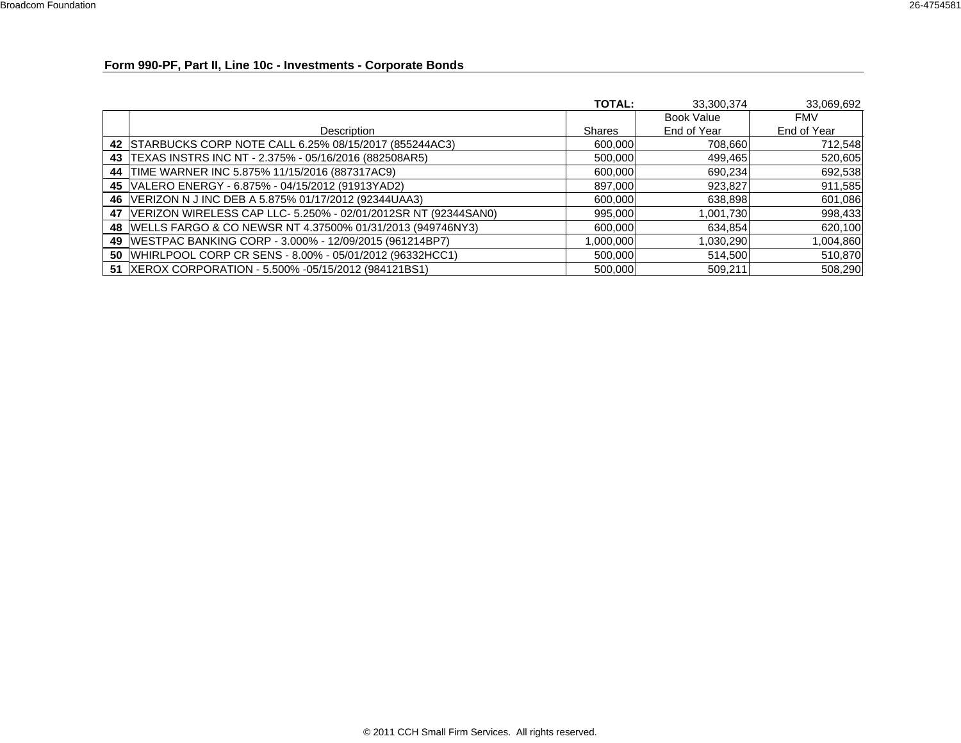### **Form 990-PF, Part II, Line 10c - Investments - Corporate Bonds**

|                                                                     | <b>TOTAL:</b> | 33,300,374        | 33,069,692  |
|---------------------------------------------------------------------|---------------|-------------------|-------------|
|                                                                     |               | <b>Book Value</b> | <b>FMV</b>  |
| Description                                                         | <b>Shares</b> | End of Year       | End of Year |
| 42 STARBUCKS CORP NOTE CALL 6.25% 08/15/2017 (855244AC3)            | 600,000       | 708,660           | 712,548     |
| 43   TEXAS INSTRS INC NT - 2.375% - 05/16/2016 (882508AR5)          | 500,000       | 499,465           | 520,605     |
| 44 TIME WARNER INC 5.875% 11/15/2016 (887317AC9)                    | 600,000       | 690,234           | 692,538     |
| 45   VALERO ENERGY - 6.875% - 04/15/2012 (91913YAD2)                | 897,000       | 923,827           | 911,585     |
| 46   VERIZON N J INC DEB A 5.875% 01/17/2012 (92344UAA3)            | 600,000       | 638,898           | 601,086     |
| 47   VERIZON WIRELESS CAP LLC- 5.250% - 02/01/2012SR NT (92344SAN0) | 995,000       | 1,001,730         | 998,433     |
| 48   WELLS FARGO & CO NEWSR NT 4.37500% 01/31/2013 (949746NY3)      | 600,000       | 634,854           | 620,100     |
| 49   WESTPAC BANKING CORP - 3.000% - 12/09/2015 (961214BP7)         | 1,000,000     | 1,030,290         | 1,004,860   |
| 50   WHIRLPOOL CORP CR SENS - 8.00% - 05/01/2012 (96332HCC1)        | 500,000       | 514,500           | 510,870     |
| 51  XEROX CORPORATION - 5.500% -05/15/2012 (984121BS1)              | 500,000       | 509,211           | 508,290     |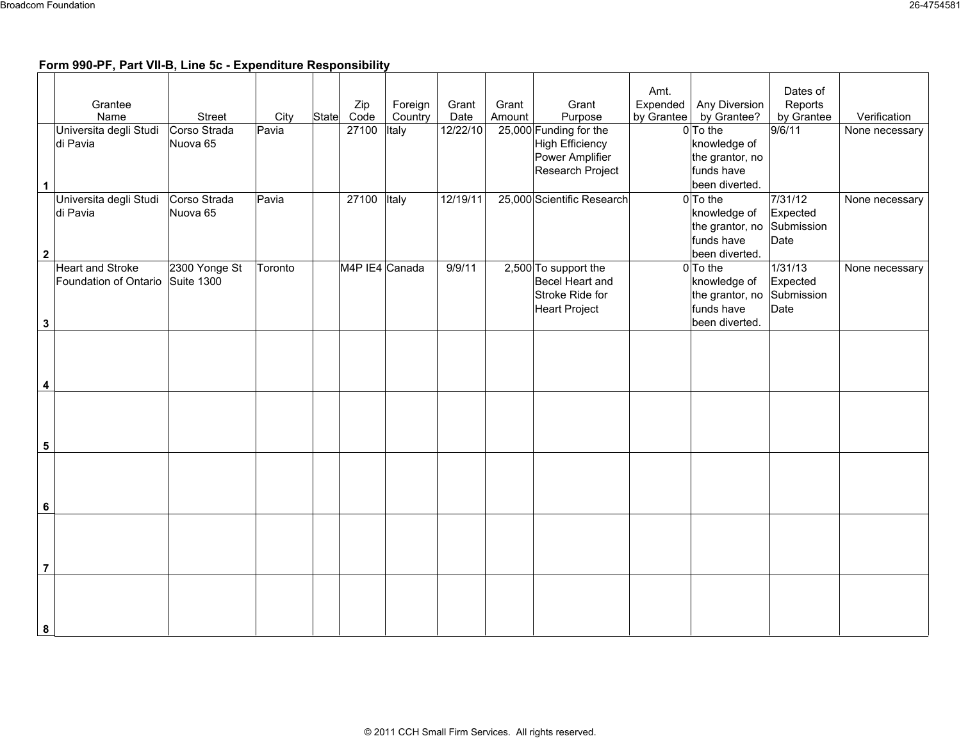# **Form 990-PF, Part VII-B, Line 5c - Expenditure Responsibility**

|                         |                                    |                          |         |             |                |          |        |                            | Amt.       |                            | Dates of            |                |
|-------------------------|------------------------------------|--------------------------|---------|-------------|----------------|----------|--------|----------------------------|------------|----------------------------|---------------------|----------------|
|                         | Grantee                            |                          |         | Zip         | Foreign        | Grant    | Grant  | Grant                      | Expended   | Any Diversion              | Reports             |                |
|                         | Name                               | Street                   | City    | State Code  | Country        | Date     | Amount | Purpose                    | by Grantee | by Grantee?                | by Grantee          | Verification   |
|                         | Universita degli Studi             | Corso Strada             | Pavia   | 27100       | Italy          | 12/22/10 |        | 25,000 Funding for the     |            | $0$ To the                 | 9/6/11              | None necessary |
|                         | di Pavia                           | Nuova 65                 |         |             |                |          |        | <b>High Efficiency</b>     |            | knowledge of               |                     |                |
|                         |                                    |                          |         |             |                |          |        | Power Amplifier            |            | the grantor, no            |                     |                |
|                         |                                    |                          |         |             |                |          |        | Research Project           |            | funds have                 |                     |                |
| $\mathbf{1}$            |                                    |                          |         |             |                |          |        |                            |            | been diverted.             |                     |                |
|                         | Universita degli Studi<br>di Pavia | Corso Strada<br>Nuova 65 | Pavia   | 27100 Italy |                | 12/19/11 |        | 25,000 Scientific Research |            | $0$ To the<br>knowledge of | 7/31/12<br>Expected | None necessary |
|                         |                                    |                          |         |             |                |          |        |                            |            | the grantor, no            | Submission          |                |
|                         |                                    |                          |         |             |                |          |        |                            |            | funds have                 | Date                |                |
| $\mathbf{2}$            |                                    |                          |         |             |                |          |        |                            |            | been diverted.             |                     |                |
|                         | <b>Heart and Stroke</b>            | 2300 Yonge St            | Toronto |             | M4P IE4 Canada | 9/9/11   |        | 2,500 To support the       |            | $0$ To the                 | 1/31/13             | None necessary |
|                         | Foundation of Ontario Suite 1300   |                          |         |             |                |          |        | Becel Heart and            |            | knowledge of               | Expected            |                |
|                         |                                    |                          |         |             |                |          |        | Stroke Ride for            |            | the grantor, no            | Submission          |                |
|                         |                                    |                          |         |             |                |          |        | <b>Heart Project</b>       |            | funds have                 | Date                |                |
| $\mathbf{3}$            |                                    |                          |         |             |                |          |        |                            |            | been diverted.             |                     |                |
|                         |                                    |                          |         |             |                |          |        |                            |            |                            |                     |                |
|                         |                                    |                          |         |             |                |          |        |                            |            |                            |                     |                |
|                         |                                    |                          |         |             |                |          |        |                            |            |                            |                     |                |
| $\overline{\mathbf{4}}$ |                                    |                          |         |             |                |          |        |                            |            |                            |                     |                |
|                         |                                    |                          |         |             |                |          |        |                            |            |                            |                     |                |
|                         |                                    |                          |         |             |                |          |        |                            |            |                            |                     |                |
|                         |                                    |                          |         |             |                |          |        |                            |            |                            |                     |                |
| $\sqrt{5}$              |                                    |                          |         |             |                |          |        |                            |            |                            |                     |                |
|                         |                                    |                          |         |             |                |          |        |                            |            |                            |                     |                |
|                         |                                    |                          |         |             |                |          |        |                            |            |                            |                     |                |
|                         |                                    |                          |         |             |                |          |        |                            |            |                            |                     |                |
| $\bf 6$                 |                                    |                          |         |             |                |          |        |                            |            |                            |                     |                |
|                         |                                    |                          |         |             |                |          |        |                            |            |                            |                     |                |
|                         |                                    |                          |         |             |                |          |        |                            |            |                            |                     |                |
|                         |                                    |                          |         |             |                |          |        |                            |            |                            |                     |                |
| $\overline{7}$          |                                    |                          |         |             |                |          |        |                            |            |                            |                     |                |
|                         |                                    |                          |         |             |                |          |        |                            |            |                            |                     |                |
|                         |                                    |                          |         |             |                |          |        |                            |            |                            |                     |                |
|                         |                                    |                          |         |             |                |          |        |                            |            |                            |                     |                |
| 8                       |                                    |                          |         |             |                |          |        |                            |            |                            |                     |                |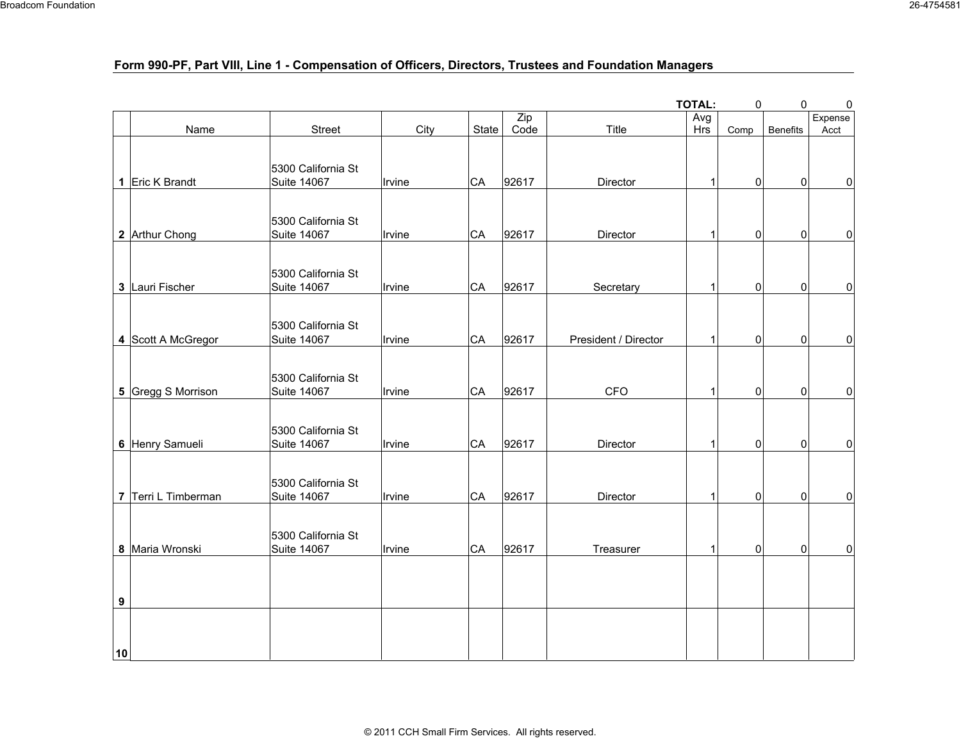# **Form 990-PF, Part VIII, Line 1 - Compensation of Officers, Directors, Trustees and Foundation Managers**

|    |                     |                                          |        |           |       |                      | <b>TOTAL:</b> | 0              | $\pmb{0}$       | $\pmb{0}$ |
|----|---------------------|------------------------------------------|--------|-----------|-------|----------------------|---------------|----------------|-----------------|-----------|
|    |                     |                                          |        |           | Zip   |                      | Avg           |                |                 | Expense   |
|    | Name                | Street                                   | City   | State     | Code  | Title                | Hrs           | Comp           | <b>Benefits</b> | Acct      |
|    | 1 Eric K Brandt     | 5300 California St<br>Suite 14067        | Irvine | CA        | 92617 | Director             | $\mathbf{1}$  | $\overline{0}$ | 0               | 0         |
|    | 2 Arthur Chong      | 5300 California St<br>Suite 14067        | Irvine | <b>CA</b> | 92617 | Director             | 1             | 0              | 0               | 0         |
|    | 3 Lauri Fischer     | 5300 California St<br>Suite 14067        | Irvine | CA        | 92617 | Secretary            | $\mathbf{1}$  | 0              | 0               | 0         |
|    | 4 Scott A McGregor  | 5300 California St<br>Suite 14067        | Irvine | <b>CA</b> | 92617 | President / Director | $\mathbf{1}$  | 0              | $\pmb{0}$       | 0         |
|    | 5 Gregg S Morrison  | 5300 California St<br>Suite 14067        | Irvine | CA        | 92617 | <b>CFO</b>           | 1             | 0              | 0               | 0         |
|    | 6 Henry Samueli     | 5300 California St<br>Suite 14067        | Irvine | <b>CA</b> | 92617 | Director             | $\mathbf{1}$  | $\pmb{0}$      | $\pmb{0}$       | 0         |
|    | 7 Terri L Timberman | 5300 California St<br><b>Suite 14067</b> | Irvine | <b>CA</b> | 92617 | Director             | $\mathbf{1}$  | 0              | 0               | 0         |
|    | 8 Maria Wronski     | 5300 California St<br>Suite 14067        | Irvine | <b>CA</b> | 92617 | Treasurer            | 1             | 0              | 0               | 0         |
| 9  |                     |                                          |        |           |       |                      |               |                |                 |           |
| 10 |                     |                                          |        |           |       |                      |               |                |                 |           |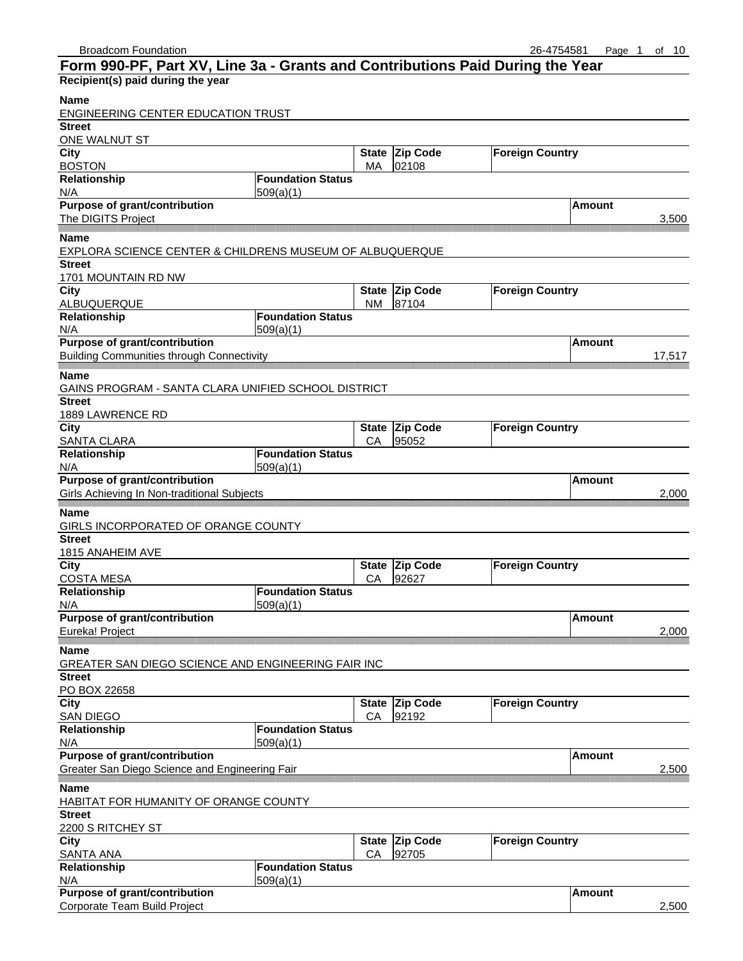|                                                                      | Form 990-PF, Part XV, Line 3a - Grants and Contributions Paid During the Year |              |                 |                        |               |        |
|----------------------------------------------------------------------|-------------------------------------------------------------------------------|--------------|-----------------|------------------------|---------------|--------|
| Recipient(s) paid during the year                                    |                                                                               |              |                 |                        |               |        |
| <b>Name</b>                                                          |                                                                               |              |                 |                        |               |        |
| <b>ENGINEERING CENTER EDUCATION TRUST</b>                            |                                                                               |              |                 |                        |               |        |
| <b>Street</b>                                                        |                                                                               |              |                 |                        |               |        |
| ONE WALNUT ST                                                        |                                                                               |              |                 |                        |               |        |
| <b>City</b>                                                          |                                                                               | <b>State</b> | <b>Zip Code</b> | <b>Foreign Country</b> |               |        |
| <b>BOSTON</b>                                                        |                                                                               | МA           | 02108           |                        |               |        |
| Relationship                                                         | <b>Foundation Status</b>                                                      |              |                 |                        |               |        |
| N/A                                                                  | 509(a)(1)                                                                     |              |                 |                        |               |        |
| <b>Purpose of grant/contribution</b>                                 |                                                                               |              |                 |                        | Amount        |        |
| The DIGITS Project                                                   |                                                                               |              |                 |                        |               | 3,500  |
| Name                                                                 |                                                                               |              |                 |                        |               |        |
| EXPLORA SCIENCE CENTER & CHILDRENS MUSEUM OF ALBUQUERQUE             |                                                                               |              |                 |                        |               |        |
| <b>Street</b>                                                        |                                                                               |              |                 |                        |               |        |
| 1701 MOUNTAIN RD NW                                                  |                                                                               |              |                 |                        |               |        |
| <b>City</b>                                                          |                                                                               | <b>State</b> | <b>Zip Code</b> | <b>Foreign Country</b> |               |        |
| ALBUQUERQUE                                                          |                                                                               | NM.          | 87104           |                        |               |        |
| Relationship                                                         | <b>Foundation Status</b>                                                      |              |                 |                        |               |        |
| N/A                                                                  | 509(a)(1)                                                                     |              |                 |                        |               |        |
| Purpose of grant/contribution                                        |                                                                               |              |                 |                        | Amount        |        |
| <b>Building Communities through Connectivity</b>                     |                                                                               |              |                 |                        |               | 17,517 |
|                                                                      |                                                                               |              |                 |                        |               |        |
| <b>Name</b>                                                          |                                                                               |              |                 |                        |               |        |
| GAINS PROGRAM - SANTA CLARA UNIFIED SCHOOL DISTRICT<br><b>Street</b> |                                                                               |              |                 |                        |               |        |
| 1889 LAWRENCE RD                                                     |                                                                               |              |                 |                        |               |        |
| City                                                                 |                                                                               | <b>State</b> | Zip Code        | <b>Foreign Country</b> |               |        |
| SANTA CLARA                                                          |                                                                               | СA           | 95052           |                        |               |        |
| Relationship                                                         | <b>Foundation Status</b>                                                      |              |                 |                        |               |        |
| N/A                                                                  | 509(a)(1)                                                                     |              |                 |                        |               |        |
| Purpose of grant/contribution                                        |                                                                               |              |                 |                        | Amount        |        |
| Girls Achieving In Non-traditional Subjects                          |                                                                               |              |                 |                        |               | 2,000  |
|                                                                      |                                                                               |              |                 |                        |               |        |
| Name                                                                 |                                                                               |              |                 |                        |               |        |
| GIRLS INCORPORATED OF ORANGE COUNTY                                  |                                                                               |              |                 |                        |               |        |
| <b>Street</b>                                                        |                                                                               |              |                 |                        |               |        |
| 1815 ANAHEIM AVE<br><b>City</b>                                      |                                                                               |              | State Zip Code  | <b>Foreign Country</b> |               |        |
|                                                                      |                                                                               |              |                 |                        |               |        |
|                                                                      |                                                                               |              |                 |                        |               |        |
| <b>COSTA MESA</b>                                                    |                                                                               | CА           | 92627           |                        |               |        |
| Relationship                                                         | <b>Foundation Status</b>                                                      |              |                 |                        |               |        |
| N/A                                                                  | 509(a)(1)                                                                     |              |                 |                        |               |        |
| <b>Purpose of grant/contribution</b>                                 |                                                                               |              |                 |                        | <b>Amount</b> |        |
| Eureka! Project                                                      |                                                                               |              |                 |                        |               | 2,000  |
| Name                                                                 |                                                                               |              |                 |                        |               |        |
| GREATER SAN DIEGO SCIENCE AND ENGINEERING FAIR INC                   |                                                                               |              |                 |                        |               |        |
| <b>Street</b>                                                        |                                                                               |              |                 |                        |               |        |
| PO BOX 22658                                                         |                                                                               |              |                 |                        |               |        |
| <b>City</b>                                                          |                                                                               | <b>State</b> | Zip Code        | <b>Foreign Country</b> |               |        |
| <b>SAN DIEGO</b>                                                     |                                                                               | CA           | 92192           |                        |               |        |
| Relationship                                                         | <b>Foundation Status</b>                                                      |              |                 |                        |               |        |
| N/A                                                                  | 509(a)(1)                                                                     |              |                 |                        |               |        |
| <b>Purpose of grant/contribution</b>                                 |                                                                               |              |                 |                        | <b>Amount</b> |        |
| Greater San Diego Science and Engineering Fair                       |                                                                               |              |                 |                        |               | 2,500  |
| Name                                                                 |                                                                               |              |                 |                        |               |        |
| HABITAT FOR HUMANITY OF ORANGE COUNTY                                |                                                                               |              |                 |                        |               |        |
| <b>Street</b>                                                        |                                                                               |              |                 |                        |               |        |
| 2200 S RITCHEY ST                                                    |                                                                               |              |                 |                        |               |        |
| <b>City</b>                                                          |                                                                               | <b>State</b> | <b>Zip Code</b> | <b>Foreign Country</b> |               |        |
| <b>SANTA ANA</b>                                                     |                                                                               | CA           | 92705           |                        |               |        |
| Relationship                                                         | <b>Foundation Status</b>                                                      |              |                 |                        |               |        |
| N/A<br>Purpose of grant/contribution                                 | 509(a)(1)                                                                     |              |                 |                        | <b>Amount</b> |        |

Corporate Team Build Project 2,500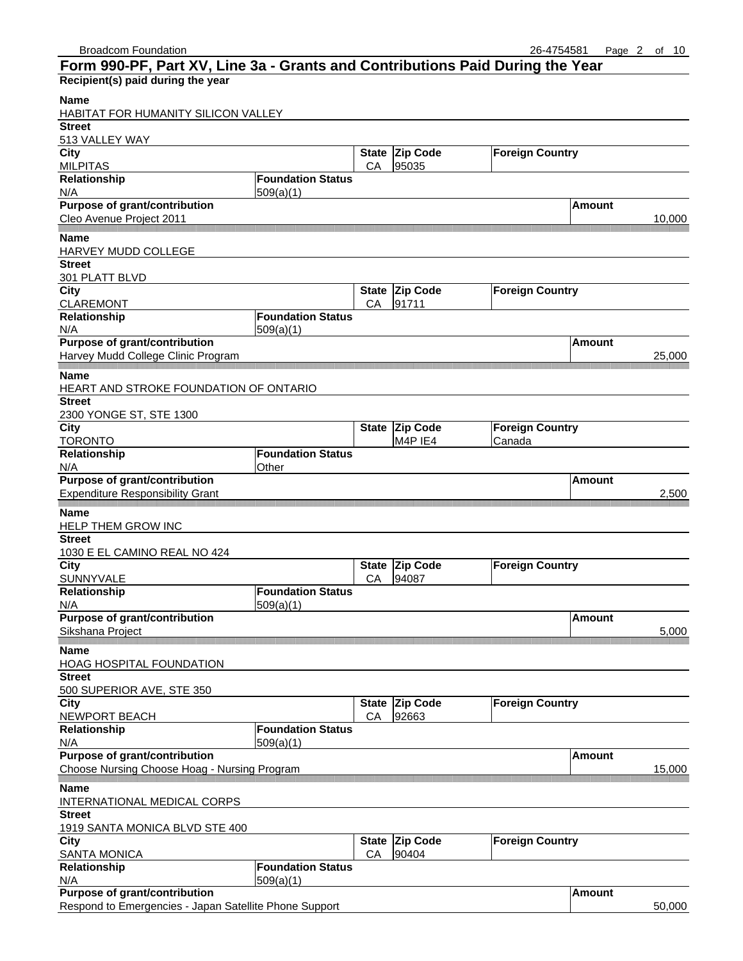| Form 990-PF, Part XV, Line 3a - Grants and Contributions Paid During the Year |                          |              |                 |                        |               |        |
|-------------------------------------------------------------------------------|--------------------------|--------------|-----------------|------------------------|---------------|--------|
| Recipient(s) paid during the year                                             |                          |              |                 |                        |               |        |
| Name                                                                          |                          |              |                 |                        |               |        |
| HABITAT FOR HUMANITY SILICON VALLEY                                           |                          |              |                 |                        |               |        |
| <b>Street</b>                                                                 |                          |              |                 |                        |               |        |
| 513 VALLEY WAY<br><b>City</b>                                                 |                          |              | State Zip Code  | <b>Foreign Country</b> |               |        |
| <b>MILPITAS</b>                                                               |                          | CA           | 95035           |                        |               |        |
| Relationship                                                                  | <b>Foundation Status</b> |              |                 |                        |               |        |
| N/A                                                                           | 509(a)(1)                |              |                 |                        |               |        |
| Purpose of grant/contribution                                                 |                          |              |                 |                        | <b>Amount</b> |        |
| Cleo Avenue Project 2011                                                      |                          |              |                 |                        |               | 10,000 |
| Name                                                                          |                          |              |                 |                        |               |        |
| HARVEY MUDD COLLEGE                                                           |                          |              |                 |                        |               |        |
| <b>Street</b>                                                                 |                          |              |                 |                        |               |        |
| 301 PLATT BLVD<br>City                                                        |                          | <b>State</b> | <b>Zip Code</b> | <b>Foreign Country</b> |               |        |
| <b>CLAREMONT</b>                                                              |                          | CA           | 91711           |                        |               |        |
| Relationship                                                                  | <b>Foundation Status</b> |              |                 |                        |               |        |
| N/A                                                                           | 509(a)(1)                |              |                 |                        |               |        |
| <b>Purpose of grant/contribution</b>                                          |                          |              |                 |                        | <b>Amount</b> |        |
| Harvey Mudd College Clinic Program                                            |                          |              |                 |                        |               | 25,000 |
| <b>Name</b>                                                                   |                          |              |                 |                        |               |        |
| HEART AND STROKE FOUNDATION OF ONTARIO                                        |                          |              |                 |                        |               |        |
| <b>Street</b>                                                                 |                          |              |                 |                        |               |        |
| 2300 YONGE ST, STE 1300                                                       |                          |              |                 |                        |               |        |
| City                                                                          |                          | <b>State</b> | <b>Zip Code</b> | <b>Foreign Country</b> |               |        |
| <b>TORONTO</b><br>Relationship                                                | <b>Foundation Status</b> |              | M4P IE4         | Canada                 |               |        |
| N/A                                                                           | Other                    |              |                 |                        |               |        |
| <b>Purpose of grant/contribution</b>                                          |                          |              |                 |                        | Amount        |        |
| <b>Expenditure Responsibility Grant</b>                                       |                          |              |                 |                        |               | 2,500  |
| Name                                                                          |                          |              |                 |                        |               |        |
| <b>HELP THEM GROW INC</b>                                                     |                          |              |                 |                        |               |        |
| <b>Street</b>                                                                 |                          |              |                 |                        |               |        |
| 1030 E EL CAMINO REAL NO 424                                                  |                          |              |                 |                        |               |        |
| <b>City</b>                                                                   |                          | <b>State</b> | Zip Code        | <b>Foreign Country</b> |               |        |
| SUNNYVALE                                                                     |                          | CA           | 94087           |                        |               |        |
| Relationship                                                                  | <b>Foundation Status</b> |              |                 |                        |               |        |
| N/A<br><b>Purpose of grant/contribution</b>                                   | 509(a)(1)                |              |                 |                        | <b>Amount</b> |        |
| Sikshana Project                                                              |                          |              |                 |                        |               | 5,000  |
|                                                                               |                          |              |                 |                        |               |        |
| Name                                                                          |                          |              |                 |                        |               |        |
| HOAG HOSPITAL FOUNDATION<br><b>Street</b>                                     |                          |              |                 |                        |               |        |
| 500 SUPERIOR AVE, STE 350                                                     |                          |              |                 |                        |               |        |
| <b>City</b>                                                                   |                          |              | State Zip Code  | <b>Foreign Country</b> |               |        |
| NEWPORT BEACH                                                                 |                          | CA           | 92663           |                        |               |        |
| Relationship                                                                  | <b>Foundation Status</b> |              |                 |                        |               |        |
| N/A                                                                           | 509(a)(1)                |              |                 |                        |               |        |
| Purpose of grant/contribution                                                 |                          |              |                 |                        | <b>Amount</b> |        |
| Choose Nursing Choose Hoag - Nursing Program                                  |                          |              |                 |                        |               | 15,000 |
| <b>Name</b>                                                                   |                          |              |                 |                        |               |        |
| INTERNATIONAL MEDICAL CORPS                                                   |                          |              |                 |                        |               |        |
| <b>Street</b>                                                                 |                          |              |                 |                        |               |        |
| 1919 SANTA MONICA BLVD STE 400<br><b>City</b>                                 |                          | <b>State</b> | <b>Zip Code</b> | <b>Foreign Country</b> |               |        |
| <b>SANTA MONICA</b>                                                           |                          | CA           | 90404           |                        |               |        |
| Relationship                                                                  | <b>Foundation Status</b> |              |                 |                        |               |        |
| N/A                                                                           | 509(a)(1)                |              |                 |                        |               |        |
| <b>Purpose of grant/contribution</b>                                          |                          |              |                 |                        | <b>Amount</b> |        |

Respond to Emergencies - Japan Satellite Phone Support 50,000 newsletch and the state of the state 50,000 newsletch and the state  $50,000$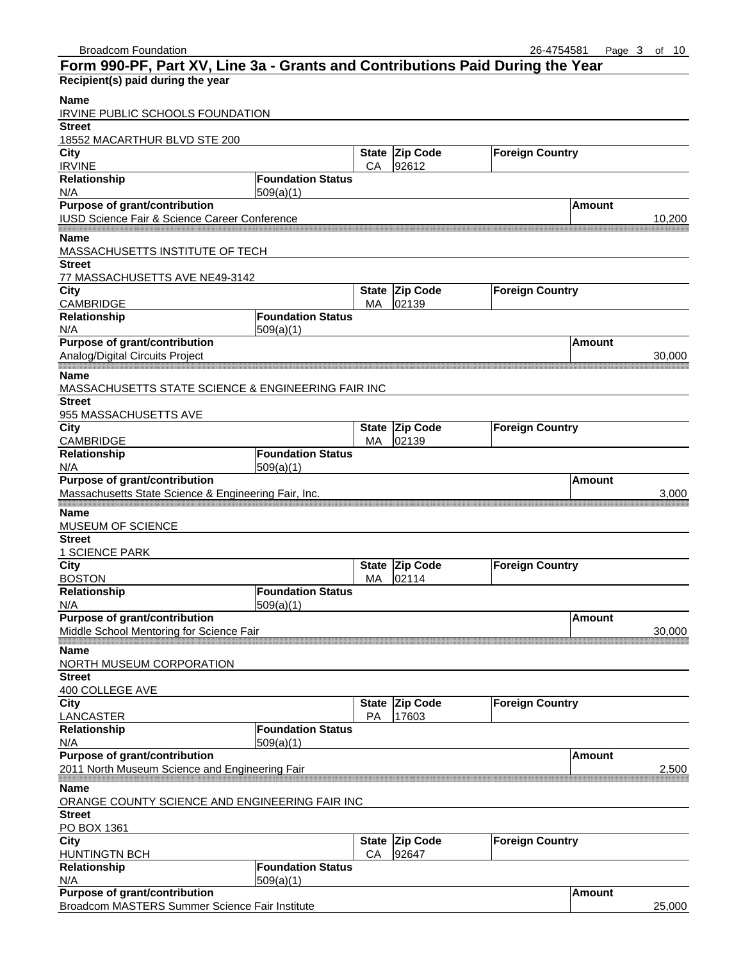| Form 990-PF, Part XV, Line 3a - Grants and Contributions Paid During the Year |                          |                    |                          |                        |               |        |
|-------------------------------------------------------------------------------|--------------------------|--------------------|--------------------------|------------------------|---------------|--------|
| Recipient(s) paid during the year                                             |                          |                    |                          |                        |               |        |
| <b>Name</b><br>IRVINE PUBLIC SCHOOLS FOUNDATION                               |                          |                    |                          |                        |               |        |
| <b>Street</b>                                                                 |                          |                    |                          |                        |               |        |
| 18552 MACARTHUR BLVD STE 200                                                  |                          |                    |                          |                        |               |        |
| <b>City</b><br><b>IRVINE</b>                                                  |                          | <b>State</b><br>CA | <b>Zip Code</b><br>92612 | <b>Foreign Country</b> |               |        |
| Relationship                                                                  | <b>Foundation Status</b> |                    |                          |                        |               |        |
| N/A                                                                           | 509(a)(1)                |                    |                          |                        |               |        |
| <b>Purpose of grant/contribution</b>                                          |                          |                    |                          |                        | Amount        |        |
| IUSD Science Fair & Science Career Conference                                 |                          |                    |                          |                        |               | 10,200 |
| <b>Name</b>                                                                   |                          |                    |                          |                        |               |        |
| <b>MASSACHUSETTS INSTITUTE OF TECH</b>                                        |                          |                    |                          |                        |               |        |
| <b>Street</b>                                                                 |                          |                    |                          |                        |               |        |
| 77 MASSACHUSETTS AVE NE49-3142                                                |                          |                    |                          |                        |               |        |
| City                                                                          |                          | <b>State</b>       | <b>Zip Code</b>          | <b>Foreign Country</b> |               |        |
| <b>CAMBRIDGE</b>                                                              |                          | МA                 | 02139                    |                        |               |        |
| Relationship                                                                  | <b>Foundation Status</b> |                    |                          |                        |               |        |
| N/A                                                                           | 509(a)(1)                |                    |                          |                        |               |        |
| Purpose of grant/contribution                                                 |                          |                    |                          |                        | Amount        |        |
| Analog/Digital Circuits Project                                               |                          |                    |                          |                        |               | 30,000 |
|                                                                               |                          |                    |                          |                        |               |        |
| Name                                                                          |                          |                    |                          |                        |               |        |
| MASSACHUSETTS STATE SCIENCE & ENGINEERING FAIR INC                            |                          |                    |                          |                        |               |        |
| <b>Street</b>                                                                 |                          |                    |                          |                        |               |        |
| 955 MASSACHUSETTS AVE                                                         |                          |                    |                          |                        |               |        |
| <b>City</b>                                                                   |                          | <b>State</b>       | <b>Zip Code</b>          | <b>Foreign Country</b> |               |        |
| CAMBRIDGE                                                                     | <b>Foundation Status</b> | МA                 | 02139                    |                        |               |        |
| Relationship                                                                  |                          |                    |                          |                        |               |        |
| N/A<br><b>Purpose of grant/contribution</b>                                   | 509(a)(1)                |                    |                          |                        | Amount        |        |
|                                                                               |                          |                    |                          |                        |               |        |
| Massachusetts State Science & Engineering Fair, Inc.                          |                          |                    |                          |                        |               | 3,000  |
| Name                                                                          |                          |                    |                          |                        |               |        |
| MUSEUM OF SCIENCE                                                             |                          |                    |                          |                        |               |        |
| <b>Street</b>                                                                 |                          |                    |                          |                        |               |        |
| <b>1 SCIENCE PARK</b>                                                         |                          |                    |                          |                        |               |        |
| <b>City</b>                                                                   |                          |                    | State Zip Code           | <b>Foreign Country</b> |               |        |
| <b>BOSTON</b>                                                                 |                          | МA                 | 02114                    |                        |               |        |
| Relationship                                                                  | <b>Foundation Status</b> |                    |                          |                        |               |        |
| N/A                                                                           | 509(a)(1)                |                    |                          |                        |               |        |
| <b>Purpose of grant/contribution</b>                                          |                          |                    |                          |                        | Amount        |        |
| Middle School Mentoring for Science Fair                                      |                          |                    |                          |                        |               | 30,000 |
| <b>Name</b>                                                                   |                          |                    |                          |                        |               |        |
| NORTH MUSEUM CORPORATION                                                      |                          |                    |                          |                        |               |        |
| <b>Street</b>                                                                 |                          |                    |                          |                        |               |        |
| 400 COLLEGE AVE                                                               |                          |                    |                          |                        |               |        |
| City                                                                          |                          | <b>State</b>       | <b>Zip Code</b>          | <b>Foreign Country</b> |               |        |
| LANCASTER                                                                     |                          | PA                 | 17603                    |                        |               |        |
| Relationship                                                                  | <b>Foundation Status</b> |                    |                          |                        |               |        |
| N/A                                                                           | 509(a)(1)                |                    |                          |                        |               |        |
| Purpose of grant/contribution                                                 |                          |                    |                          |                        | <b>Amount</b> |        |
| 2011 North Museum Science and Engineering Fair                                |                          |                    |                          |                        |               | 2,500  |
| Name                                                                          |                          |                    |                          |                        |               |        |
| ORANGE COUNTY SCIENCE AND ENGINEERING FAIR INC                                |                          |                    |                          |                        |               |        |
| <b>Street</b>                                                                 |                          |                    |                          |                        |               |        |
| PO BOX 1361                                                                   |                          |                    |                          |                        |               |        |
| <b>City</b>                                                                   |                          | <b>State</b>       | <b>Zip Code</b>          | <b>Foreign Country</b> |               |        |
| <b>HUNTINGTN BCH</b>                                                          |                          | CA                 | 92647                    |                        |               |        |
| Relationship                                                                  | <b>Foundation Status</b> |                    |                          |                        |               |        |
| N/A                                                                           | 509(a)(1)                |                    |                          |                        |               |        |
| Purpose of grant/contribution                                                 |                          |                    |                          |                        | Amount        |        |
| Broadcom MASTERS Summer Science Fair Institute                                |                          |                    |                          |                        |               | 25,000 |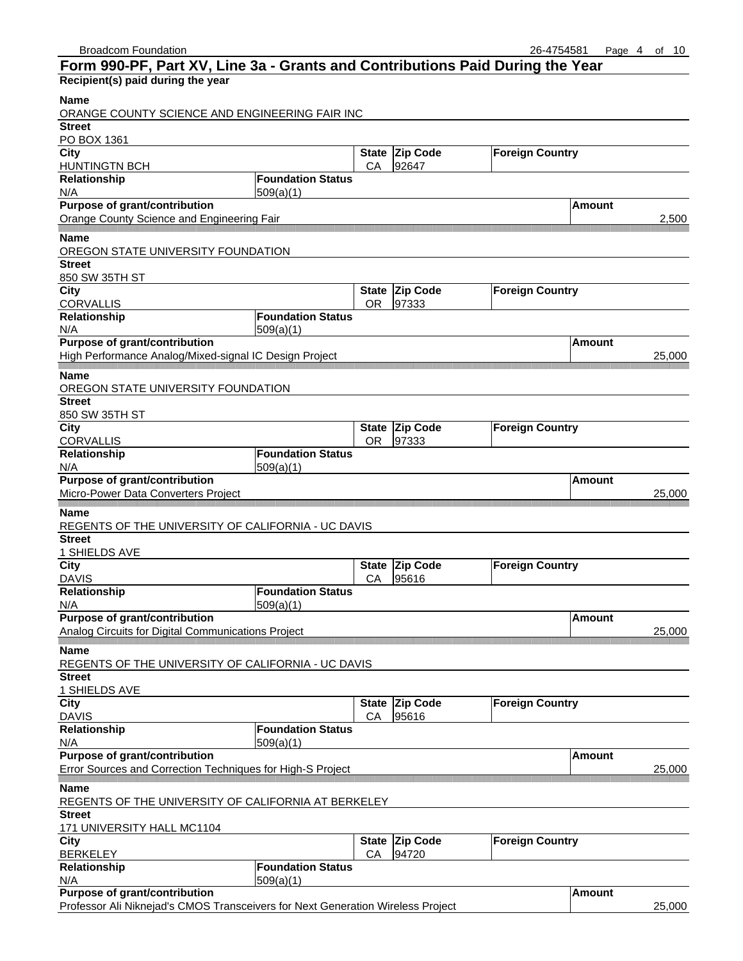| Form 990-PF, Part XV, Line 3a - Grants and Contributions Paid During the Year   |                          |              |                 |                        |               |        |
|---------------------------------------------------------------------------------|--------------------------|--------------|-----------------|------------------------|---------------|--------|
| Recipient(s) paid during the year                                               |                          |              |                 |                        |               |        |
| <b>Name</b>                                                                     |                          |              |                 |                        |               |        |
| ORANGE COUNTY SCIENCE AND ENGINEERING FAIR INC                                  |                          |              |                 |                        |               |        |
| <b>Street</b>                                                                   |                          |              |                 |                        |               |        |
| PO BOX 1361                                                                     |                          |              |                 |                        |               |        |
| $\overline{C}$ ity                                                              |                          |              | State Zip Code  | <b>Foreign Country</b> |               |        |
| <b>HUNTINGTN BCH</b>                                                            |                          | CA           | 92647           |                        |               |        |
| Relationship                                                                    | <b>Foundation Status</b> |              |                 |                        |               |        |
| N/A                                                                             | 509(a)(1)                |              |                 |                        |               |        |
| <b>Purpose of grant/contribution</b>                                            |                          |              |                 |                        | <b>Amount</b> |        |
| Orange County Science and Engineering Fair                                      |                          |              |                 |                        |               | 2,500  |
| <b>Name</b>                                                                     |                          |              |                 |                        |               |        |
| OREGON STATE UNIVERSITY FOUNDATION                                              |                          |              |                 |                        |               |        |
| <b>Street</b>                                                                   |                          |              |                 |                        |               |        |
| 850 SW 35TH ST                                                                  |                          |              |                 |                        |               |        |
| <b>City</b>                                                                     |                          |              | State Zip Code  | <b>Foreign Country</b> |               |        |
| <b>CORVALLIS</b>                                                                |                          | <b>OR</b>    | 97333           |                        |               |        |
| Relationship                                                                    | <b>Foundation Status</b> |              |                 |                        |               |        |
| N/A                                                                             | 509(a)(1)                |              |                 |                        |               |        |
| Purpose of grant/contribution                                                   |                          |              |                 |                        | <b>Amount</b> |        |
| High Performance Analog/Mixed-signal IC Design Project                          |                          |              |                 |                        |               | 25,000 |
| Name                                                                            |                          |              |                 |                        |               |        |
| OREGON STATE UNIVERSITY FOUNDATION                                              |                          |              |                 |                        |               |        |
| <b>Street</b>                                                                   |                          |              |                 |                        |               |        |
| 850 SW 35TH ST                                                                  |                          |              |                 |                        |               |        |
| City                                                                            |                          | <b>State</b> | Zip Code        | <b>Foreign Country</b> |               |        |
| <b>CORVALLIS</b>                                                                |                          | <b>OR</b>    | 97333           |                        |               |        |
| Relationship                                                                    | <b>Foundation Status</b> |              |                 |                        |               |        |
| N/A                                                                             | 509(a)(1)                |              |                 |                        |               |        |
| <b>Purpose of grant/contribution</b>                                            |                          |              |                 |                        | Amount        |        |
| Micro-Power Data Converters Project                                             |                          |              |                 |                        |               | 25,000 |
|                                                                                 |                          |              |                 |                        |               |        |
| <b>Name</b>                                                                     |                          |              |                 |                        |               |        |
| REGENTS OF THE UNIVERSITY OF CALIFORNIA - UC DAVIS                              |                          |              |                 |                        |               |        |
| <b>Street</b>                                                                   |                          |              |                 |                        |               |        |
| 1 SHIELDS AVE<br><b>City</b>                                                    |                          | <b>State</b> | Zip Code        | <b>Foreign Country</b> |               |        |
| <b>DAVIS</b>                                                                    |                          | CA           | 95616           |                        |               |        |
| Relationship                                                                    | <b>Foundation Status</b> |              |                 |                        |               |        |
| N/A                                                                             | 509(a)(1)                |              |                 |                        |               |        |
| Purpose of grant/contribution                                                   |                          |              |                 |                        | <b>Amount</b> |        |
| Analog Circuits for Digital Communications Project                              |                          |              |                 |                        |               | 25,000 |
|                                                                                 |                          |              |                 |                        |               |        |
| <b>Name</b>                                                                     |                          |              |                 |                        |               |        |
| REGENTS OF THE UNIVERSITY OF CALIFORNIA - UC DAVIS                              |                          |              |                 |                        |               |        |
| <b>Street</b>                                                                   |                          |              |                 |                        |               |        |
| 1 SHIELDS AVE                                                                   |                          |              |                 |                        |               |        |
| City                                                                            |                          | <b>State</b> | <b>Zip Code</b> | <b>Foreign Country</b> |               |        |
| <b>DAVIS</b>                                                                    |                          | СA           | 95616           |                        |               |        |
| Relationship                                                                    | <b>Foundation Status</b> |              |                 |                        |               |        |
| N/A<br>Purpose of grant/contribution                                            | 509(a)(1)                |              |                 |                        | <b>Amount</b> |        |
| Error Sources and Correction Techniques for High-S Project                      |                          |              |                 |                        |               |        |
|                                                                                 |                          |              |                 |                        |               | 25,000 |
| Name                                                                            |                          |              |                 |                        |               |        |
| REGENTS OF THE UNIVERSITY OF CALIFORNIA AT BERKELEY                             |                          |              |                 |                        |               |        |
| <b>Street</b>                                                                   |                          |              |                 |                        |               |        |
| 171 UNIVERSITY HALL MC1104                                                      |                          |              |                 |                        |               |        |
| City                                                                            |                          | <b>State</b> | <b>Zip Code</b> | <b>Foreign Country</b> |               |        |
| <b>BERKELEY</b>                                                                 |                          | CA           | 94720           |                        |               |        |
| Relationship                                                                    | <b>Foundation Status</b> |              |                 |                        |               |        |
| N/A                                                                             | 509(a)(1)                |              |                 |                        |               |        |
| Purpose of grant/contribution                                                   |                          |              |                 |                        | <b>Amount</b> |        |
| Professor Ali Niknejad's CMOS Transceivers for Next Generation Wireless Project |                          |              |                 |                        |               | 25,000 |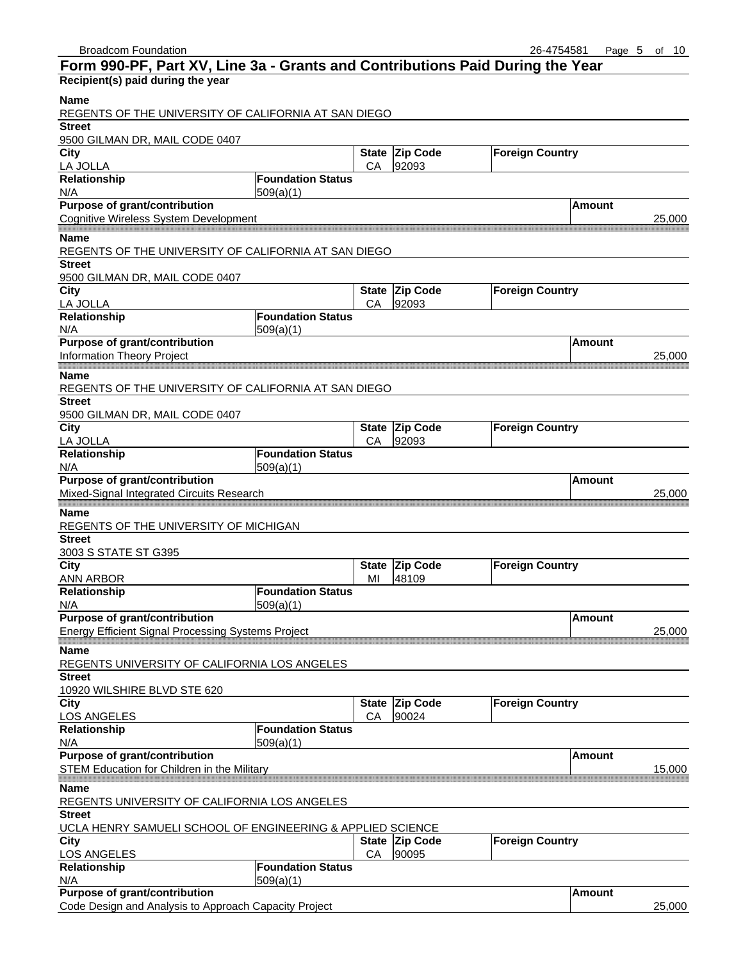| Form 990-PF, Part XV, Line 3a - Grants and Contributions Paid During the Year |                          |                    |                          |                        |               |        |
|-------------------------------------------------------------------------------|--------------------------|--------------------|--------------------------|------------------------|---------------|--------|
| Recipient(s) paid during the year                                             |                          |                    |                          |                        |               |        |
| <b>Name</b><br>REGENTS OF THE UNIVERSITY OF CALIFORNIA AT SAN DIEGO           |                          |                    |                          |                        |               |        |
| <b>Street</b>                                                                 |                          |                    |                          |                        |               |        |
| 9500 GILMAN DR, MAIL CODE 0407                                                |                          |                    |                          |                        |               |        |
| <b>City</b><br>LA JOLLA                                                       |                          | <b>State</b><br>CA | <b>Zip Code</b><br>92093 | <b>Foreign Country</b> |               |        |
| Relationship                                                                  | <b>Foundation Status</b> |                    |                          |                        |               |        |
| N/A                                                                           | 509(a)(1)                |                    |                          |                        |               |        |
| <b>Purpose of grant/contribution</b>                                          |                          |                    |                          |                        | <b>Amount</b> |        |
| <b>Cognitive Wireless System Development</b>                                  |                          |                    |                          |                        |               | 25,000 |
| Name                                                                          |                          |                    |                          |                        |               |        |
| REGENTS OF THE UNIVERSITY OF CALIFORNIA AT SAN DIEGO                          |                          |                    |                          |                        |               |        |
| <b>Street</b>                                                                 |                          |                    |                          |                        |               |        |
| 9500 GILMAN DR, MAIL CODE 0407                                                |                          |                    |                          |                        |               |        |
| City                                                                          |                          | <b>State</b>       | Zip Code                 | <b>Foreign Country</b> |               |        |
| LA JOLLA                                                                      |                          | CA                 | 92093                    |                        |               |        |
| Relationship                                                                  | <b>Foundation Status</b> |                    |                          |                        |               |        |
| N/A                                                                           | 509(a)(1)                |                    |                          |                        |               |        |
| Purpose of grant/contribution                                                 |                          |                    |                          |                        | Amount        |        |
| Information Theory Project                                                    |                          |                    |                          |                        |               | 25,000 |
| Name                                                                          |                          |                    |                          |                        |               |        |
| REGENTS OF THE UNIVERSITY OF CALIFORNIA AT SAN DIEGO                          |                          |                    |                          |                        |               |        |
| <b>Street</b>                                                                 |                          |                    |                          |                        |               |        |
| 9500 GILMAN DR, MAIL CODE 0407                                                |                          |                    |                          |                        |               |        |
| City                                                                          |                          | <b>State</b>       | <b>Zip Code</b>          | <b>Foreign Country</b> |               |        |
| LA JOLLA                                                                      |                          | CА                 | 92093                    |                        |               |        |
| Relationship                                                                  | <b>Foundation Status</b> |                    |                          |                        |               |        |
| N/A                                                                           | 509(a)(1)                |                    |                          |                        |               |        |
| <b>Purpose of grant/contribution</b>                                          |                          |                    |                          |                        | <b>Amount</b> |        |
| Mixed-Signal Integrated Circuits Research                                     |                          |                    |                          |                        |               | 25,000 |
| Name                                                                          |                          |                    |                          |                        |               |        |
| REGENTS OF THE UNIVERSITY OF MICHIGAN                                         |                          |                    |                          |                        |               |        |
| <b>Street</b>                                                                 |                          |                    |                          |                        |               |        |
| 3003 S STATE ST G395                                                          |                          |                    |                          |                        |               |        |
| City                                                                          |                          |                    | State Zip Code           | <b>Foreign Country</b> |               |        |
| <b>ANN ARBOR</b>                                                              |                          | MI                 | 48109                    |                        |               |        |
| <b>Relationship</b>                                                           | <b>Foundation Status</b> |                    |                          |                        |               |        |
| N/A                                                                           | 509(a)(1)                |                    |                          |                        |               |        |
| <b>Purpose of grant/contribution</b>                                          |                          |                    |                          |                        | Amount        |        |
| <b>Energy Efficient Signal Processing Systems Project</b>                     |                          |                    |                          |                        |               | 25,000 |
| <b>Name</b>                                                                   |                          |                    |                          |                        |               |        |
| REGENTS UNIVERSITY OF CALIFORNIA LOS ANGELES                                  |                          |                    |                          |                        |               |        |
| <b>Street</b>                                                                 |                          |                    |                          |                        |               |        |
| 10920 WILSHIRE BLVD STE 620                                                   |                          |                    |                          |                        |               |        |
| City                                                                          |                          | <b>State</b>       | <b>Zip Code</b>          | <b>Foreign Country</b> |               |        |
| <b>LOS ANGELES</b>                                                            |                          | CA                 | 90024                    |                        |               |        |
| Relationship                                                                  | <b>Foundation Status</b> |                    |                          |                        |               |        |
| N/A                                                                           | 509(a)(1)                |                    |                          |                        |               |        |
| Purpose of grant/contribution                                                 |                          |                    |                          |                        | <b>Amount</b> |        |
| STEM Education for Children in the Military                                   |                          |                    |                          |                        |               | 15,000 |
|                                                                               |                          |                    |                          |                        |               |        |
| Name                                                                          |                          |                    |                          |                        |               |        |
| REGENTS UNIVERSITY OF CALIFORNIA LOS ANGELES<br><b>Street</b>                 |                          |                    |                          |                        |               |        |
|                                                                               |                          |                    |                          |                        |               |        |
| UCLA HENRY SAMUELI SCHOOL OF ENGINEERING & APPLIED SCIENCE<br>City            |                          |                    | State Zip Code           | <b>Foreign Country</b> |               |        |
| <b>LOS ANGELES</b>                                                            |                          | CA                 | 90095                    |                        |               |        |
| Relationship                                                                  | <b>Foundation Status</b> |                    |                          |                        |               |        |
| N/A                                                                           | 509(a)(1)                |                    |                          |                        |               |        |
| Purpose of grant/contribution                                                 |                          |                    |                          |                        | <b>Amount</b> |        |
| Code Design and Analysis to Approach Capacity Project                         |                          |                    |                          |                        |               | 25,000 |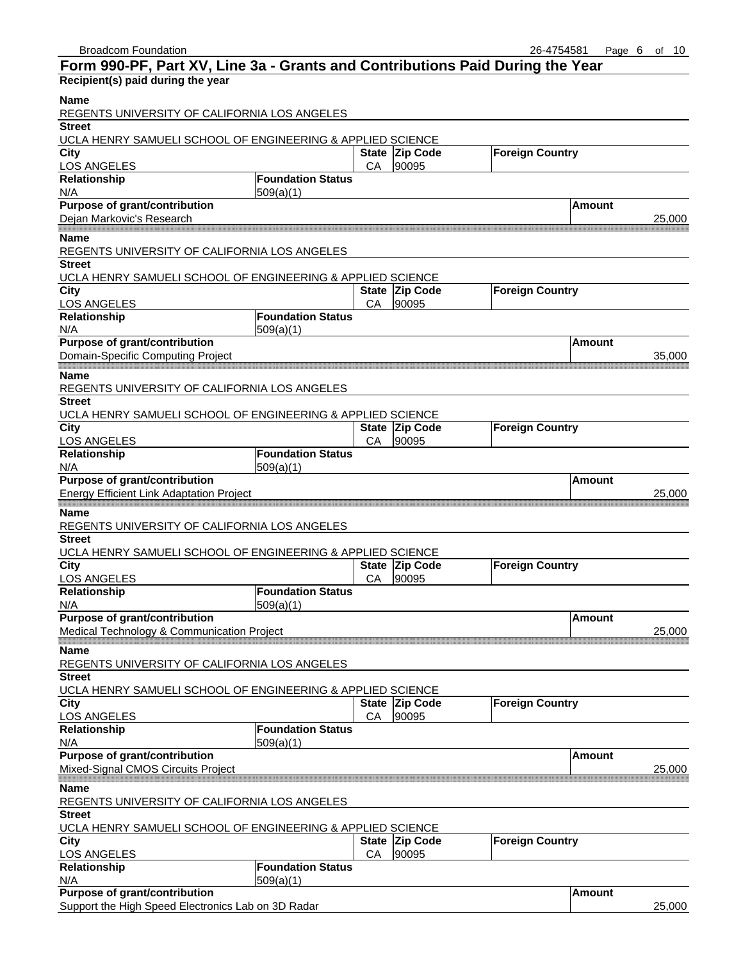| Form 990-PF, Part XV, Line 3a - Grants and Contributions Paid During the Year |                          |    |                         |                        |               |        |
|-------------------------------------------------------------------------------|--------------------------|----|-------------------------|------------------------|---------------|--------|
| Recipient(s) paid during the year                                             |                          |    |                         |                        |               |        |
| <b>Name</b><br>REGENTS UNIVERSITY OF CALIFORNIA LOS ANGELES                   |                          |    |                         |                        |               |        |
| <b>Street</b>                                                                 |                          |    |                         |                        |               |        |
| UCLA HENRY SAMUELI SCHOOL OF ENGINEERING & APPLIED SCIENCE                    |                          |    |                         |                        |               |        |
| City<br><b>LOS ANGELES</b>                                                    |                          | СA | State Zip Code<br>90095 | <b>Foreign Country</b> |               |        |
| Relationship                                                                  | <b>Foundation Status</b> |    |                         |                        |               |        |
| N/A                                                                           | 509(a)(1)                |    |                         |                        |               |        |
| <b>Purpose of grant/contribution</b>                                          |                          |    |                         |                        | Amount        |        |
| Dejan Markovic's Research                                                     |                          |    |                         |                        |               | 25,000 |
| Name                                                                          |                          |    |                         |                        |               |        |
| REGENTS UNIVERSITY OF CALIFORNIA LOS ANGELES                                  |                          |    |                         |                        |               |        |
| <b>Street</b>                                                                 |                          |    |                         |                        |               |        |
| UCLA HENRY SAMUELI SCHOOL OF ENGINEERING & APPLIED SCIENCE                    |                          |    |                         |                        |               |        |
| City                                                                          |                          |    | State Zip Code          | <b>Foreign Country</b> |               |        |
| <b>LOS ANGELES</b>                                                            |                          | СA | 90095                   |                        |               |        |
| Relationship                                                                  | <b>Foundation Status</b> |    |                         |                        |               |        |
| N/A                                                                           | 509(a)(1)                |    |                         |                        |               |        |
| Purpose of grant/contribution                                                 |                          |    |                         |                        | Amount        |        |
| Domain-Specific Computing Project                                             |                          |    |                         |                        |               | 35,000 |
| Name                                                                          |                          |    |                         |                        |               |        |
| REGENTS UNIVERSITY OF CALIFORNIA LOS ANGELES                                  |                          |    |                         |                        |               |        |
| <b>Street</b>                                                                 |                          |    |                         |                        |               |        |
| UCLA HENRY SAMUELI SCHOOL OF ENGINEERING & APPLIED SCIENCE                    |                          |    |                         |                        |               |        |
| City                                                                          |                          |    | State Zip Code          | <b>Foreign Country</b> |               |        |
| <b>LOS ANGELES</b>                                                            |                          | СA | 90095                   |                        |               |        |
| Relationship                                                                  | <b>Foundation Status</b> |    |                         |                        |               |        |
| N/A                                                                           | 509(a)(1)                |    |                         |                        |               |        |
| <b>Purpose of grant/contribution</b>                                          |                          |    |                         |                        | Amount        |        |
| <b>Energy Efficient Link Adaptation Project</b>                               |                          |    |                         |                        |               | 25,000 |
| Name                                                                          |                          |    |                         |                        |               |        |
| REGENTS UNIVERSITY OF CALIFORNIA LOS ANGELES                                  |                          |    |                         |                        |               |        |
| <b>Street</b>                                                                 |                          |    |                         |                        |               |        |
| UCLA HENRY SAMUELI SCHOOL OF ENGINEERING & APPLIED SCIENCE                    |                          |    |                         |                        |               |        |
| City                                                                          |                          |    | State Zip Code          | <b>Foreign Country</b> |               |        |
| <b>LOS ANGELES</b>                                                            |                          | СA | 90095                   |                        |               |        |
| <b>Relationship</b>                                                           | <b>Foundation Status</b> |    |                         |                        |               |        |
| N/A                                                                           | 509(a)(1)                |    |                         |                        |               |        |
| <b>Purpose of grant/contribution</b>                                          |                          |    |                         |                        | <b>Amount</b> |        |
| Medical Technology & Communication Project                                    |                          |    |                         |                        |               | 25.000 |
| <b>Name</b>                                                                   |                          |    |                         |                        |               |        |
| REGENTS UNIVERSITY OF CALIFORNIA LOS ANGELES                                  |                          |    |                         |                        |               |        |
| <b>Street</b>                                                                 |                          |    |                         |                        |               |        |
| UCLA HENRY SAMUELI SCHOOL OF ENGINEERING & APPLIED SCIENCE                    |                          |    |                         |                        |               |        |
| City                                                                          |                          |    | State Zip Code          | <b>Foreign Country</b> |               |        |
| LOS ANGELES                                                                   |                          | CA | 90095                   |                        |               |        |
| Relationship                                                                  | <b>Foundation Status</b> |    |                         |                        |               |        |
| N/A                                                                           | 509(a)(1)                |    |                         |                        |               |        |
| <b>Purpose of grant/contribution</b>                                          |                          |    |                         |                        | <b>Amount</b> |        |
| Mixed-Signal CMOS Circuits Project                                            |                          |    |                         |                        |               | 25,000 |
|                                                                               |                          |    |                         |                        |               |        |
| Name<br>REGENTS UNIVERSITY OF CALIFORNIA LOS ANGELES                          |                          |    |                         |                        |               |        |
| <b>Street</b>                                                                 |                          |    |                         |                        |               |        |
| UCLA HENRY SAMUELI SCHOOL OF ENGINEERING & APPLIED SCIENCE                    |                          |    |                         |                        |               |        |
| <b>City</b>                                                                   |                          |    | State Zip Code          | <b>Foreign Country</b> |               |        |
| LOS ANGELES                                                                   |                          | CA | 90095                   |                        |               |        |
| Relationship                                                                  | <b>Foundation Status</b> |    |                         |                        |               |        |
| N/A                                                                           | 509(a)(1)                |    |                         |                        |               |        |
| Purpose of grant/contribution                                                 |                          |    |                         |                        | <b>Amount</b> |        |
| Support the High Speed Electronics Lab on 3D Radar                            |                          |    |                         |                        |               | 25,000 |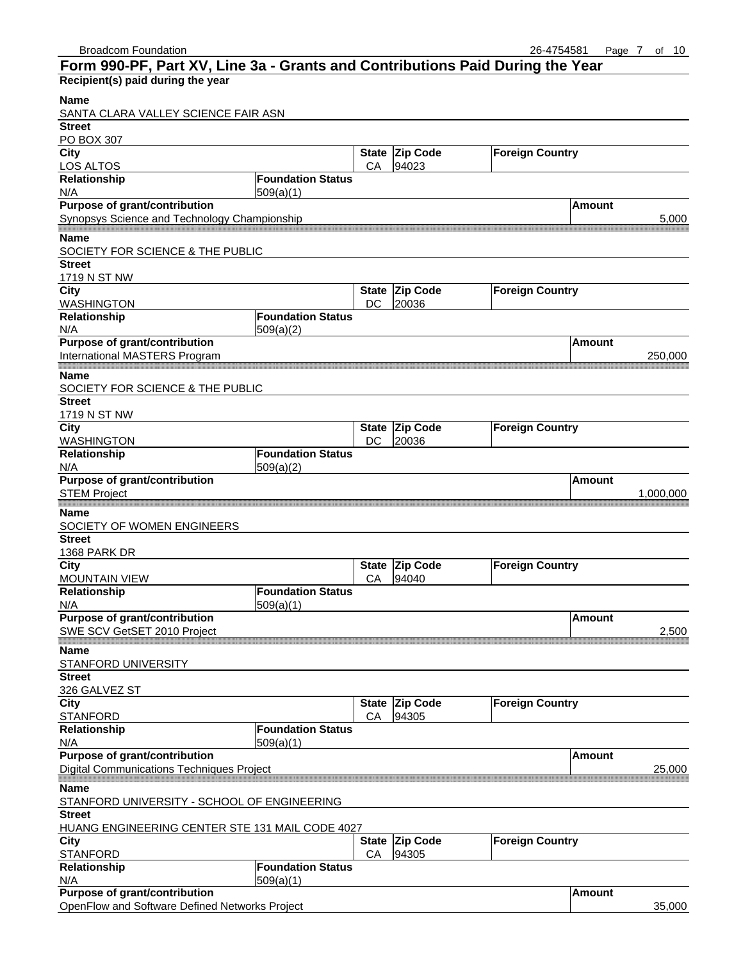#### Broadcom Foundation 26-4754581 Page 7 of 10 **Form 990-PF, Part XV, Line 3a - Grants and Contributions Paid During the Year Recipient(s) paid during the year Name** SANTA CLARA VALLEY SCIENCE FAIR ASN **Street** PO BOX 307 **State Zip Code Foreign Country** LOS ALTOS **CA 94023 Relationship Foundation Status**  $N/A$  509(a)(1) **Purpose of grant/contribution Amount Amount Amount Amount** Synopsys Science and Technology Championship 5,000 5,000 5,000 5,000 5,000 5,000 5,000 5,000 5,000 5,000 5,000 5,000 5,000 5,000 5,000 5,000 5,000 5,000 5,000 5,000 5,000 5,000 5,000 5,000 5,000 5,000 5,000 5,000 5,000 5,0 amamamamam ,,,,,,,,,,,,,,,,,,,,,,, **Name** SOCIETY FOR SCIENCE & THE PUBLIC **Street** 1719 N ST NW **City City City State Zip Code Foreign Country** WASHINGTON DC 20036 **Relationship Foundation Status**  $N/A$  509(a)(2) **Purpose of grant/contribution Amount Amount** International MASTERS Program 250,000 **Name** SOCIETY FOR SCIENCE & THE PUBLIC **Street** 1719 N ST NW **City Code** Foreign Country WASHINGTON <br>
Relationship 
Foundation Status

DC 20036 **Foundation Status**  $N/A$  509(a)(2) **Purpose of grant/contribution Amount Amount Amount Amount** STEM Project 1,000,000 and 1,000,000 and 1,000,000 and 1,000,000 and 1,000,000 and 1,000,000 and 1,000,000 and 1,000,000 and 1,000,000 and 1,000,000 and 1,000,000 and 1,000,000 and 1,000,000 and 1,000,000 and 1,000,000 and **Name** SOCIETY OF WOMEN ENGINEERS **Street** 1368 PARK DR **City** City **City** City **City** Code **Foreign Country** MOUNTAIN VIEW **CA 94040**<br>Relationship **CA 94040 Foundation Status** N/A 509(a)(1) **Purpose of grant/contribution Amount Amount Amount Amount** SWE SCV GetSET 2010 Project 2,500 **Name** STANFORD UNIVERSITY **Street** 326 GALVEZ ST **City State Zip Code** Foreign Country STANFORD CA 94305 **Relationship Foundation Status**  $N/A$  509(a)(1)

|                                                  | $- - - - - - -$          |    |                |                        |         |        |
|--------------------------------------------------|--------------------------|----|----------------|------------------------|---------|--------|
| <b>Purpose of grant/contribution</b>             |                          |    |                |                        | lAmount |        |
| <b>Digital Communications Techniques Project</b> |                          |    |                |                        |         | 25,000 |
| <b>Name</b>                                      |                          |    |                |                        |         |        |
| STANFORD UNIVERSITY - SCHOOL OF ENGINEERING      |                          |    |                |                        |         |        |
| <b>Street</b>                                    |                          |    |                |                        |         |        |
| HUANG ENGINEERING CENTER STE 131 MAIL CODE 4027  |                          |    |                |                        |         |        |
| City                                             |                          |    | State Zip Code | <b>Foreign Country</b> |         |        |
| <b>STANFORD</b>                                  |                          | CА | 94305          |                        |         |        |
| Relationship                                     | <b>Foundation Status</b> |    |                |                        |         |        |
| N/A                                              | 509(a)(1)                |    |                |                        |         |        |
| <b>Purpose of grant/contribution</b>             |                          |    |                |                        | Amount  |        |
| OpenFlow and Software Defined Networks Project   |                          |    |                |                        |         | 35,000 |
|                                                  |                          |    |                |                        |         |        |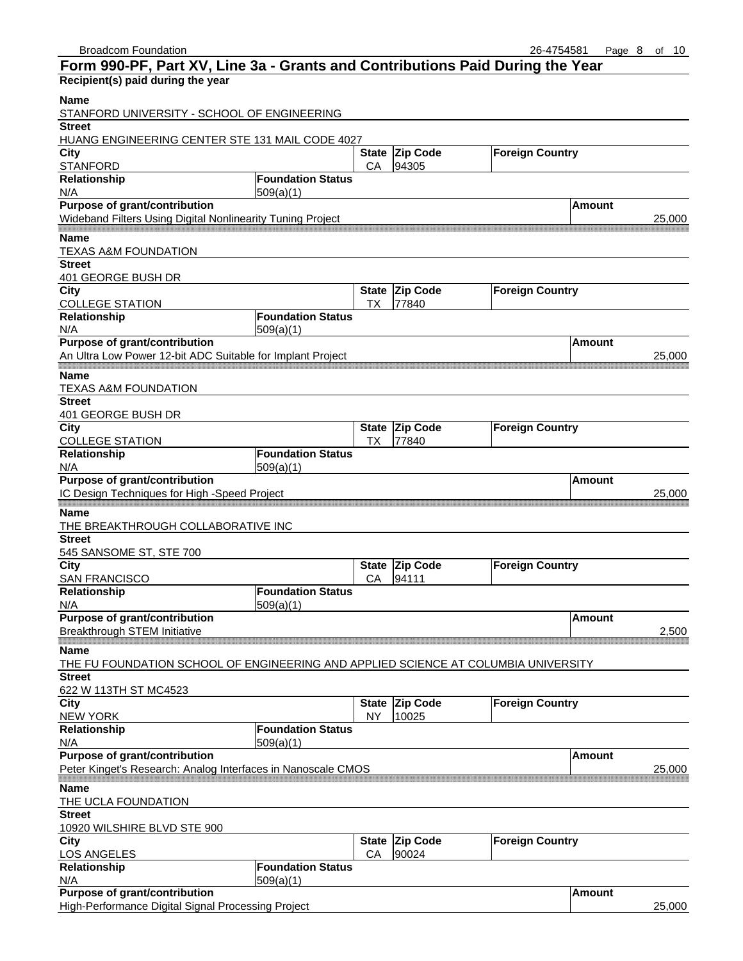| Form 990-PF, Part XV, Line 3a - Grants and Contributions Paid During the Year      |                          |                    |                          |                        |               |        |
|------------------------------------------------------------------------------------|--------------------------|--------------------|--------------------------|------------------------|---------------|--------|
| Recipient(s) paid during the year                                                  |                          |                    |                          |                        |               |        |
| Name<br>STANFORD UNIVERSITY - SCHOOL OF ENGINEERING                                |                          |                    |                          |                        |               |        |
| <b>Street</b>                                                                      |                          |                    |                          |                        |               |        |
| HUANG ENGINEERING CENTER STE 131 MAIL CODE 4027                                    |                          |                    |                          |                        |               |        |
| <b>City</b><br><b>STANFORD</b>                                                     |                          | <b>State</b><br>CA | <b>Zip Code</b><br>94305 | <b>Foreign Country</b> |               |        |
| Relationship                                                                       | <b>Foundation Status</b> |                    |                          |                        |               |        |
| N/A                                                                                | 509(a)(1)                |                    |                          |                        |               |        |
| <b>Purpose of grant/contribution</b>                                               |                          |                    |                          |                        | Amount        |        |
| Wideband Filters Using Digital Nonlinearity Tuning Project                         |                          |                    |                          |                        |               | 25,000 |
| Name                                                                               |                          |                    |                          |                        |               |        |
| <b>TEXAS A&amp;M FOUNDATION</b>                                                    |                          |                    |                          |                        |               |        |
| <b>Street</b>                                                                      |                          |                    |                          |                        |               |        |
| 401 GEORGE BUSH DR                                                                 |                          |                    |                          |                        |               |        |
| City                                                                               |                          | <b>State</b>       | <b>Zip Code</b>          | <b>Foreign Country</b> |               |        |
| <b>COLLEGE STATION</b>                                                             |                          | ТX                 | 77840                    |                        |               |        |
| Relationship                                                                       | <b>Foundation Status</b> |                    |                          |                        |               |        |
| N/A                                                                                | 509(a)(1)                |                    |                          |                        |               |        |
| Purpose of grant/contribution                                                      |                          |                    |                          |                        | Amount        |        |
| An Ultra Low Power 12-bit ADC Suitable for Implant Project                         |                          |                    |                          |                        |               | 25,000 |
| Name                                                                               |                          |                    |                          |                        |               |        |
| <b>TEXAS A&amp;M FOUNDATION</b>                                                    |                          |                    |                          |                        |               |        |
| <b>Street</b>                                                                      |                          |                    |                          |                        |               |        |
| 401 GEORGE BUSH DR                                                                 |                          |                    |                          |                        |               |        |
| City                                                                               |                          | <b>State</b>       | <b>Zip Code</b>          | <b>Foreign Country</b> |               |        |
| <b>COLLEGE STATION</b>                                                             |                          | ТX                 | 77840                    |                        |               |        |
| Relationship                                                                       | <b>Foundation Status</b> |                    |                          |                        |               |        |
| N/A                                                                                | 509(a)(1)                |                    |                          |                        |               |        |
| <b>Purpose of grant/contribution</b>                                               |                          |                    |                          |                        | Amount        |        |
| IC Design Techniques for High -Speed Project                                       |                          |                    |                          |                        |               | 25,000 |
| Name                                                                               |                          |                    |                          |                        |               |        |
| THE BREAKTHROUGH COLLABORATIVE INC                                                 |                          |                    |                          |                        |               |        |
| <b>Street</b>                                                                      |                          |                    |                          |                        |               |        |
| 545 SANSOME ST, STE 700                                                            |                          |                    |                          |                        |               |        |
| City                                                                               |                          |                    | State Zip Code           | <b>Foreign Country</b> |               |        |
| <b>SAN FRANCISCO</b>                                                               |                          | СA                 | 94111                    |                        |               |        |
| <b>Relationship</b>                                                                | <b>Foundation Status</b> |                    |                          |                        |               |        |
| N/A                                                                                | 509(a)(1)                |                    |                          |                        |               |        |
| <b>Purpose of grant/contribution</b>                                               |                          |                    |                          |                        | <b>Amount</b> |        |
| <b>Breakthrough STEM Initiative</b>                                                |                          |                    |                          |                        |               | 2.500  |
| <b>Name</b>                                                                        |                          |                    |                          |                        |               |        |
| THE FU FOUNDATION SCHOOL OF ENGINEERING AND APPLIED SCIENCE AT COLUMBIA UNIVERSITY |                          |                    |                          |                        |               |        |
| <b>Street</b>                                                                      |                          |                    |                          |                        |               |        |
| 622 W 113TH ST MC4523                                                              |                          |                    |                          |                        |               |        |
| City                                                                               |                          | <b>State</b>       | <b>Zip Code</b>          | <b>Foreign Country</b> |               |        |
| <b>NEW YORK</b>                                                                    |                          | <b>NY</b>          | 10025                    |                        |               |        |
| Relationship                                                                       | <b>Foundation Status</b> |                    |                          |                        |               |        |
| N/A                                                                                | 509(a)(1)                |                    |                          |                        |               |        |
| <b>Purpose of grant/contribution</b>                                               |                          |                    |                          |                        | <b>Amount</b> |        |
| Peter Kinget's Research: Analog Interfaces in Nanoscale CMOS                       |                          |                    |                          |                        |               | 25,000 |
| <b>Name</b>                                                                        |                          |                    |                          |                        |               |        |
| THE UCLA FOUNDATION                                                                |                          |                    |                          |                        |               |        |
| <b>Street</b>                                                                      |                          |                    |                          |                        |               |        |
| 10920 WILSHIRE BLVD STE 900                                                        |                          |                    |                          |                        |               |        |
| City                                                                               |                          | <b>State</b>       | Zip Code                 | <b>Foreign Country</b> |               |        |
| <b>LOS ANGELES</b>                                                                 |                          | CA                 | 90024                    |                        |               |        |
| Relationship                                                                       | <b>Foundation Status</b> |                    |                          |                        |               |        |
| N/A                                                                                | 509(a)(1)                |                    |                          |                        |               |        |
| Purpose of grant/contribution                                                      |                          |                    |                          |                        | <b>Amount</b> |        |
| High-Performance Digital Signal Processing Project                                 |                          |                    |                          |                        |               | 25,000 |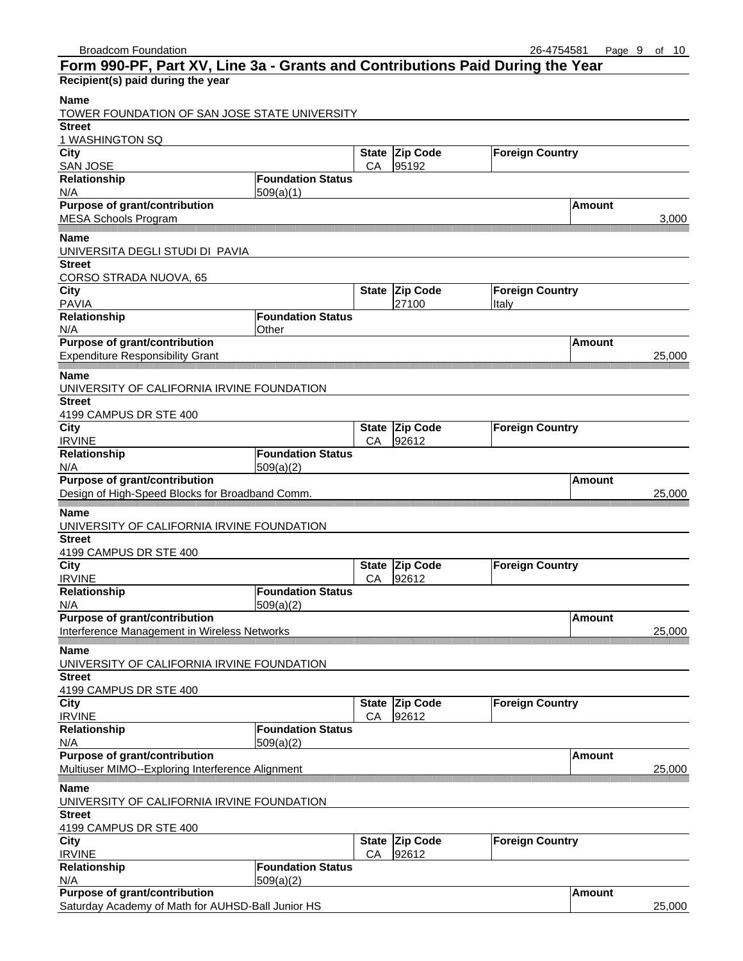| Form 990-PF, Part XV, Line 3a - Grants and Contributions Paid During the Year |                          |                    |                          |                        |               |        |
|-------------------------------------------------------------------------------|--------------------------|--------------------|--------------------------|------------------------|---------------|--------|
| Recipient(s) paid during the year                                             |                          |                    |                          |                        |               |        |
| <b>Name</b><br>TOWER FOUNDATION OF SAN JOSE STATE UNIVERSITY                  |                          |                    |                          |                        |               |        |
| <b>Street</b>                                                                 |                          |                    |                          |                        |               |        |
| 1 WASHINGTON SQ                                                               |                          |                    |                          |                        |               |        |
| <b>City</b><br><b>SAN JOSE</b>                                                |                          | <b>State</b><br>CA | <b>Zip Code</b><br>95192 | <b>Foreign Country</b> |               |        |
| Relationship                                                                  | <b>Foundation Status</b> |                    |                          |                        |               |        |
| N/A                                                                           | 509(a)(1)                |                    |                          |                        |               |        |
| <b>Purpose of grant/contribution</b>                                          |                          |                    |                          |                        | Amount        |        |
| <b>MESA Schools Program</b>                                                   |                          |                    |                          |                        |               | 3,000  |
| <b>Name</b>                                                                   |                          |                    |                          |                        |               |        |
| UNIVERSITA DEGLI STUDI DI PAVIA                                               |                          |                    |                          |                        |               |        |
| <b>Street</b>                                                                 |                          |                    |                          |                        |               |        |
| CORSO STRADA NUOVA, 65<br><b>City</b>                                         |                          | <b>State</b>       | <b>Zip Code</b>          | <b>Foreign Country</b> |               |        |
| <b>PAVIA</b>                                                                  |                          |                    | 27100                    | Italy                  |               |        |
| Relationship                                                                  | <b>Foundation Status</b> |                    |                          |                        |               |        |
| N/A                                                                           | Other                    |                    |                          |                        |               |        |
| Purpose of grant/contribution                                                 |                          |                    |                          |                        | Amount        |        |
| <b>Expenditure Responsibility Grant</b>                                       |                          |                    |                          |                        |               | 25,000 |
| <b>Name</b>                                                                   |                          |                    |                          |                        |               |        |
| UNIVERSITY OF CALIFORNIA IRVINE FOUNDATION                                    |                          |                    |                          |                        |               |        |
| <b>Street</b>                                                                 |                          |                    |                          |                        |               |        |
| 4199 CAMPUS DR STE 400                                                        |                          |                    |                          |                        |               |        |
| <b>City</b>                                                                   |                          | <b>State</b>       | <b>Zip Code</b>          | <b>Foreign Country</b> |               |        |
| <b>IRVINE</b>                                                                 |                          | CA                 | 92612                    |                        |               |        |
| Relationship                                                                  | <b>Foundation Status</b> |                    |                          |                        |               |        |
| N/A                                                                           | 509(a)(2)                |                    |                          |                        |               |        |
| <b>Purpose of grant/contribution</b>                                          |                          |                    |                          |                        | <b>Amount</b> |        |
| Design of High-Speed Blocks for Broadband Comm.                               |                          |                    |                          |                        |               | 25,000 |
| <b>Name</b>                                                                   |                          |                    |                          |                        |               |        |
| UNIVERSITY OF CALIFORNIA IRVINE FOUNDATION                                    |                          |                    |                          |                        |               |        |
| <b>Street</b>                                                                 |                          |                    |                          |                        |               |        |
| 4199 CAMPUS DR STE 400<br><b>City</b>                                         |                          |                    | State Zip Code           | <b>Foreign Country</b> |               |        |
| <b>IRVINE</b>                                                                 |                          | СA                 | 92612                    |                        |               |        |
| Relationship                                                                  | <b>Foundation Status</b> |                    |                          |                        |               |        |
| N/A                                                                           | 509(a)(2)                |                    |                          |                        |               |        |
| <b>Purpose of grant/contribution</b>                                          |                          |                    |                          |                        | <b>Amount</b> |        |
| Interference Management in Wireless Networks                                  |                          |                    |                          |                        |               | 25,000 |
| <b>Name</b>                                                                   |                          |                    |                          |                        |               |        |
| UNIVERSITY OF CALIFORNIA IRVINE FOUNDATION                                    |                          |                    |                          |                        |               |        |
| <b>Street</b>                                                                 |                          |                    |                          |                        |               |        |
| 4199 CAMPUS DR STE 400                                                        |                          |                    |                          |                        |               |        |
| City                                                                          |                          |                    | State Zip Code           | <b>Foreign Country</b> |               |        |
| <b>IRVINE</b>                                                                 |                          | CA                 | 92612                    |                        |               |        |
| Relationship                                                                  | <b>Foundation Status</b> |                    |                          |                        |               |        |
| N/A<br>Purpose of grant/contribution                                          | 509(a)(2)                |                    |                          |                        | <b>Amount</b> |        |
| Multiuser MIMO--Exploring Interference Alignment                              |                          |                    |                          |                        |               | 25,000 |
|                                                                               |                          |                    |                          |                        |               |        |
| <b>Name</b>                                                                   |                          |                    |                          |                        |               |        |
| UNIVERSITY OF CALIFORNIA IRVINE FOUNDATION<br><b>Street</b>                   |                          |                    |                          |                        |               |        |
| 4199 CAMPUS DR STE 400                                                        |                          |                    |                          |                        |               |        |
| <b>City</b>                                                                   |                          | <b>State</b>       | <b>Zip Code</b>          | <b>Foreign Country</b> |               |        |
| <b>IRVINE</b>                                                                 |                          | CA                 | 92612                    |                        |               |        |
| Relationship                                                                  | <b>Foundation Status</b> |                    |                          |                        |               |        |
| N/A                                                                           | 509(a)(2)                |                    |                          |                        |               |        |
| <b>Purpose of grant/contribution</b>                                          |                          |                    |                          |                        | <b>Amount</b> |        |
| Saturday Academy of Math for AUHSD-Ball Junior HS                             |                          |                    |                          |                        |               | 25,000 |